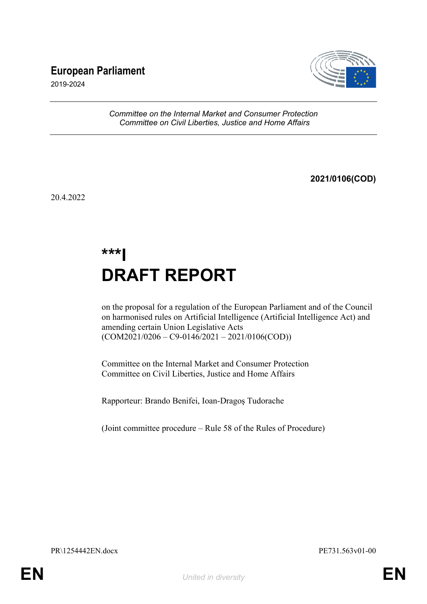# **European Parliament**



2019-2024

*Committee on the Internal Market and Consumer Protection Committee on Civil Liberties, Justice and Home Affairs*

**2021/0106(COD)**

20.4.2022

# **\*\*\*I DRAFT REPORT**

on the proposal for a regulation of the European Parliament and of the Council on harmonised rules on Artificial Intelligence (Artificial Intelligence Act) and amending certain Union Legislative Acts  $(COM2021/0206 - C9-0146/2021 - 2021/0106(COD))$ 

Committee on the Internal Market and Consumer Protection Committee on Civil Liberties, Justice and Home Affairs

Rapporteur: Brando Benifei, Ioan-Dragoş Tudorache

(Joint committee procedure – Rule 58 of the Rules of Procedure)

PR\1254442EN.docx PE731.563v01-00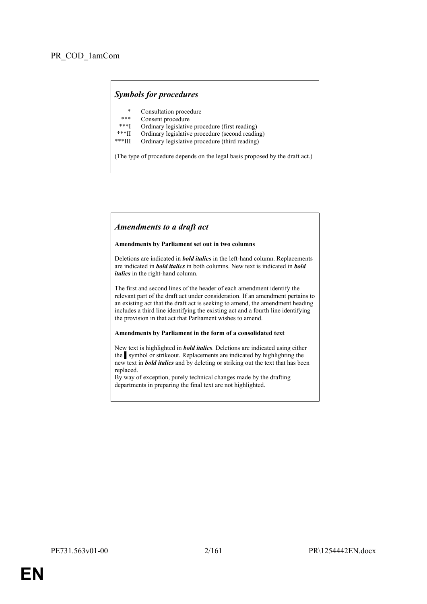# *Symbols for procedures*

- \* Consultation procedure
- Consent procedure
- \*\*\*I Ordinary legislative procedure (first reading)<br>\*\*\*II Ordinary legislative procedure (second reading)
- \*\*\*II Ordinary legislative procedure (second reading)
- Ordinary legislative procedure (third reading)

(The type of procedure depends on the legal basis proposed by the draft act.)

### *Amendments to a draft act*

#### **Amendments by Parliament set out in two columns**

Deletions are indicated in *bold italics* in the left-hand column. Replacements are indicated in *bold italics* in both columns. New text is indicated in *bold italics* in the right-hand column.

The first and second lines of the header of each amendment identify the relevant part of the draft act under consideration. If an amendment pertains to an existing act that the draft act is seeking to amend, the amendment heading includes a third line identifying the existing act and a fourth line identifying the provision in that act that Parliament wishes to amend.

#### **Amendments by Parliament in the form of a consolidated text**

New text is highlighted in *bold italics*. Deletions are indicated using either the symbol or strikeout. Replacements are indicated by highlighting the new text in *bold italics* and by deleting or striking out the text that has been replaced.

By way of exception, purely technical changes made by the drafting departments in preparing the final text are not highlighted.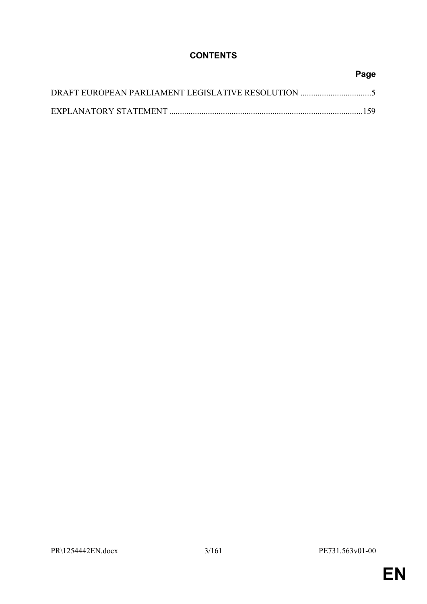# **CONTENTS**

| Page |
|------|
|      |
|      |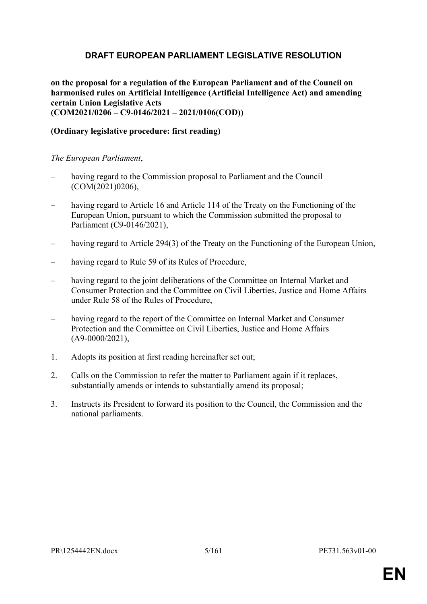# <span id="page-4-0"></span>**DRAFT EUROPEAN PARLIAMENT LEGISLATIVE RESOLUTION**

**on the proposal for a regulation of the European Parliament and of the Council on harmonised rules on Artificial Intelligence (Artificial Intelligence Act) and amending certain Union Legislative Acts (COM2021/0206 – C9-0146/2021 – 2021/0106(COD))**

# **(Ordinary legislative procedure: first reading)**

*The European Parliament*,

- having regard to the Commission proposal to Parliament and the Council (COM(2021)0206),
- having regard to Article 16 and Article 114 of the Treaty on the Functioning of the European Union, pursuant to which the Commission submitted the proposal to Parliament (C9-0146/2021),
- having regard to Article 294(3) of the Treaty on the Functioning of the European Union,
- having regard to Rule 59 of its Rules of Procedure,
- having regard to the joint deliberations of the Committee on Internal Market and Consumer Protection and the Committee on Civil Liberties, Justice and Home Affairs under Rule 58 of the Rules of Procedure,
- having regard to the report of the Committee on Internal Market and Consumer Protection and the Committee on Civil Liberties, Justice and Home Affairs (A9-0000/2021),
- 1. Adopts its position at first reading hereinafter set out;
- 2. Calls on the Commission to refer the matter to Parliament again if it replaces, substantially amends or intends to substantially amend its proposal;
- 3. Instructs its President to forward its position to the Council, the Commission and the national parliaments.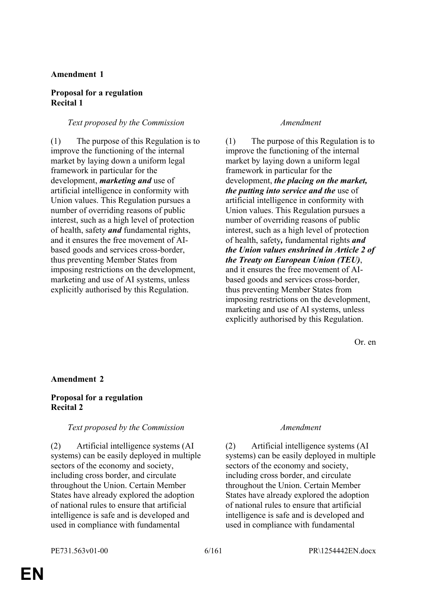### **Amendment 1**

### **Proposal for a regulation Recital 1**

### *Text proposed by the Commission Amendment*

(1) The purpose of this Regulation is to improve the functioning of the internal market by laying down a uniform legal framework in particular for the development, *marketing and* use of artificial intelligence in conformity with Union values. This Regulation pursues a number of overriding reasons of public interest, such as a high level of protection of health, safety *and* fundamental rights, and it ensures the free movement of AIbased goods and services cross-border, thus preventing Member States from imposing restrictions on the development, marketing and use of AI systems, unless explicitly authorised by this Regulation.

(1) The purpose of this Regulation is to improve the functioning of the internal market by laying down a uniform legal framework in particular for the development, *the placing on the market, the putting into service and the* use of artificial intelligence in conformity with Union values. This Regulation pursues a number of overriding reasons of public interest, such as a high level of protection of health, safety*,* fundamental rights *and the Union values enshrined in Article 2 of the Treaty on European Union (TEU)*, and it ensures the free movement of AIbased goods and services cross-border, thus preventing Member States from imposing restrictions on the development, marketing and use of AI systems, unless explicitly authorised by this Regulation.

Or. en

### **Amendment 2**

# **Proposal for a regulation Recital 2**

### *Text proposed by the Commission Amendment*

(2) Artificial intelligence systems (AI systems) can be easily deployed in multiple sectors of the economy and society, including cross border, and circulate throughout the Union. Certain Member States have already explored the adoption of national rules to ensure that artificial intelligence is safe and is developed and used in compliance with fundamental

(2) Artificial intelligence systems (AI systems) can be easily deployed in multiple sectors of the economy and society, including cross border, and circulate throughout the Union. Certain Member States have already explored the adoption of national rules to ensure that artificial intelligence is safe and is developed and used in compliance with fundamental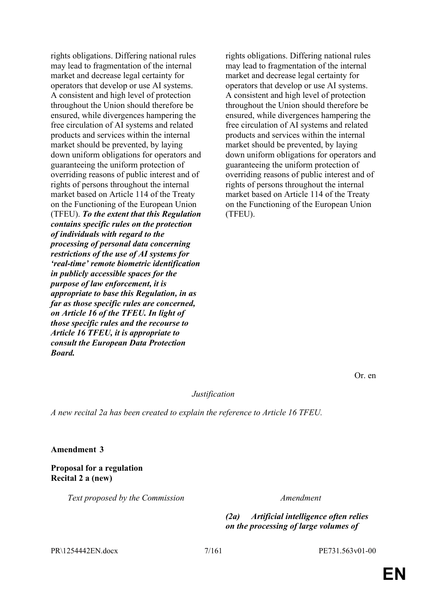rights obligations. Differing national rules may lead to fragmentation of the internal market and decrease legal certainty for operators that develop or use AI systems. A consistent and high level of protection throughout the Union should therefore be ensured, while divergences hampering the free circulation of AI systems and related products and services within the internal market should be prevented, by laying down uniform obligations for operators and guaranteeing the uniform protection of overriding reasons of public interest and of rights of persons throughout the internal market based on Article 114 of the Treaty on the Functioning of the European Union (TFEU). *To the extent that this Regulation contains specific rules on the protection of individuals with regard to the processing of personal data concerning restrictions of the use of AI systems for 'real-time' remote biometric identification in publicly accessible spaces for the purpose of law enforcement, it is appropriate to base this Regulation, in as far as those specific rules are concerned, on Article 16 of the TFEU. In light of those specific rules and the recourse to Article 16 TFEU, it is appropriate to consult the European Data Protection Board.*

rights obligations. Differing national rules may lead to fragmentation of the internal market and decrease legal certainty for operators that develop or use AI systems. A consistent and high level of protection throughout the Union should therefore be ensured, while divergences hampering the free circulation of AI systems and related products and services within the internal market should be prevented, by laying down uniform obligations for operators and guaranteeing the uniform protection of overriding reasons of public interest and of rights of persons throughout the internal market based on Article 114 of the Treaty on the Functioning of the European Union (TFEU).

Or. en

*Justification*

*A new recital 2a has been created to explain the reference to Article 16 TFEU.*

**Amendment 3**

**Proposal for a regulation Recital 2 a (new)**

*Text proposed by the Commission Amendment*

*(2a) Artificial intelligence often relies on the processing of large volumes of* 

PR\1254442EN.docx 7/161 PE731.563v01-00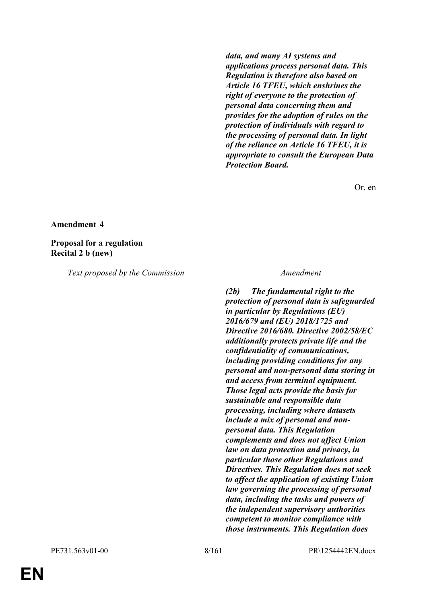*data, and many AI systems and applications process personal data. This Regulation is therefore also based on Article 16 TFEU, which enshrines the right of everyone to the protection of personal data concerning them and provides for the adoption of rules on the protection of individuals with regard to the processing of personal data. In light of the reliance on Article 16 TFEU, it is appropriate to consult the European Data Protection Board.*

Or. en

#### **Amendment 4**

**Proposal for a regulation Recital 2 b (new)**

*Text proposed by the Commission Amendment*

*(2b) The fundamental right to the protection of personal data is safeguarded in particular by Regulations (EU) 2016/679 and (EU) 2018/1725 and Directive 2016/680. Directive 2002/58/EC additionally protects private life and the confidentiality of communications, including providing conditions for any personal and non-personal data storing in and access from terminal equipment. Those legal acts provide the basis for sustainable and responsible data processing, including where datasets include a mix of personal and nonpersonal data. This Regulation complements and does not affect Union law on data protection and privacy, in particular those other Regulations and Directives. This Regulation does not seek to affect the application of existing Union law governing the processing of personal data, including the tasks and powers of the independent supervisory authorities competent to monitor compliance with those instruments. This Regulation does* 

**EN**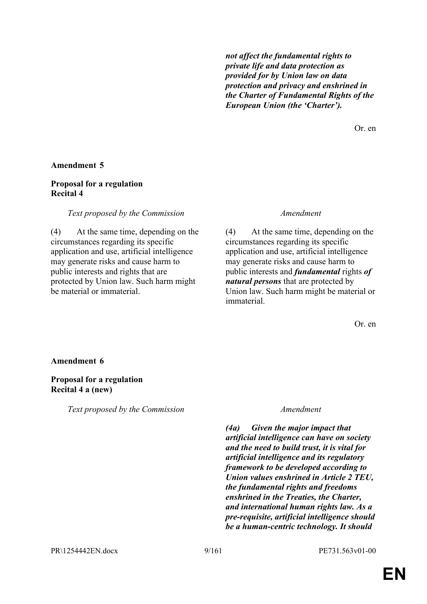*not affect the fundamental rights to private life and data protection as provided for by Union law on data protection and privacy and enshrined in the Charter of Fundamental Rights of the European Union (the 'Charter').*

Or. en

### **Amendment 5**

# **Proposal for a regulation Recital 4**

### *Text proposed by the Commission Amendment*

(4) At the same time, depending on the circumstances regarding its specific application and use, artificial intelligence may generate risks and cause harm to public interests and rights that are protected by Union law. Such harm might be material or immaterial.

(4) At the same time, depending on the circumstances regarding its specific application and use, artificial intelligence may generate risks and cause harm to public interests and *fundamental* rights *of natural persons* that are protected by Union law. Such harm might be material or immaterial.

Or. en

### **Amendment 6**

### **Proposal for a regulation Recital 4 a (new)**

*Text proposed by the Commission Amendment*

*(4a) Given the major impact that artificial intelligence can have on society and the need to build trust, it is vital for artificial intelligence and its regulatory framework to be developed according to Union values enshrined in Article 2 TEU, the fundamental rights and freedoms enshrined in the Treaties, the Charter, and international human rights law. As a pre-requisite, artificial intelligence should be a human-centric technology. It should*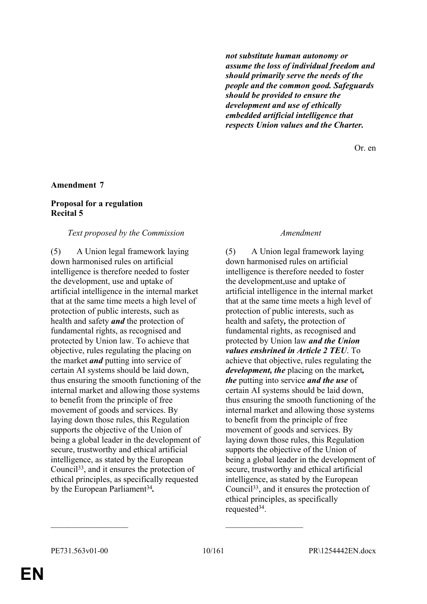*not substitute human autonomy or assume the loss of individual freedom and should primarily serve the needs of the people and the common good. Safeguards should be provided to ensure the development and use of ethically embedded artificial intelligence that respects Union values and the Charter.*

Or. en

### **Amendment 7**

### **Proposal for a regulation Recital 5**

### *Text proposed by the Commission Amendment*

(5) A Union legal framework laying down harmonised rules on artificial intelligence is therefore needed to foster the development, use and uptake of artificial intelligence in the internal market that at the same time meets a high level of protection of public interests, such as health and safety *and* the protection of fundamental rights, as recognised and protected by Union law. To achieve that objective, rules regulating the placing on the market *and* putting into service of certain AI systems should be laid down, thus ensuring the smooth functioning of the internal market and allowing those systems to benefit from the principle of free movement of goods and services. By laying down those rules, this Regulation supports the objective of the Union of being a global leader in the development of secure, trustworthy and ethical artificial intelligence, as stated by the European Council<sup>33</sup>, and it ensures the protection of ethical principles, as specifically requested by the European Parliament<sup>34</sup>.

(5) A Union legal framework laying down harmonised rules on artificial intelligence is therefore needed to foster the development,use and uptake of artificial intelligence in the internal market that at the same time meets a high level of protection of public interests, such as health and safety*,* the protection of fundamental rights, as recognised and protected by Union law *and the Union values enshrined in Article 2 TEU*. To achieve that objective, rules regulating the *development, the* placing on the market*, the* putting into service *and the use* of certain AI systems should be laid down, thus ensuring the smooth functioning of the internal market and allowing those systems to benefit from the principle of free movement of goods and services. By laying down those rules, this Regulation supports the objective of the Union of being a global leader in the development of secure, trustworthy and ethical artificial intelligence, as stated by the European Council<sup>33</sup>, and it ensures the protection of ethical principles, as specifically requested<sup>34</sup>.

 $\mathcal{L}_\text{max}$  , and the contract of the contract of the contract of the contract of the contract of the contract of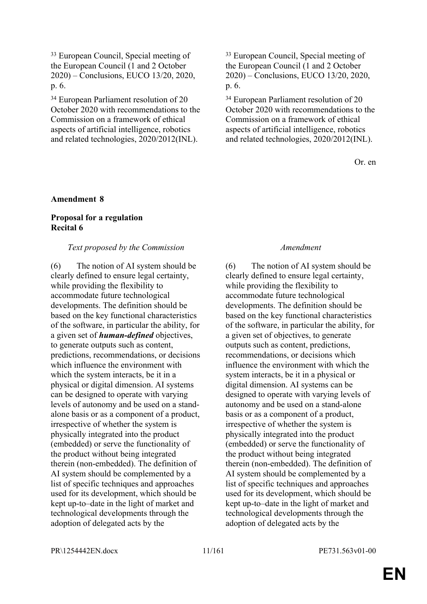<sup>33</sup> European Council, Special meeting of the European Council (1 and 2 October 2020) – Conclusions, EUCO 13/20, 2020, p. 6.

<sup>34</sup> European Parliament resolution of 20 October 2020 with recommendations to the Commission on a framework of ethical aspects of artificial intelligence, robotics and related technologies, 2020/2012(INL).

<sup>33</sup> European Council, Special meeting of the European Council (1 and 2 October 2020) – Conclusions, EUCO 13/20, 2020, p. 6.

<sup>34</sup> European Parliament resolution of 20 October 2020 with recommendations to the Commission on a framework of ethical aspects of artificial intelligence, robotics and related technologies, 2020/2012(INL).

Or. en

# **Amendment 8**

# **Proposal for a regulation Recital 6**

### *Text proposed by the Commission Amendment*

(6) The notion of AI system should be clearly defined to ensure legal certainty, while providing the flexibility to accommodate future technological developments. The definition should be based on the key functional characteristics of the software, in particular the ability, for a given set of *human-defined* objectives, to generate outputs such as content, predictions, recommendations, or decisions which influence the environment with which the system interacts, be it in a physical or digital dimension. AI systems can be designed to operate with varying levels of autonomy and be used on a standalone basis or as a component of a product, irrespective of whether the system is physically integrated into the product (embedded) or serve the functionality of the product without being integrated therein (non-embedded). The definition of AI system should be complemented by a list of specific techniques and approaches used for its development, which should be kept up-to–date in the light of market and technological developments through the adoption of delegated acts by the

(6) The notion of AI system should be clearly defined to ensure legal certainty, while providing the flexibility to accommodate future technological developments. The definition should be based on the key functional characteristics of the software, in particular the ability, for a given set of objectives, to generate outputs such as content, predictions, recommendations, or decisions which influence the environment with which the system interacts, be it in a physical or digital dimension. AI systems can be designed to operate with varying levels of autonomy and be used on a stand-alone basis or as a component of a product, irrespective of whether the system is physically integrated into the product (embedded) or serve the functionality of the product without being integrated therein (non-embedded). The definition of AI system should be complemented by a list of specific techniques and approaches used for its development, which should be kept up-to–date in the light of market and technological developments through the adoption of delegated acts by the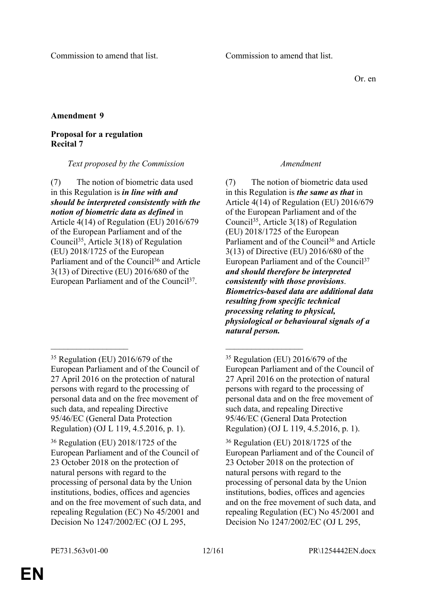Or. en

# **Amendment 9**

# **Proposal for a regulation Recital 7**

# *Text proposed by the Commission Amendment*

(7) The notion of biometric data used in this Regulation is *in line with and should be interpreted consistently with the notion of biometric data as defined* in Article 4(14) of Regulation (EU) 2016/679 of the European Parliament and of the Council<sup>35</sup>, Article 3(18) of Regulation (EU) 2018/1725 of the European Parliament and of the Council<sup>36</sup> and Article 3(13) of Directive (EU) 2016/680 of the European Parliament and of the Council<sup>37</sup>.

 $\mathcal{L}_\text{max}$  and  $\mathcal{L}_\text{max}$  and  $\mathcal{L}_\text{max}$  and  $\mathcal{L}_\text{max}$ 

(7) The notion of biometric data used in this Regulation is *the same as that* in Article 4(14) of Regulation (EU) 2016/679 of the European Parliament and of the Council<sup>35</sup>, Article 3(18) of Regulation (EU) 2018/1725 of the European Parliament and of the Council<sup>36</sup> and Article 3(13) of Directive (EU) 2016/680 of the European Parliament and of the Council<sup>37</sup> *and should therefore be interpreted consistently with those provisions*. *Biometrics-based data are additional data resulting from specific technical processing relating to physical, physiological or behavioural signals of a natural person.* 

<sup>35</sup> Regulation (EU) 2016/679 of the European Parliament and of the Council of 27 April 2016 on the protection of natural persons with regard to the processing of personal data and on the free movement of such data, and repealing Directive 95/46/EC (General Data Protection Regulation) (OJ L 119, 4.5.2016, p. 1).

<sup>36</sup> Regulation (EU) 2018/1725 of the European Parliament and of the Council of 23 October 2018 on the protection of natural persons with regard to the processing of personal data by the Union institutions, bodies, offices and agencies and on the free movement of such data, and repealing Regulation (EC) No 45/2001 and Decision No 1247/2002/EC (OJ L 295,

<sup>35</sup> Regulation (EU) 2016/679 of the European Parliament and of the Council of 27 April 2016 on the protection of natural persons with regard to the processing of personal data and on the free movement of such data, and repealing Directive 95/46/EC (General Data Protection Regulation) (OJ L 119, 4.5.2016, p. 1).

<sup>36</sup> Regulation (EU) 2018/1725 of the European Parliament and of the Council of 23 October 2018 on the protection of natural persons with regard to the processing of personal data by the Union institutions, bodies, offices and agencies and on the free movement of such data, and repealing Regulation (EC) No 45/2001 and Decision No 1247/2002/EC (OJ L 295,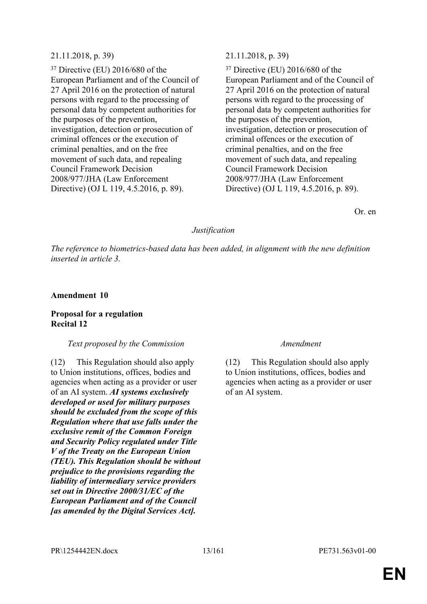# 21.11.2018, p. 39) 21.11.2018, p. 39)

<sup>37</sup> Directive (EU) 2016/680 of the European Parliament and of the Council of 27 April 2016 on the protection of natural persons with regard to the processing of personal data by competent authorities for the purposes of the prevention, investigation, detection or prosecution of criminal offences or the execution of criminal penalties, and on the free movement of such data, and repealing Council Framework Decision 2008/977/JHA (Law Enforcement Directive) (OJ L 119, 4.5.2016, p. 89).

<sup>37</sup> Directive (EU) 2016/680 of the European Parliament and of the Council of 27 April 2016 on the protection of natural persons with regard to the processing of personal data by competent authorities for the purposes of the prevention, investigation, detection or prosecution of criminal offences or the execution of criminal penalties, and on the free movement of such data, and repealing Council Framework Decision 2008/977/JHA (Law Enforcement Directive) (OJ L 119, 4.5.2016, p. 89).

Or. en

# *Justification*

*The reference to biometrics-based data has been added, in alignment with the new definition inserted in article 3.*

# **Amendment 10**

# **Proposal for a regulation Recital 12**

# *Text proposed by the Commission Amendment*

(12) This Regulation should also apply to Union institutions, offices, bodies and agencies when acting as a provider or user of an AI system. *AI systems exclusively developed or used for military purposes should be excluded from the scope of this Regulation where that use falls under the exclusive remit of the Common Foreign and Security Policy regulated under Title V of the Treaty on the European Union (TEU). This Regulation should be without prejudice to the provisions regarding the liability of intermediary service providers set out in Directive 2000/31/EC of the European Parliament and of the Council [as amended by the Digital Services Act].*

(12) This Regulation should also apply to Union institutions, offices, bodies and agencies when acting as a provider or user of an AI system.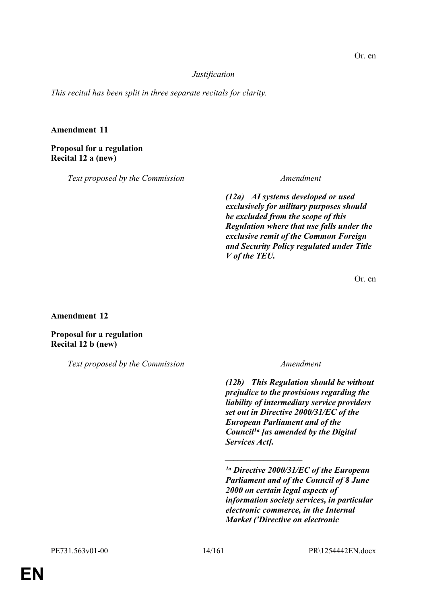# *Justification*

*This recital has been split in three separate recitals for clarity.*

# **Amendment 11**

**Proposal for a regulation Recital 12 a (new)**

*Text proposed by the Commission Amendment*

*(12a) AI systems developed or used exclusively for military purposes should be excluded from the scope of this Regulation where that use falls under the exclusive remit of the Common Foreign and Security Policy regulated under Title V of the TEU.*

Or. en

**Amendment 12**

**Proposal for a regulation Recital 12 b (new)**

*Text proposed by the Commission Amendment*

*(12b) This Regulation should be without prejudice to the provisions regarding the liability of intermediary service providers set out in Directive 2000/31/EC of the European Parliament and of the Council1a [as amended by the Digital Services Act].*

*\_\_\_\_\_\_\_\_\_\_\_\_\_\_\_\_\_\_*

*<sup>1</sup>a Directive 2000/31/EC of the European Parliament and of the Council of 8 June 2000 on certain legal aspects of information society services, in particular electronic commerce, in the Internal Market ('Directive on electronic*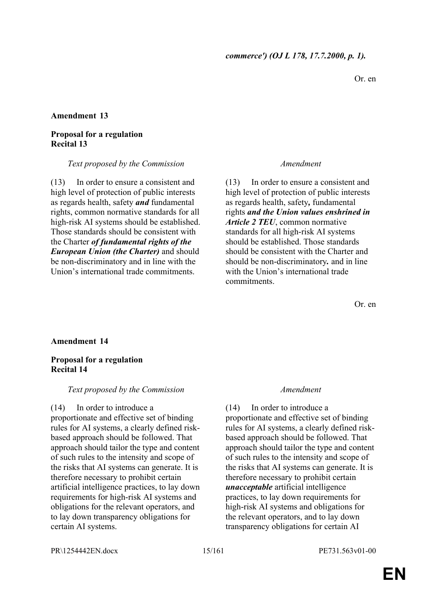Or. en

### **Amendment 13**

# **Proposal for a regulation Recital 13**

### *Text proposed by the Commission Amendment*

(13) In order to ensure a consistent and high level of protection of public interests as regards health, safety *and* fundamental rights, common normative standards for all high-risk AI systems should be established. Those standards should be consistent with the Charter *of fundamental rights of the European Union (the Charter)* and should be non-discriminatory and in line with the Union's international trade commitments.

(13) In order to ensure a consistent and high level of protection of public interests as regards health, safety*,* fundamental rights *and the Union values enshrined in Article 2 TEU*, common normative standards for all high-risk AI systems should be established. Those standards should be consistent with the Charter and should be non-discriminatory*.* and in line with the Union's international trade commitments.

Or. en

# **Amendment 14**

# **Proposal for a regulation Recital 14**

# *Text proposed by the Commission Amendment*

(14) In order to introduce a proportionate and effective set of binding rules for AI systems, a clearly defined riskbased approach should be followed. That approach should tailor the type and content of such rules to the intensity and scope of the risks that AI systems can generate. It is therefore necessary to prohibit certain artificial intelligence practices, to lay down requirements for high-risk AI systems and obligations for the relevant operators, and to lay down transparency obligations for certain AI systems.

(14) In order to introduce a proportionate and effective set of binding rules for AI systems, a clearly defined riskbased approach should be followed. That approach should tailor the type and content of such rules to the intensity and scope of the risks that AI systems can generate. It is therefore necessary to prohibit certain *unacceptable* artificial intelligence practices, to lay down requirements for high-risk AI systems and obligations for the relevant operators, and to lay down transparency obligations for certain AI

PR\1254442EN.docx 15/161 PE731.563v01-00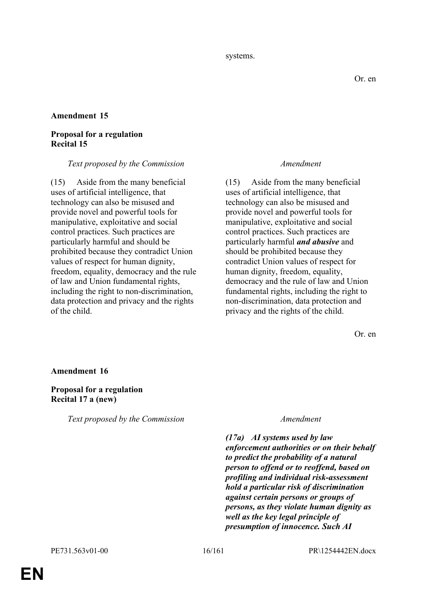#### systems.

### **Amendment 15**

# **Proposal for a regulation Recital 15**

### *Text proposed by the Commission Amendment*

(15) Aside from the many beneficial uses of artificial intelligence, that technology can also be misused and provide novel and powerful tools for manipulative, exploitative and social control practices. Such practices are particularly harmful and should be prohibited because they contradict Union values of respect for human dignity, freedom, equality, democracy and the rule of law and Union fundamental rights, including the right to non-discrimination, data protection and privacy and the rights of the child.

(15) Aside from the many beneficial uses of artificial intelligence, that technology can also be misused and provide novel and powerful tools for manipulative, exploitative and social control practices. Such practices are particularly harmful *and abusive* and should be prohibited because they contradict Union values of respect for human dignity, freedom, equality, democracy and the rule of law and Union fundamental rights, including the right to non-discrimination, data protection and privacy and the rights of the child.

Or. en

### **Amendment 16**

### **Proposal for a regulation Recital 17 a (new)**

*Text proposed by the Commission Amendment*

*(17a) AI systems used by law enforcement authorities or on their behalf to predict the probability of a natural person to offend or to reoffend, based on profiling and individual risk-assessment hold a particular risk of discrimination against certain persons or groups of persons, as they violate human dignity as well as the key legal principle of presumption of innocence. Such AI*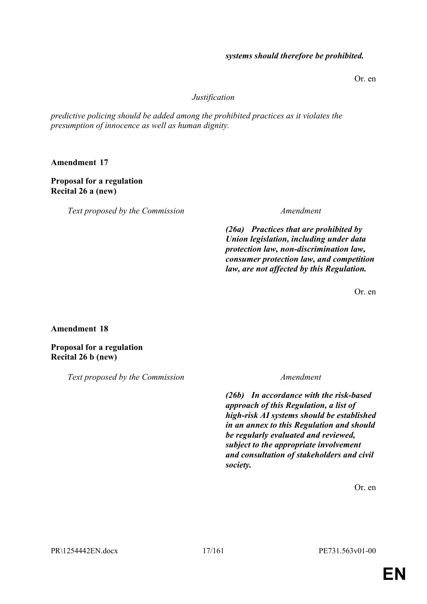# *systems should therefore be prohibited.*

Or. en

### *Justification*

*predictive policing should be added among the prohibited practices as it violates the presumption of innocence as well as human dignity.*

**Amendment 17**

# **Proposal for a regulation Recital 26 a (new)**

*Text proposed by the Commission Amendment*

*(26a) Practices that are prohibited by Union legislation, including under data protection law, non-discrimination law, consumer protection law, and competition law, are not affected by this Regulation.*

Or. en

**Amendment 18**

**Proposal for a regulation Recital 26 b (new)**

*Text proposed by the Commission Amendment*

*(26b) In accordance with the risk-based approach of this Regulation, a list of high-risk AI systems should be established in an annex to this Regulation and should be regularly evaluated and reviewed, subject to the appropriate involvement and consultation of stakeholders and civil society.*

Or. en

PR\1254442EN.docx 17/161 PE731.563v01-00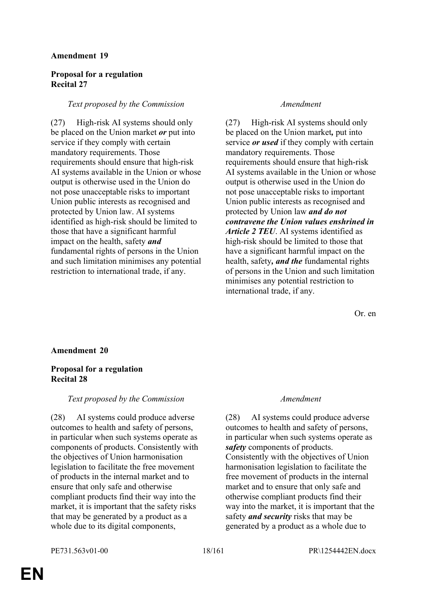# **Amendment 19**

# **Proposal for a regulation Recital 27**

# *Text proposed by the Commission Amendment*

(27) High-risk AI systems should only be placed on the Union market *or* put into service if they comply with certain mandatory requirements. Those requirements should ensure that high-risk AI systems available in the Union or whose output is otherwise used in the Union do not pose unacceptable risks to important Union public interests as recognised and protected by Union law. AI systems identified as high-risk should be limited to those that have a significant harmful impact on the health, safety *and* fundamental rights of persons in the Union and such limitation minimises any potential restriction to international trade, if any.

(27) High-risk AI systems should only be placed on the Union market*,* put into service *or used* if they comply with certain mandatory requirements. Those requirements should ensure that high-risk AI systems available in the Union or whose output is otherwise used in the Union do not pose unacceptable risks to important Union public interests as recognised and protected by Union law *and do not contravene the Union values enshrined in Article 2 TEU*. AI systems identified as high-risk should be limited to those that have a significant harmful impact on the health, safety*, and the* fundamental rights of persons in the Union and such limitation minimises any potential restriction to international trade, if any.

Or. en

# **Amendment 20**

# **Proposal for a regulation Recital 28**

# *Text proposed by the Commission Amendment*

(28) AI systems could produce adverse outcomes to health and safety of persons, in particular when such systems operate as components of products. Consistently with the objectives of Union harmonisation legislation to facilitate the free movement of products in the internal market and to ensure that only safe and otherwise compliant products find their way into the market, it is important that the safety risks that may be generated by a product as a whole due to its digital components,

(28) AI systems could produce adverse outcomes to health and safety of persons, in particular when such systems operate as *safety* components of products. Consistently with the objectives of Union harmonisation legislation to facilitate the free movement of products in the internal market and to ensure that only safe and otherwise compliant products find their way into the market, it is important that the safety *and security* risks that may be generated by a product as a whole due to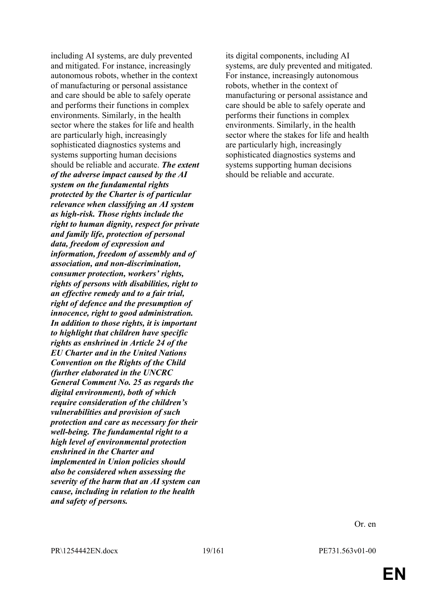including AI systems, are duly prevented and mitigated. For instance, increasingly autonomous robots, whether in the context of manufacturing or personal assistance and care should be able to safely operate and performs their functions in complex environments. Similarly, in the health sector where the stakes for life and health are particularly high, increasingly sophisticated diagnostics systems and systems supporting human decisions should be reliable and accurate. *The extent of the adverse impact caused by the AI system on the fundamental rights protected by the Charter is of particular relevance when classifying an AI system as high-risk. Those rights include the right to human dignity, respect for private and family life, protection of personal data, freedom of expression and information, freedom of assembly and of association, and non-discrimination, consumer protection, workers' rights, rights of persons with disabilities, right to an effective remedy and to a fair trial, right of defence and the presumption of innocence, right to good administration. In addition to those rights, it is important to highlight that children have specific rights as enshrined in Article 24 of the EU Charter and in the United Nations Convention on the Rights of the Child (further elaborated in the UNCRC General Comment No. 25 as regards the digital environment), both of which require consideration of the children's vulnerabilities and provision of such protection and care as necessary for their well-being. The fundamental right to a high level of environmental protection enshrined in the Charter and implemented in Union policies should also be considered when assessing the severity of the harm that an AI system can cause, including in relation to the health and safety of persons.*

its digital components, including AI systems, are duly prevented and mitigated. For instance, increasingly autonomous robots, whether in the context of manufacturing or personal assistance and care should be able to safely operate and performs their functions in complex environments. Similarly, in the health sector where the stakes for life and health are particularly high, increasingly sophisticated diagnostics systems and systems supporting human decisions should be reliable and accurate.

Or. en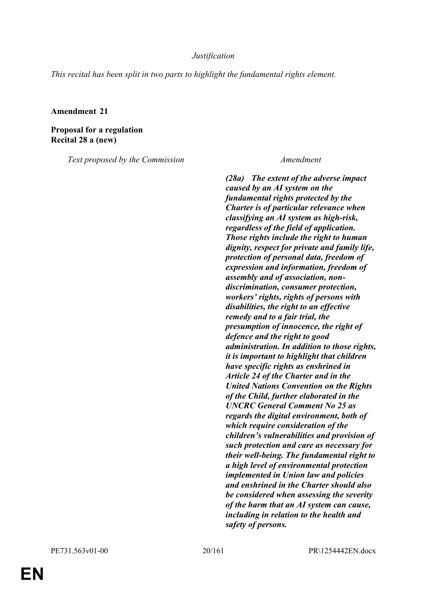# *Justification*

*This recital has been split in two parts to highlight the fundamental rights element.*

### **Amendment 21**

**Proposal for a regulation Recital 28 a (new)**

*Text proposed by the Commission Amendment*

*(28a) The extent of the adverse impact caused by an AI system on the fundamental rights protected by the Charter is of particular relevance when classifying an AI system as high-risk, regardless of the field of application. Those rights include the right to human dignity, respect for private and family life, protection of personal data, freedom of expression and information, freedom of assembly and of association, nondiscrimination, consumer protection, workers' rights, rights of persons with disabilities, the right to an effective remedy and to a fair trial, the presumption of innocence, the right of defence and the right to good administration. In addition to those rights, it is important to highlight that children have specific rights as enshrined in Article 24 of the Charter and in the United Nations Convention on the Rights of the Child, further elaborated in the UNCRC General Comment No 25 as regards the digital environment, both of which require consideration of the children's vulnerabilities and provision of such protection and care as necessary for their well-being. The fundamental right to a high level of environmental protection implemented in Union law and policies and enshrined in the Charter should also be considered when assessing the severity of the harm that an AI system can cause, including in relation to the health and safety of persons.*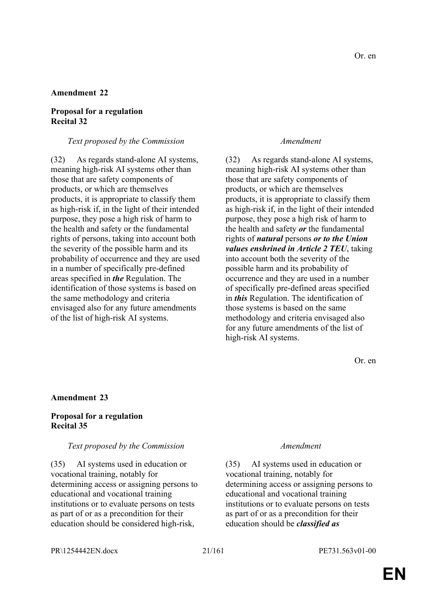# **Amendment 22**

# **Proposal for a regulation Recital 32**

# *Text proposed by the Commission Amendment*

(32) As regards stand-alone AI systems, meaning high-risk AI systems other than those that are safety components of products, or which are themselves products, it is appropriate to classify them as high-risk if, in the light of their intended purpose, they pose a high risk of harm to the health and safety or the fundamental rights of persons, taking into account both the severity of the possible harm and its probability of occurrence and they are used in a number of specifically pre-defined areas specified in *the* Regulation. The identification of those systems is based on the same methodology and criteria envisaged also for any future amendments of the list of high-risk AI systems.

(32) As regards stand-alone AI systems, meaning high-risk AI systems other than those that are safety components of products, or which are themselves products, it is appropriate to classify them as high-risk if, in the light of their intended purpose, they pose a high risk of harm to the health and safety *or* the fundamental rights of *natural* persons *or to the Union values enshrined in Article 2 TEU*, taking into account both the severity of the possible harm and its probability of occurrence and they are used in a number of specifically pre-defined areas specified in *this* Regulation. The identification of those systems is based on the same methodology and criteria envisaged also for any future amendments of the list of high-risk AI systems.

Or. en

### **Amendment 23**

### **Proposal for a regulation Recital 35**

### *Text proposed by the Commission Amendment*

(35) AI systems used in education or vocational training, notably for determining access or assigning persons to educational and vocational training institutions or to evaluate persons on tests as part of or as a precondition for their education should be considered high-risk,

(35) AI systems used in education or vocational training, notably for determining access or assigning persons to educational and vocational training institutions or to evaluate persons on tests as part of or as a precondition for their education should be *classified as*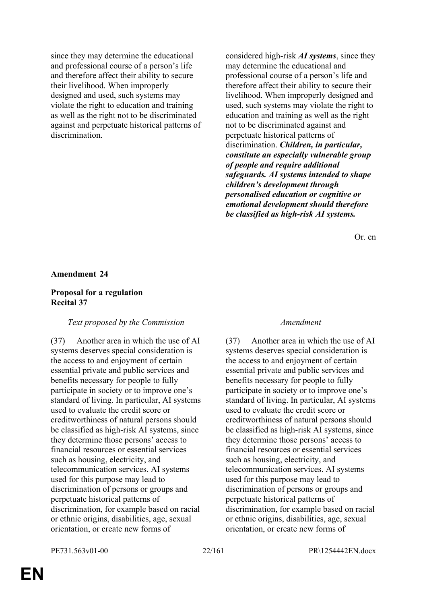since they may determine the educational and professional course of a person's life and therefore affect their ability to secure their livelihood. When improperly designed and used, such systems may violate the right to education and training as well as the right not to be discriminated against and perpetuate historical patterns of discrimination.

considered high-risk *AI systems*, since they may determine the educational and professional course of a person's life and therefore affect their ability to secure their livelihood. When improperly designed and used, such systems may violate the right to education and training as well as the right not to be discriminated against and perpetuate historical patterns of discrimination. *Children, in particular, constitute an especially vulnerable group of people and require additional safeguards. AI systems intended to shape children's development through personalised education or cognitive or emotional development should therefore be classified as high-risk AI systems.* 

Or. en

#### **Amendment 24**

### **Proposal for a regulation Recital 37**

#### *Text proposed by the Commission Amendment*

(37) Another area in which the use of AI systems deserves special consideration is the access to and enjoyment of certain essential private and public services and benefits necessary for people to fully participate in society or to improve one's standard of living. In particular, AI systems used to evaluate the credit score or creditworthiness of natural persons should be classified as high-risk AI systems, since they determine those persons' access to financial resources or essential services such as housing, electricity, and telecommunication services. AI systems used for this purpose may lead to discrimination of persons or groups and perpetuate historical patterns of discrimination, for example based on racial or ethnic origins, disabilities, age, sexual orientation, or create new forms of

(37) Another area in which the use of AI systems deserves special consideration is the access to and enjoyment of certain essential private and public services and benefits necessary for people to fully participate in society or to improve one's standard of living. In particular, AI systems used to evaluate the credit score or creditworthiness of natural persons should be classified as high-risk AI systems, since they determine those persons' access to financial resources or essential services such as housing, electricity, and telecommunication services. AI systems used for this purpose may lead to discrimination of persons or groups and perpetuate historical patterns of discrimination, for example based on racial or ethnic origins, disabilities, age, sexual orientation, or create new forms of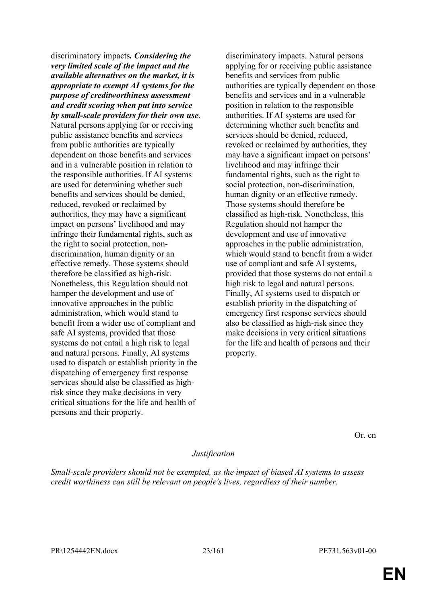discriminatory impacts*. Considering the very limited scale of the impact and the available alternatives on the market, it is appropriate to exempt AI systems for the purpose of creditworthiness assessment and credit scoring when put into service by small-scale providers for their own use*.

Natural persons applying for or receiving public assistance benefits and services from public authorities are typically dependent on those benefits and services and in a vulnerable position in relation to the responsible authorities. If AI systems are used for determining whether such benefits and services should be denied, reduced, revoked or reclaimed by authorities, they may have a significant impact on persons' livelihood and may infringe their fundamental rights, such as the right to social protection, nondiscrimination, human dignity or an effective remedy. Those systems should therefore be classified as high-risk. Nonetheless, this Regulation should not hamper the development and use of innovative approaches in the public administration, which would stand to benefit from a wider use of compliant and safe AI systems, provided that those systems do not entail a high risk to legal and natural persons. Finally, AI systems used to dispatch or establish priority in the dispatching of emergency first response services should also be classified as highrisk since they make decisions in very critical situations for the life and health of persons and their property.

discriminatory impacts. Natural persons applying for or receiving public assistance benefits and services from public authorities are typically dependent on those benefits and services and in a vulnerable position in relation to the responsible authorities. If AI systems are used for determining whether such benefits and services should be denied, reduced, revoked or reclaimed by authorities, they may have a significant impact on persons' livelihood and may infringe their fundamental rights, such as the right to social protection, non-discrimination, human dignity or an effective remedy. Those systems should therefore be classified as high-risk. Nonetheless, this Regulation should not hamper the development and use of innovative approaches in the public administration, which would stand to benefit from a wider use of compliant and safe AI systems, provided that those systems do not entail a high risk to legal and natural persons. Finally, AI systems used to dispatch or establish priority in the dispatching of emergency first response services should also be classified as high-risk since they make decisions in very critical situations for the life and health of persons and their property.

Or. en

# *Justification*

*Small-scale providers should not be exempted, as the impact of biased AI systems to assess credit worthiness can still be relevant on people's lives, regardless of their number.*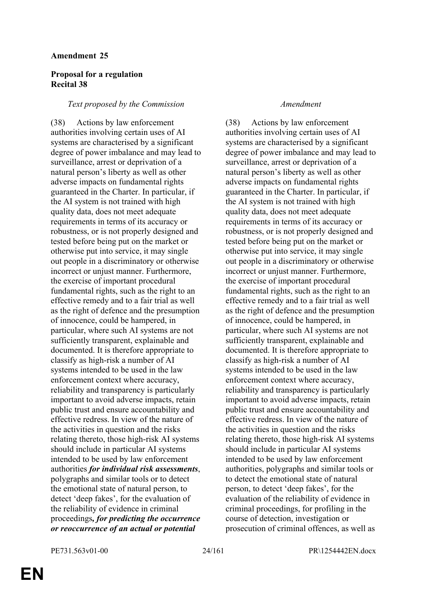### **Amendment 25**

# **Proposal for a regulation Recital 38**

### *Text proposed by the Commission Amendment*

(38) Actions by law enforcement authorities involving certain uses of AI systems are characterised by a significant degree of power imbalance and may lead to surveillance, arrest or deprivation of a natural person's liberty as well as other adverse impacts on fundamental rights guaranteed in the Charter. In particular, if the AI system is not trained with high quality data, does not meet adequate requirements in terms of its accuracy or robustness, or is not properly designed and tested before being put on the market or otherwise put into service, it may single out people in a discriminatory or otherwise incorrect or unjust manner. Furthermore, the exercise of important procedural fundamental rights, such as the right to an effective remedy and to a fair trial as well as the right of defence and the presumption of innocence, could be hampered, in particular, where such AI systems are not sufficiently transparent, explainable and documented. It is therefore appropriate to classify as high-risk a number of AI systems intended to be used in the law enforcement context where accuracy, reliability and transparency is particularly important to avoid adverse impacts, retain public trust and ensure accountability and effective redress. In view of the nature of the activities in question and the risks relating thereto, those high-risk AI systems should include in particular AI systems intended to be used by law enforcement authorities *for individual risk assessments*, polygraphs and similar tools or to detect the emotional state of natural person, to detect 'deep fakes', for the evaluation of the reliability of evidence in criminal proceedings*, for predicting the occurrence or reoccurrence of an actual or potential* 

(38) Actions by law enforcement authorities involving certain uses of AI systems are characterised by a significant degree of power imbalance and may lead to surveillance, arrest or deprivation of a natural person's liberty as well as other adverse impacts on fundamental rights guaranteed in the Charter. In particular, if the AI system is not trained with high quality data, does not meet adequate requirements in terms of its accuracy or robustness, or is not properly designed and tested before being put on the market or otherwise put into service, it may single out people in a discriminatory or otherwise incorrect or unjust manner. Furthermore, the exercise of important procedural fundamental rights, such as the right to an effective remedy and to a fair trial as well as the right of defence and the presumption of innocence, could be hampered, in particular, where such AI systems are not sufficiently transparent, explainable and documented. It is therefore appropriate to classify as high-risk a number of AI systems intended to be used in the law enforcement context where accuracy, reliability and transparency is particularly important to avoid adverse impacts, retain public trust and ensure accountability and effective redress. In view of the nature of the activities in question and the risks relating thereto, those high-risk AI systems should include in particular AI systems intended to be used by law enforcement authorities, polygraphs and similar tools or to detect the emotional state of natural person, to detect 'deep fakes', for the evaluation of the reliability of evidence in criminal proceedings, for profiling in the course of detection, investigation or prosecution of criminal offences, as well as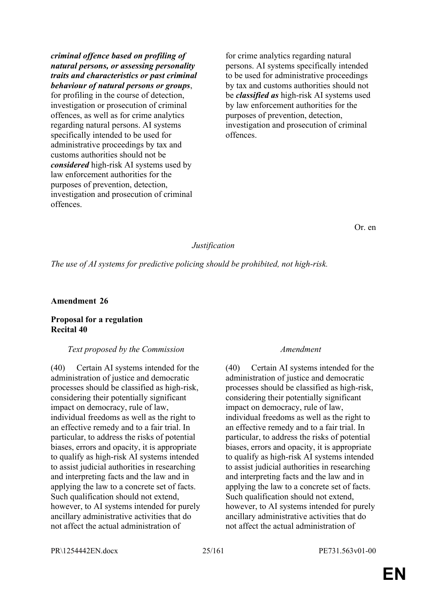*criminal offence based on profiling of natural persons, or assessing personality traits and characteristics or past criminal behaviour of natural persons or groups*, for profiling in the course of detection, investigation or prosecution of criminal offences, as well as for crime analytics regarding natural persons. AI systems specifically intended to be used for administrative proceedings by tax and customs authorities should not be

*considered* high-risk AI systems used by law enforcement authorities for the purposes of prevention, detection, investigation and prosecution of criminal offences.

for crime analytics regarding natural persons. AI systems specifically intended to be used for administrative proceedings by tax and customs authorities should not be *classified as* high-risk AI systems used by law enforcement authorities for the purposes of prevention, detection, investigation and prosecution of criminal offences.

Or. en

# *Justification*

*The use of AI systems for predictive policing should be prohibited, not high-risk.*

### **Amendment 26**

# **Proposal for a regulation Recital 40**

# *Text proposed by the Commission Amendment*

(40) Certain AI systems intended for the administration of justice and democratic processes should be classified as high-risk, considering their potentially significant impact on democracy, rule of law, individual freedoms as well as the right to an effective remedy and to a fair trial. In particular, to address the risks of potential biases, errors and opacity, it is appropriate to qualify as high-risk AI systems intended to assist judicial authorities in researching and interpreting facts and the law and in applying the law to a concrete set of facts. Such qualification should not extend, however, to AI systems intended for purely ancillary administrative activities that do not affect the actual administration of

(40) Certain AI systems intended for the administration of justice and democratic processes should be classified as high-risk, considering their potentially significant impact on democracy, rule of law, individual freedoms as well as the right to an effective remedy and to a fair trial. In particular, to address the risks of potential biases, errors and opacity, it is appropriate to qualify as high-risk AI systems intended to assist judicial authorities in researching and interpreting facts and the law and in applying the law to a concrete set of facts. Such qualification should not extend, however, to AI systems intended for purely ancillary administrative activities that do not affect the actual administration of

PR\1254442EN.docx 25/161 PE731.563v01-00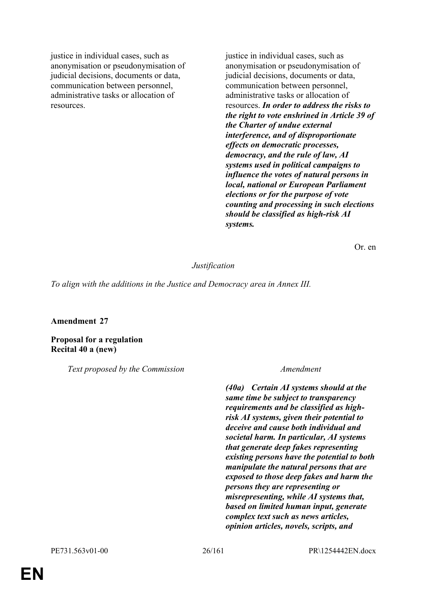justice in individual cases, such as anonymisation or pseudonymisation of judicial decisions, documents or data, communication between personnel, administrative tasks or allocation of resources.

justice in individual cases, such as anonymisation or pseudonymisation of judicial decisions, documents or data, communication between personnel, administrative tasks or allocation of resources. *In order to address the risks to the right to vote enshrined in Article 39 of the Charter of undue external interference, and of disproportionate effects on democratic processes, democracy, and the rule of law, AI systems used in political campaigns to influence the votes of natural persons in local, national or European Parliament elections or for the purpose of vote counting and processing in such elections should be classified as high-risk AI systems.*

Or. en

### *Justification*

*To align with the additions in the Justice and Democracy area in Annex III.*

#### **Amendment 27**

**Proposal for a regulation Recital 40 a (new)**

*Text proposed by the Commission Amendment*

*(40a) Certain AI systems should at the same time be subject to transparency requirements and be classified as highrisk AI systems, given their potential to deceive and cause both individual and societal harm. In particular, AI systems that generate deep fakes representing existing persons have the potential to both manipulate the natural persons that are exposed to those deep fakes and harm the persons they are representing or misrepresenting, while AI systems that, based on limited human input, generate complex text such as news articles, opinion articles, novels, scripts, and*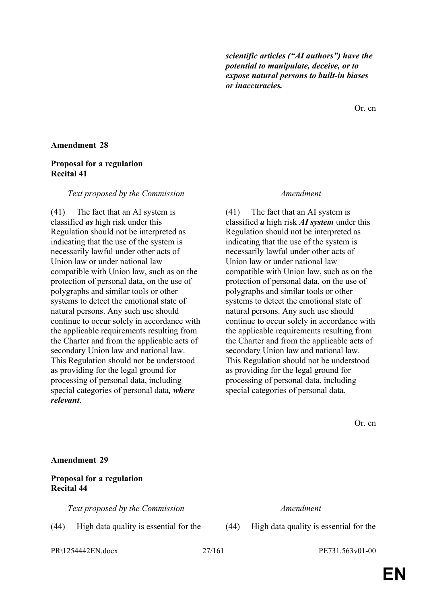*scientific articles ("AI authors") have the potential to manipulate, deceive, or to expose natural persons to built-in biases or inaccuracies.*

Or. en

# **Amendment 28**

# **Proposal for a regulation Recital 41**

#### *Text proposed by the Commission Amendment*

(41) The fact that an AI system is classified *as* high risk under this Regulation should not be interpreted as indicating that the use of the system is necessarily lawful under other acts of Union law or under national law compatible with Union law, such as on the protection of personal data, on the use of polygraphs and similar tools or other systems to detect the emotional state of natural persons. Any such use should continue to occur solely in accordance with the applicable requirements resulting from the Charter and from the applicable acts of secondary Union law and national law. This Regulation should not be understood as providing for the legal ground for processing of personal data, including special categories of personal data*, where relevant*.

(41) The fact that an AI system is classified *a* high risk *AI system* under this Regulation should not be interpreted as indicating that the use of the system is necessarily lawful under other acts of Union law or under national law compatible with Union law, such as on the protection of personal data, on the use of polygraphs and similar tools or other systems to detect the emotional state of natural persons. Any such use should continue to occur solely in accordance with the applicable requirements resulting from the Charter and from the applicable acts of secondary Union law and national law. This Regulation should not be understood as providing for the legal ground for processing of personal data, including special categories of personal data.

Or. en

#### **Amendment 29**

### **Proposal for a regulation Recital 44**

*Text proposed by the Commission Amendment*

(44) High data quality is essential for the (44) High data quality is essential for the

PR\1254442EN.docx 27/161 PE731.563v01-00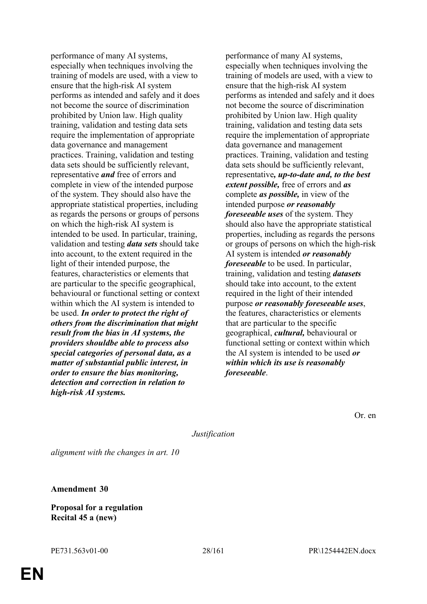performance of many AI systems, especially when techniques involving the training of models are used, with a view to ensure that the high-risk AI system performs as intended and safely and it does not become the source of discrimination prohibited by Union law. High quality training, validation and testing data sets require the implementation of appropriate data governance and management practices. Training, validation and testing data sets should be sufficiently relevant, representative *and* free of errors and complete in view of the intended purpose of the system. They should also have the appropriate statistical properties, including as regards the persons or groups of persons on which the high-risk AI system is intended to be used. In particular, training, validation and testing *data sets* should take into account, to the extent required in the light of their intended purpose, the features, characteristics or elements that are particular to the specific geographical, behavioural or functional setting or context within which the AI system is intended to be used. *In order to protect the right of others from the discrimination that might result from the bias in AI systems, the providers shouldbe able to process also special categories of personal data, as a matter of substantial public interest, in order to ensure the bias monitoring, detection and correction in relation to high-risk AI systems.*

performance of many AI systems, especially when techniques involving the training of models are used, with a view to ensure that the high-risk AI system performs as intended and safely and it does not become the source of discrimination prohibited by Union law. High quality training, validation and testing data sets require the implementation of appropriate data governance and management practices. Training, validation and testing data sets should be sufficiently relevant, representative*, up-to-date and, to the best extent possible,* free of errors and *as* complete *as possible,* in view of the intended purpose *or reasonably foreseeable uses* of the system. They should also have the appropriate statistical properties, including as regards the persons or groups of persons on which the high-risk AI system is intended *or reasonably foreseeable* to be used. In particular, training, validation and testing *datasets* should take into account, to the extent required in the light of their intended purpose *or reasonably foreseeable uses*, the features, characteristics or elements that are particular to the specific geographical, *cultural,* behavioural or functional setting or context within which the AI system is intended to be used *or within which its use is reasonably foreseeable*.

Or. en

*Justification*

*alignment with the changes in art. 10*

**Amendment 30**

**Proposal for a regulation Recital 45 a (new)**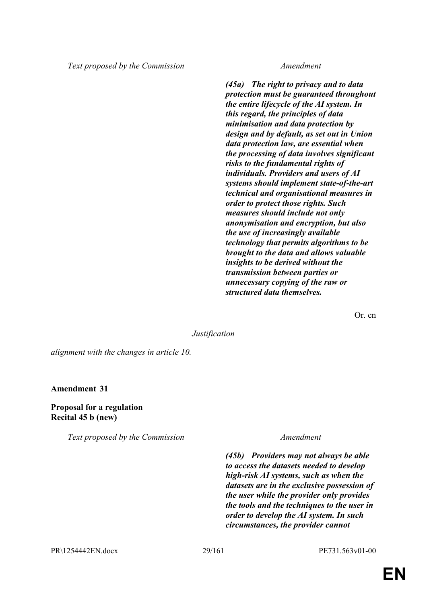*Text proposed by the Commission Amendment*

*(45a) The right to privacy and to data protection must be guaranteed throughout the entire lifecycle of the AI system. In this regard, the principles of data minimisation and data protection by design and by default, as set out in Union data protection law, are essential when the processing of data involves significant risks to the fundamental rights of individuals. Providers and users of AI systems should implement state-of-the-art technical and organisational measures in order to protect those rights. Such measures should include not only anonymisation and encryption, but also the use of increasingly available technology that permits algorithms to be brought to the data and allows valuable insights to be derived without the transmission between parties or unnecessary copying of the raw or structured data themselves.*

Or. en

### *Justification*

*alignment with the changes in article 10.*

**Amendment 31**

### **Proposal for a regulation Recital 45 b (new)**

*Text proposed by the Commission Amendment*

*(45b) Providers may not always be able to access the datasets needed to develop high-risk AI systems, such as when the datasets are in the exclusive possession of the user while the provider only provides the tools and the techniques to the user in order to develop the AI system. In such circumstances, the provider cannot*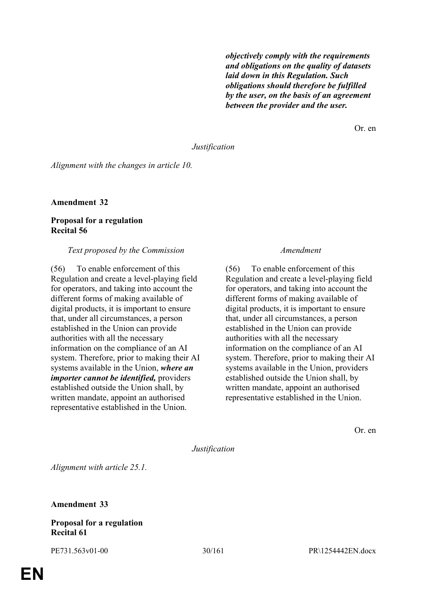*objectively comply with the requirements and obligations on the quality of datasets laid down in this Regulation. Such obligations should therefore be fulfilled by the user, on the basis of an agreement between the provider and the user.*

Or. en

#### *Justification*

*Alignment with the changes in article 10.*

**Amendment 32**

# **Proposal for a regulation Recital 56**

#### *Text proposed by the Commission Amendment*

(56) To enable enforcement of this Regulation and create a level-playing field for operators, and taking into account the different forms of making available of digital products, it is important to ensure that, under all circumstances, a person established in the Union can provide authorities with all the necessary information on the compliance of an AI system. Therefore, prior to making their AI systems available in the Union, *where an importer cannot be identified,* providers established outside the Union shall, by written mandate, appoint an authorised representative established in the Union.

(56) To enable enforcement of this Regulation and create a level-playing field for operators, and taking into account the different forms of making available of digital products, it is important to ensure that, under all circumstances, a person established in the Union can provide authorities with all the necessary information on the compliance of an AI system. Therefore, prior to making their AI systems available in the Union, providers established outside the Union shall, by written mandate, appoint an authorised representative established in the Union.

Or. en

*Justification*

*Alignment with article 25.1.*

**Amendment 33**

#### **Proposal for a regulation Recital 61**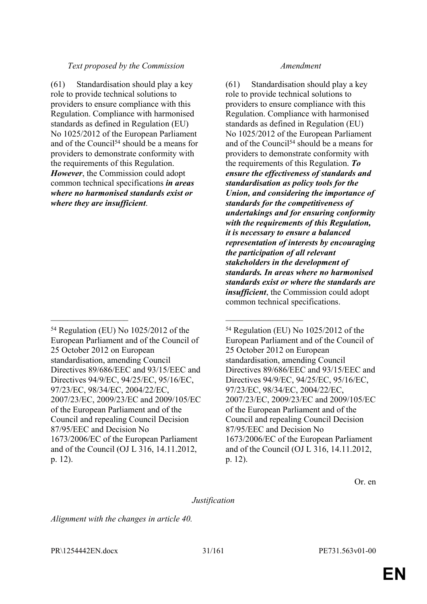# *Text proposed by the Commission Amendment*

(61) Standardisation should play a key role to provide technical solutions to providers to ensure compliance with this Regulation. Compliance with harmonised standards as defined in Regulation (EU) No 1025/2012 of the European Parliament and of the Council<sup>54</sup> should be a means for providers to demonstrate conformity with the requirements of this Regulation. *However*, the Commission could adopt common technical specifications *in areas where no harmonised standards exist or where they are insufficient*.

 $\mathcal{L}_\text{max}$  , and the contract of the contract of the contract of the contract of the contract of the contract of

(61) Standardisation should play a key role to provide technical solutions to providers to ensure compliance with this Regulation. Compliance with harmonised standards as defined in Regulation (EU) No 1025/2012 of the European Parliament and of the Council<sup>54</sup> should be a means for providers to demonstrate conformity with the requirements of this Regulation. *To ensure the effectiveness of standards and standardisation as policy tools for the Union, and considering the importance of standards for the competitiveness of undertakings and for ensuring conformity with the requirements of this Regulation, it is necessary to ensure a balanced representation of interests by encouraging the participation of all relevant stakeholders in the development of standards. In areas where no harmonised standards exist or where the standards are insufficient*, the Commission could adopt common technical specifications.

Or. en

# *Justification*

*Alignment with the changes in article 40.*

PR\1254442EN.docx 31/161 PE731.563v01-00

<sup>54</sup> Regulation (EU) No 1025/2012 of the European Parliament and of the Council of 25 October 2012 on European standardisation, amending Council Directives 89/686/EEC and 93/15/EEC and Directives 94/9/EC, 94/25/EC, 95/16/EC, 97/23/EC, 98/34/EC, 2004/22/EC, 2007/23/EC, 2009/23/EC and 2009/105/EC of the European Parliament and of the Council and repealing Council Decision 87/95/EEC and Decision No 1673/2006/EC of the European Parliament and of the Council (OJ L 316, 14.11.2012, p. 12).

<sup>54</sup> Regulation (EU) No 1025/2012 of the European Parliament and of the Council of 25 October 2012 on European standardisation, amending Council Directives 89/686/EEC and 93/15/EEC and Directives 94/9/EC, 94/25/EC, 95/16/EC, 97/23/EC, 98/34/EC, 2004/22/EC, 2007/23/EC, 2009/23/EC and 2009/105/EC of the European Parliament and of the Council and repealing Council Decision 87/95/EEC and Decision No 1673/2006/EC of the European Parliament and of the Council (OJ L 316, 14.11.2012, p. 12).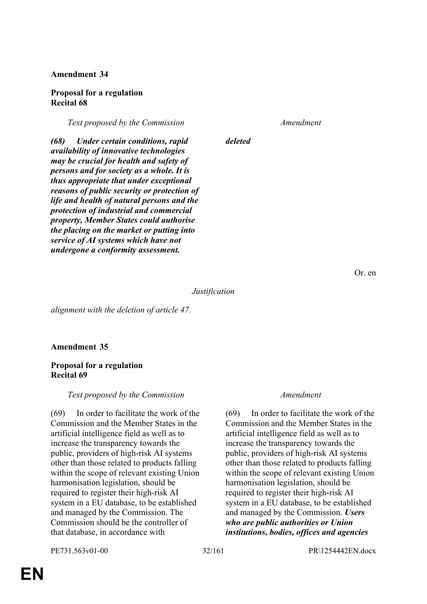# **Amendment 34**

### **Proposal for a regulation Recital 68**

*Text proposed by the Commission Amendment*

*(68) Under certain conditions, rapid availability of innovative technologies may be crucial for health and safety of persons and for society as a whole. It is thus appropriate that under exceptional reasons of public security or protection of life and health of natural persons and the protection of industrial and commercial property, Member States could authorise the placing on the market or putting into service of AI systems which have not undergone a conformity assessment.*

*deleted*

Or. en

*Justification*

*alignment with the deletion of article 47.*

# **Amendment 35**

# **Proposal for a regulation Recital 69**

# *Text proposed by the Commission Amendment*

(69) In order to facilitate the work of the Commission and the Member States in the artificial intelligence field as well as to increase the transparency towards the public, providers of high-risk AI systems other than those related to products falling within the scope of relevant existing Union harmonisation legislation, should be required to register their high-risk AI system in a EU database, to be established and managed by the Commission. The Commission should be the controller of that database, in accordance with

(69) In order to facilitate the work of the Commission and the Member States in the artificial intelligence field as well as to increase the transparency towards the public, providers of high-risk AI systems other than those related to products falling within the scope of relevant existing Union harmonisation legislation, should be required to register their high-risk AI system in a EU database, to be established and managed by the Commission. *Users who are public authorities or Union institutions, bodies, offices and agencies* 

PE731.563v01-00 32/161 PR\1254442EN.docx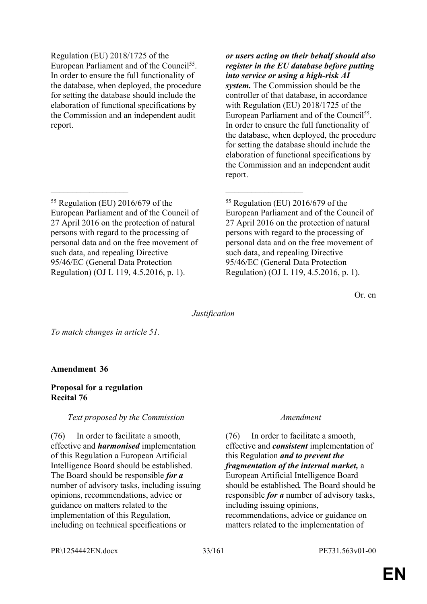Regulation (EU) 2018/1725 of the European Parliament and of the Council<sup>55</sup>. In order to ensure the full functionality of the database, when deployed, the procedure for setting the database should include the elaboration of functional specifications by the Commission and an independent audit report.

<sup>55</sup> Regulation (EU) 2016/679 of the European Parliament and of the Council of 27 April 2016 on the protection of natural persons with regard to the processing of personal data and on the free movement of such data, and repealing Directive 95/46/EC (General Data Protection Regulation) (OJ L 119, 4.5.2016, p. 1).

*or users acting on their behalf should also register in the EU database before putting into service or using a high-risk AI system.* The Commission should be the controller of that database, in accordance with Regulation (EU) 2018/1725 of the European Parliament and of the Council<sup>55</sup>. In order to ensure the full functionality of the database, when deployed, the procedure for setting the database should include the elaboration of functional specifications by the Commission and an independent audit report.

<sup>55</sup> Regulation (EU) 2016/679 of the European Parliament and of the Council of 27 April 2016 on the protection of natural persons with regard to the processing of personal data and on the free movement of such data, and repealing Directive 95/46/EC (General Data Protection Regulation) (OJ L 119, 4.5.2016, p. 1).

Or. en

*Justification*

 $\mathcal{L}_\text{max}$  and  $\mathcal{L}_\text{max}$  and  $\mathcal{L}_\text{max}$  and  $\mathcal{L}_\text{max}$ 

*To match changes in article 51.*

**Amendment 36**

# **Proposal for a regulation Recital 76**

*Text proposed by the Commission Amendment*

(76) In order to facilitate a smooth, effective and *harmonised* implementation of this Regulation a European Artificial Intelligence Board should be established. The Board should be responsible *for a* number of advisory tasks, including issuing opinions, recommendations, advice or guidance on matters related to the implementation of this Regulation, including on technical specifications or

(76) In order to facilitate a smooth, effective and *consistent* implementation of this Regulation *and to prevent the fragmentation of the internal market,* a European Artificial Intelligence Board should be established*.* The Board should be responsible *for a* number of advisory tasks, including issuing opinions, recommendations, advice or guidance on matters related to the implementation of

PR\1254442EN.docx 33/161 PE731.563v01-00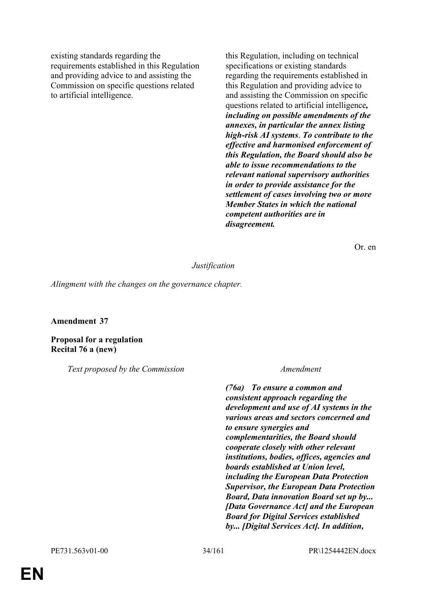existing standards regarding the requirements established in this Regulation and providing advice to and assisting the Commission on specific questions related to artificial intelligence.

this Regulation, including on technical specifications or existing standards regarding the requirements established in this Regulation and providing advice to and assisting the Commission on specific questions related to artificial intelligence*, including on possible amendments of the annexes, in particular the annex listing high-risk AI systems*. *To contribute to the effective and harmonised enforcement of this Regulation, the Board should also be able to issue recommendations to the relevant national supervisory authorities in order to provide assistance for the settlement of cases involving two or more Member States in which the national competent authorities are in disagreement.*

Or. en

### *Justification*

*Alingment with the changes on the governance chapter.*

### **Amendment 37**

**Proposal for a regulation Recital 76 a (new)**

*Text proposed by the Commission Amendment*

*(76a) To ensure a common and consistent approach regarding the development and use of AI systems in the various areas and sectors concerned and to ensure synergies and complementarities, the Board should cooperate closely with other relevant institutions, bodies, offices, agencies and boards established at Union level, including the European Data Protection Supervisor, the European Data Protection Board, Data innovation Board set up by... [Data Governance Act] and the European Board for Digital Services established by... [Digital Services Act]. In addition,*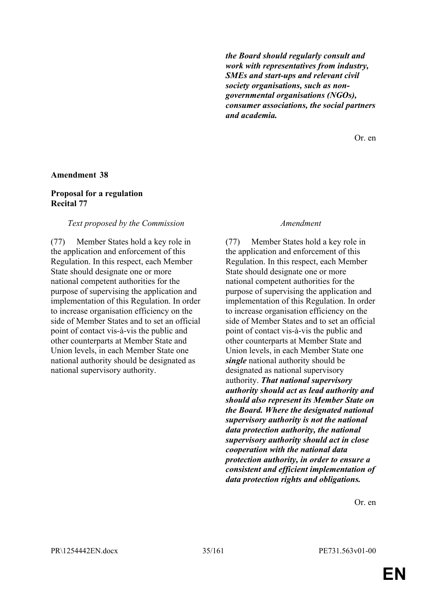*the Board should regularly consult and work with representatives from industry, SMEs and start-ups and relevant civil society organisations, such as nongovernmental organisations (NGOs), consumer associations, the social partners and academia.*

Or. en

### **Amendment 38**

### **Proposal for a regulation Recital 77**

#### *Text proposed by the Commission Amendment*

(77) Member States hold a key role in the application and enforcement of this Regulation. In this respect, each Member State should designate one or more national competent authorities for the purpose of supervising the application and implementation of this Regulation. In order to increase organisation efficiency on the side of Member States and to set an official point of contact vis-à-vis the public and other counterparts at Member State and Union levels, in each Member State one national authority should be designated as national supervisory authority.

(77) Member States hold a key role in the application and enforcement of this Regulation. In this respect, each Member State should designate one or more national competent authorities for the purpose of supervising the application and implementation of this Regulation. In order to increase organisation efficiency on the side of Member States and to set an official point of contact vis-à-vis the public and other counterparts at Member State and Union levels, in each Member State one *single* national authority should be designated as national supervisory authority. *That national supervisory authority should act as lead authority and should also represent its Member State on the Board. Where the designated national supervisory authority is not the national data protection authority, the national supervisory authority should act in close cooperation with the national data protection authority, in order to ensure a consistent and efficient implementation of data protection rights and obligations.*

Or. en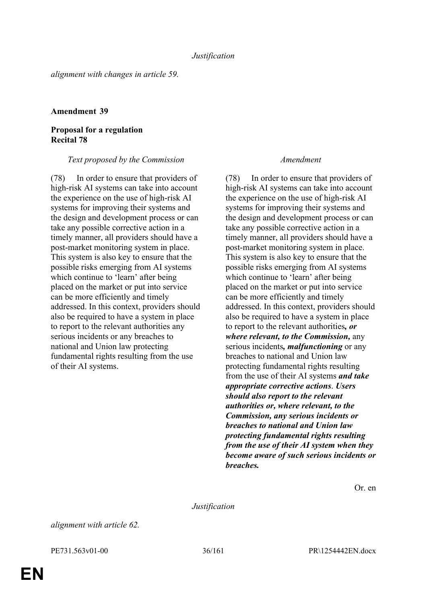*alignment with changes in article 59.*

### **Amendment 39**

# **Proposal for a regulation Recital 78**

### *Text proposed by the Commission Amendment*

(78) In order to ensure that providers of high-risk AI systems can take into account the experience on the use of high-risk AI systems for improving their systems and the design and development process or can take any possible corrective action in a timely manner, all providers should have a post-market monitoring system in place. This system is also key to ensure that the possible risks emerging from AI systems which continue to 'learn' after being placed on the market or put into service can be more efficiently and timely addressed. In this context, providers should also be required to have a system in place to report to the relevant authorities any serious incidents or any breaches to national and Union law protecting fundamental rights resulting from the use of their AI systems.

(78) In order to ensure that providers of high-risk AI systems can take into account the experience on the use of high-risk AI systems for improving their systems and the design and development process or can take any possible corrective action in a timely manner, all providers should have a post-market monitoring system in place. This system is also key to ensure that the possible risks emerging from AI systems which continue to 'learn' after being placed on the market or put into service can be more efficiently and timely addressed. In this context, providers should also be required to have a system in place to report to the relevant authorities*, or where relevant, to the Commission,* any serious incidents*, malfunctioning* or any breaches to national and Union law protecting fundamental rights resulting from the use of their AI systems *and take appropriate corrective actions*. *Users should also report to the relevant authorities or, where relevant, to the Commission, any serious incidents or breaches to national and Union law protecting fundamental rights resulting from the use of their AI system when they become aware of such serious incidents or breaches.*

Or. en

*Justification*

*alignment with article 62.*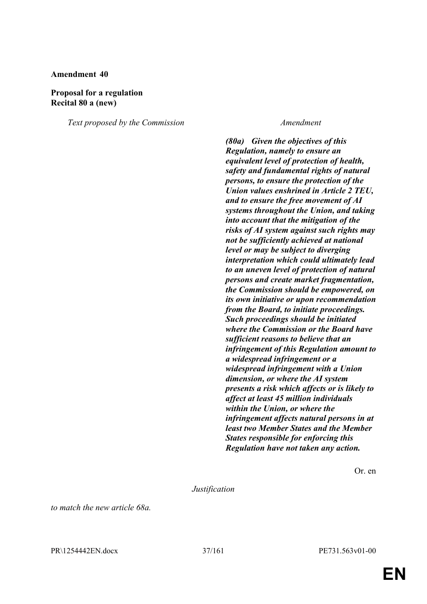#### **Proposal for a regulation Recital 80 a (new)**

*Text proposed by the Commission Amendment*

*(80a) Given the objectives of this Regulation, namely to ensure an equivalent level of protection of health, safety and fundamental rights of natural persons, to ensure the protection of the Union values enshrined in Article 2 TEU, and to ensure the free movement of AI systems throughout the Union, and taking into account that the mitigation of the risks of AI system against such rights may not be sufficiently achieved at national level or may be subject to diverging interpretation which could ultimately lead to an uneven level of protection of natural persons and create market fragmentation, the Commission should be empowered, on its own initiative or upon recommendation from the Board, to initiate proceedings. Such proceedings should be initiated where the Commission or the Board have sufficient reasons to believe that an infringement of this Regulation amount to a widespread infringement or a widespread infringement with a Union dimension, or where the AI system presents a risk which affects or is likely to affect at least 45 million individuals within the Union, or where the infringement affects natural persons in at least two Member States and the Member States responsible for enforcing this Regulation have not taken any action.*

Or. en

*Justification*

*to match the new article 68a.*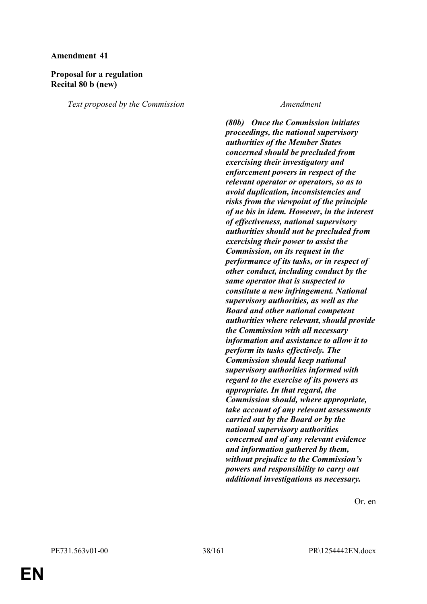# **Proposal for a regulation Recital 80 b (new)**

*Text proposed by the Commission Amendment*

*(80b) Once the Commission initiates proceedings, the national supervisory authorities of the Member States concerned should be precluded from exercising their investigatory and enforcement powers in respect of the relevant operator or operators, so as to avoid duplication, inconsistencies and risks from the viewpoint of the principle of ne bis in idem. However, in the interest of effectiveness, national supervisory authorities should not be precluded from exercising their power to assist the Commission, on its request in the performance of its tasks, or in respect of other conduct, including conduct by the same operator that is suspected to constitute a new infringement. National supervisory authorities, as well as the Board and other national competent authorities where relevant, should provide the Commission with all necessary information and assistance to allow it to perform its tasks effectively. The Commission should keep national supervisory authorities informed with regard to the exercise of its powers as appropriate. In that regard, the Commission should, where appropriate, take account of any relevant assessments carried out by the Board or by the national supervisory authorities concerned and of any relevant evidence and information gathered by them, without prejudice to the Commission's powers and responsibility to carry out additional investigations as necessary.*

Or. en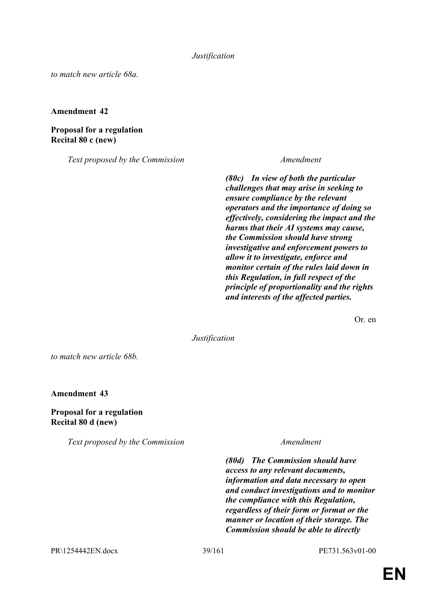*Justification*

*to match new article 68a.*

**Amendment 42**

**Proposal for a regulation Recital 80 c (new)**

*Text proposed by the Commission Amendment*

*(80c) In view of both the particular challenges that may arise in seeking to ensure compliance by the relevant operators and the importance of doing so effectively, considering the impact and the harms that their AI systems may cause, the Commission should have strong investigative and enforcement powers to allow it to investigate, enforce and monitor certain of the rules laid down in this Regulation, in full respect of the principle of proportionality and the rights and interests of the affected parties.*

Or. en

*Justification*

*to match new article 68b.*

**Amendment 43**

**Proposal for a regulation Recital 80 d (new)**

*Text proposed by the Commission Amendment*

*(80d) The Commission should have access to any relevant documents, information and data necessary to open and conduct investigations and to monitor the compliance with this Regulation, regardless of their form or format or the manner or location of their storage. The Commission should be able to directly* 

PR\1254442EN.docx 39/161 PE731.563v01-00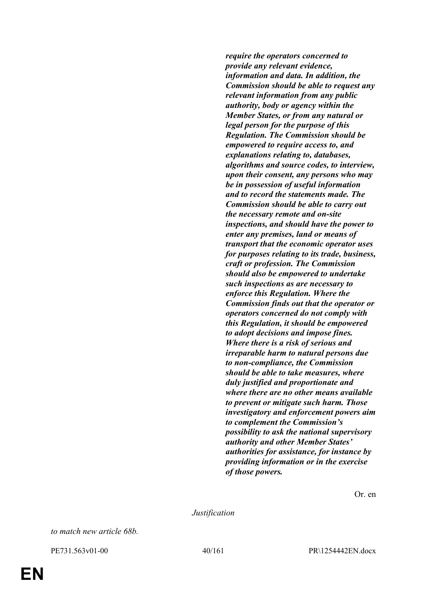*require the operators concerned to provide any relevant evidence, information and data. In addition, the Commission should be able to request any relevant information from any public authority, body or agency within the Member States, or from any natural or legal person for the purpose of this Regulation. The Commission should be empowered to require access to, and explanations relating to, databases, algorithms and source codes, to interview, upon their consent, any persons who may be in possession of useful information and to record the statements made. The Commission should be able to carry out the necessary remote and on-site inspections, and should have the power to enter any premises, land or means of transport that the economic operator uses for purposes relating to its trade, business, craft or profession. The Commission should also be empowered to undertake such inspections as are necessary to enforce this Regulation. Where the Commission finds out that the operator or operators concerned do not comply with this Regulation, it should be empowered to adopt decisions and impose fines. Where there is a risk of serious and irreparable harm to natural persons due to non-compliance, the Commission should be able to take measures, where duly justified and proportionate and where there are no other means available to prevent or mitigate such harm. Those investigatory and enforcement powers aim to complement the Commission's possibility to ask the national supervisory authority and other Member States' authorities for assistance, for instance by providing information or in the exercise of those powers.*

Or. en

*Justification*

*to match new article 68b.*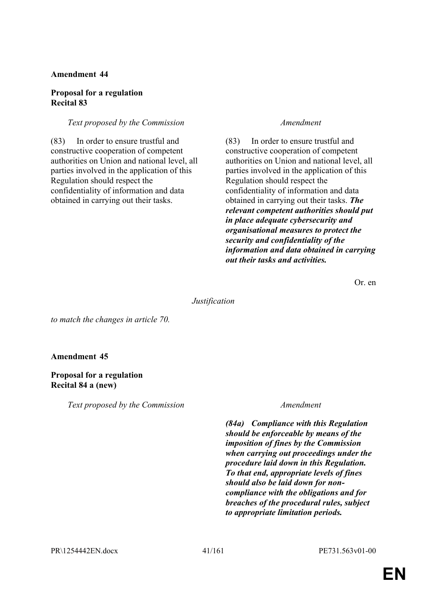## **Proposal for a regulation Recital 83**

# *Text proposed by the Commission Amendment*

(83) In order to ensure trustful and constructive cooperation of competent authorities on Union and national level, all parties involved in the application of this Regulation should respect the confidentiality of information and data obtained in carrying out their tasks.

(83) In order to ensure trustful and constructive cooperation of competent authorities on Union and national level, all parties involved in the application of this Regulation should respect the confidentiality of information and data obtained in carrying out their tasks. *The relevant competent authorities should put in place adequate cybersecurity and organisational measures to protect the security and confidentiality of the information and data obtained in carrying out their tasks and activities.*

Or. en

*Justification*

*to match the changes in article 70.*

# **Amendment 45**

# **Proposal for a regulation Recital 84 a (new)**

*Text proposed by the Commission Amendment*

*(84a) Compliance with this Regulation should be enforceable by means of the imposition of fines by the Commission when carrying out proceedings under the procedure laid down in this Regulation. To that end, appropriate levels of fines should also be laid down for noncompliance with the obligations and for breaches of the procedural rules, subject to appropriate limitation periods.*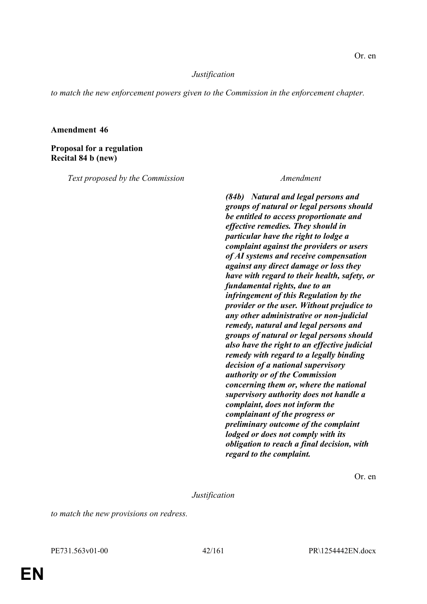## *Justification*

*to match the new enforcement powers given to the Commission in the enforcement chapter.*

## **Amendment 46**

**Proposal for a regulation Recital 84 b (new)**

*Text proposed by the Commission Amendment*

*(84b) Natural and legal persons and groups of natural or legal persons should be entitled to access proportionate and effective remedies. They should in particular have the right to lodge a complaint against the providers or users of AI systems and receive compensation against any direct damage or loss they have with regard to their health, safety, or fundamental rights, due to an infringement of this Regulation by the provider or the user. Without prejudice to any other administrative or non-judicial remedy, natural and legal persons and groups of natural or legal persons should also have the right to an effective judicial remedy with regard to a legally binding decision of a national supervisory authority or of the Commission concerning them or, where the national supervisory authority does not handle a complaint, does not inform the complainant of the progress or preliminary outcome of the complaint lodged or does not comply with its obligation to reach a final decision, with regard to the complaint.*

Or. en

*Justification*

*to match the new provisions on redress.*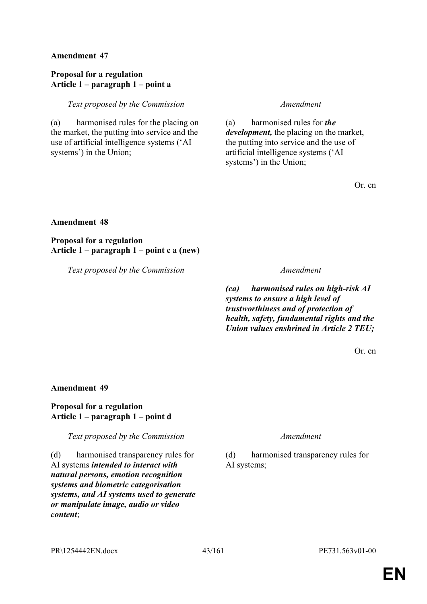# **Proposal for a regulation Article 1 – paragraph 1 – point a**

*Text proposed by the Commission Amendment*

(a) harmonised rules for the placing on the market, the putting into service and the use of artificial intelligence systems ('AI systems') in the Union;

(a) harmonised rules for *the development,* the placing on the market, the putting into service and the use of artificial intelligence systems ('AI systems') in the Union;

Or. en

## **Amendment 48**

**Proposal for a regulation Article 1 – paragraph 1 – point c a (new)**

*Text proposed by the Commission Amendment*

*(ca) harmonised rules on high-risk AI systems to ensure a high level of trustworthiness and of protection of health, safety, fundamental rights and the Union values enshrined in Article 2 TEU;*

Or. en

## **Amendment 49**

# **Proposal for a regulation Article 1 – paragraph 1 – point d**

*Text proposed by the Commission Amendment*

(d) harmonised transparency rules for AI systems *intended to interact with natural persons, emotion recognition systems and biometric categorisation systems, and AI systems used to generate or manipulate image, audio or video content*;

(d) harmonised transparency rules for AI systems;

PR\1254442EN.docx 43/161 PE731.563v01-00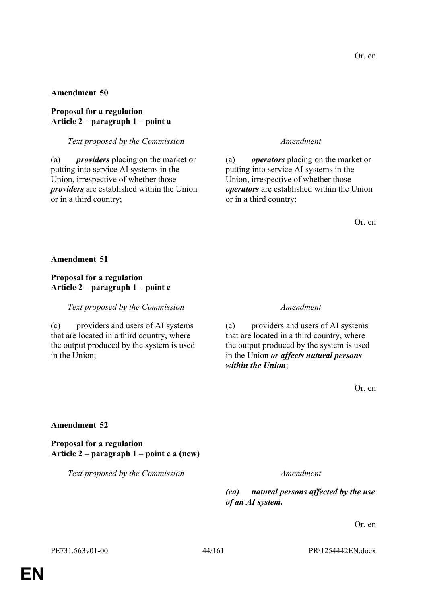# **Proposal for a regulation Article 2 – paragraph 1 – point a**

## *Text proposed by the Commission Amendment*

(a) *providers* placing on the market or putting into service AI systems in the Union, irrespective of whether those *providers* are established within the Union or in a third country;

(a) *operators* placing on the market or putting into service AI systems in the Union, irrespective of whether those *operators* are established within the Union or in a third country;

Or. en

**Amendment 51**

# **Proposal for a regulation Article 2 – paragraph 1 – point c**

*Text proposed by the Commission Amendment*

(c) providers and users of AI systems that are located in a third country, where the output produced by the system is used in the Union;

(c) providers and users of AI systems that are located in a third country, where the output produced by the system is used in the Union *or affects natural persons within the Union*;

Or. en

## **Amendment 52**

**Proposal for a regulation Article 2 – paragraph 1 – point c a (new)**

*Text proposed by the Commission Amendment*

*(ca) natural persons affected by the use of an AI system.*

Or. en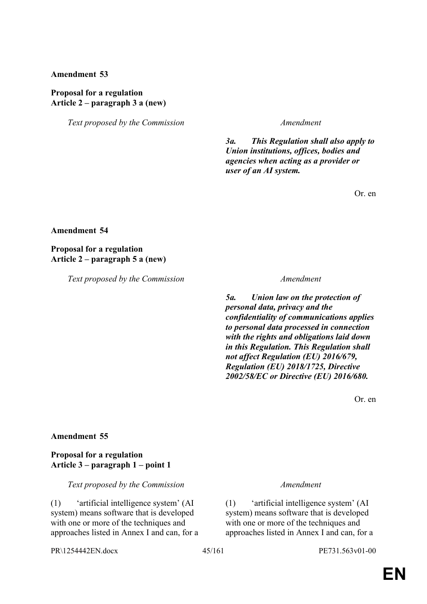### **Proposal for a regulation Article 2 – paragraph 3 a (new)**

*Text proposed by the Commission Amendment*

*3a. This Regulation shall also apply to Union institutions, offices, bodies and agencies when acting as a provider or user of an AI system.*

Or. en

#### **Amendment 54**

**Proposal for a regulation Article 2 – paragraph 5 a (new)**

*Text proposed by the Commission Amendment*

*5a. Union law on the protection of personal data, privacy and the confidentiality of communications applies to personal data processed in connection with the rights and obligations laid down in this Regulation. This Regulation shall not affect Regulation (EU) 2016/679, Regulation (EU) 2018/1725, Directive 2002/58/EC or Directive (EU) 2016/680.*

Or. en

#### **Amendment 55**

## **Proposal for a regulation Article 3 – paragraph 1 – point 1**

*Text proposed by the Commission Amendment*

(1) 'artificial intelligence system' (AI system) means software that is developed with one or more of the techniques and approaches listed in Annex I and can, for a

(1) 'artificial intelligence system' (AI system) means software that is developed with one or more of the techniques and approaches listed in Annex I and can, for a

PR\1254442EN.docx 45/161 PE731.563v01-00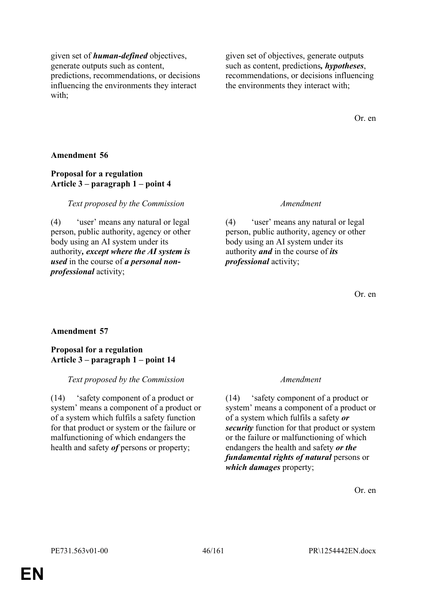given set of *human-defined* objectives, generate outputs such as content, predictions, recommendations, or decisions influencing the environments they interact with;

given set of objectives, generate outputs such as content, predictions*, hypotheses*, recommendations, or decisions influencing the environments they interact with;

Or. en

## **Amendment 56**

# **Proposal for a regulation Article 3 – paragraph 1 – point 4**

# *Text proposed by the Commission Amendment*

(4) 'user' means any natural or legal person, public authority, agency or other body using an AI system under its authority*, except where the AI system is used* in the course of *a personal nonprofessional* activity;

(4) 'user' means any natural or legal person, public authority, agency or other body using an AI system under its authority *and* in the course of *its professional* activity;

Or. en

# **Amendment 57**

## **Proposal for a regulation Article 3 – paragraph 1 – point 14**

## *Text proposed by the Commission Amendment*

(14) 'safety component of a product or system' means a component of a product or of a system which fulfils a safety function for that product or system or the failure or malfunctioning of which endangers the health and safety *of* persons or property;

(14) 'safety component of a product or system' means a component of a product or of a system which fulfils a safety *or security* function for that product or system or the failure or malfunctioning of which endangers the health and safety *or the fundamental rights of natural* persons or *which damages* property;

Or. en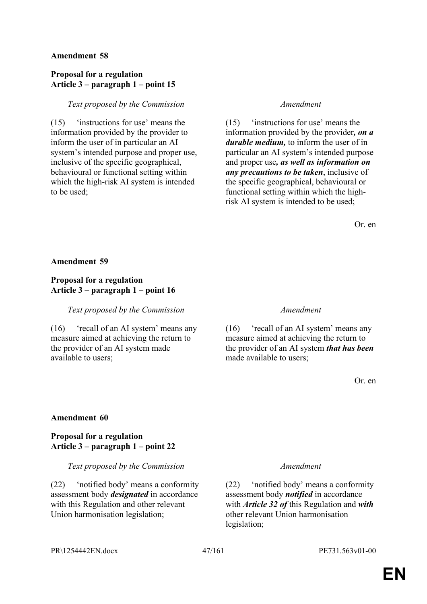# **Proposal for a regulation Article 3 – paragraph 1 – point 15**

# *Text proposed by the Commission Amendment*

(15) 'instructions for use' means the information provided by the provider to inform the user of in particular an AI system's intended purpose and proper use, inclusive of the specific geographical, behavioural or functional setting within which the high-risk AI system is intended to be used;

(15) 'instructions for use' means the information provided by the provider*, on a durable medium,* to inform the user of in particular an AI system's intended purpose and proper use*, as well as information on any precautions to be taken*, inclusive of the specific geographical, behavioural or functional setting within which the highrisk AI system is intended to be used;

Or. en

## **Amendment 59**

# **Proposal for a regulation Article 3 – paragraph 1 – point 16**

*Text proposed by the Commission Amendment*

(16) 'recall of an AI system' means any measure aimed at achieving the return to the provider of an AI system made available to users;

(16) 'recall of an AI system' means any measure aimed at achieving the return to the provider of an AI system *that has been* made available to users;

Or. en

## **Amendment 60**

## **Proposal for a regulation Article 3 – paragraph 1 – point 22**

## *Text proposed by the Commission Amendment*

(22) 'notified body' means a conformity assessment body *designated* in accordance with this Regulation and other relevant Union harmonisation legislation;

(22) 'notified body' means a conformity assessment body *notified* in accordance with *Article 32 of* this Regulation and *with* other relevant Union harmonisation legislation;

PR\1254442EN.docx 47/161 PE731.563v01-00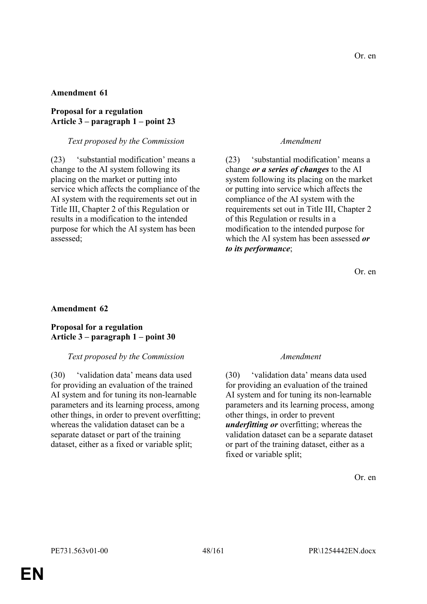## **Proposal for a regulation Article 3 – paragraph 1 – point 23**

## *Text proposed by the Commission Amendment*

(23) 'substantial modification' means a change to the AI system following its placing on the market or putting into service which affects the compliance of the AI system with the requirements set out in Title III, Chapter 2 of this Regulation or results in a modification to the intended purpose for which the AI system has been assessed;

(23) 'substantial modification' means a change *or a series of changes* to the AI system following its placing on the market or putting into service which affects the compliance of the AI system with the requirements set out in Title III, Chapter 2 of this Regulation or results in a modification to the intended purpose for which the AI system has been assessed *or to its performance*;

Or. en

## **Amendment 62**

## **Proposal for a regulation Article 3 – paragraph 1 – point 30**

## *Text proposed by the Commission Amendment*

(30) 'validation data' means data used for providing an evaluation of the trained AI system and for tuning its non-learnable parameters and its learning process, among other things, in order to prevent overfitting; whereas the validation dataset can be a separate dataset or part of the training dataset, either as a fixed or variable split;

(30) 'validation data' means data used for providing an evaluation of the trained AI system and for tuning its non-learnable parameters and its learning process, among other things, in order to prevent *underfitting or* overfitting; whereas the validation dataset can be a separate dataset or part of the training dataset, either as a fixed or variable split;

Or. en

**EN**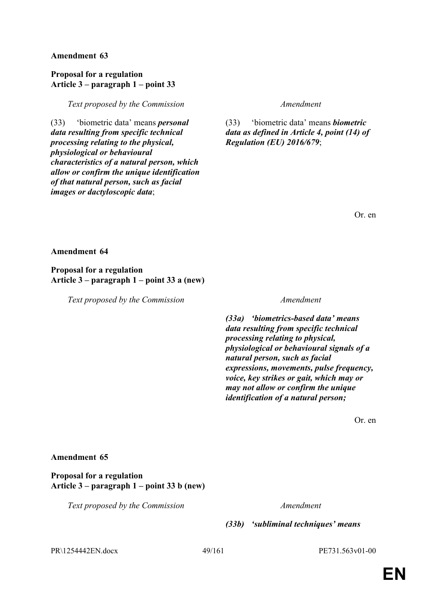## **Proposal for a regulation Article 3 – paragraph 1 – point 33**

*Text proposed by the Commission Amendment*

(33) 'biometric data' means *personal data resulting from specific technical processing relating to the physical, physiological or behavioural characteristics of a natural person, which allow or confirm the unique identification of that natural person, such as facial images or dactyloscopic data*;

(33) 'biometric data' means *biometric data as defined in Article 4, point (14) of Regulation (EU) 2016/679*;

Or. en

**Amendment 64**

**Proposal for a regulation Article 3 – paragraph 1 – point 33 a (new)**

*Text proposed by the Commission Amendment*

*(33a) 'biometrics-based data' means data resulting from specific technical processing relating to physical, physiological or behavioural signals of a natural person, such as facial expressions, movements, pulse frequency, voice, key strikes or gait, which may or may not allow or confirm the unique identification of a natural person;*

Or. en

## **Amendment 65**

**Proposal for a regulation Article 3 – paragraph 1 – point 33 b (new)**

*Text proposed by the Commission Amendment*

*(33b) 'subliminal techniques' means* 

PR\1254442EN.docx 49/161 PE731.563v01-00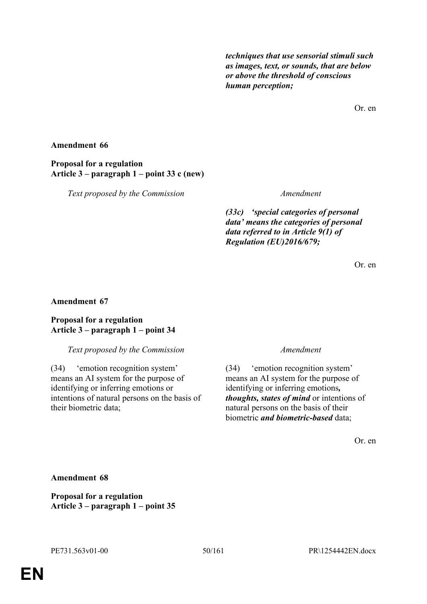*techniques that use sensorial stimuli such as images, text, or sounds, that are below or above the threshold of conscious human perception;*

Or. en

# **Amendment 66**

**Proposal for a regulation Article 3 – paragraph 1 – point 33 c (new)**

*Text proposed by the Commission Amendment*

*(33c) 'special categories of personal data' means the categories of personal data referred to in Article 9(1) of Regulation (EU)2016/679;*

Or. en

# **Amendment 67**

# **Proposal for a regulation Article 3 – paragraph 1 – point 34**

## *Text proposed by the Commission Amendment*

(34) 'emotion recognition system' means an AI system for the purpose of identifying or inferring emotions or intentions of natural persons on the basis of their biometric data;

(34) 'emotion recognition system' means an AI system for the purpose of identifying or inferring emotions*, thoughts, states of mind* or intentions of natural persons on the basis of their biometric *and biometric-based* data;

Or. en

# **Amendment 68**

**Proposal for a regulation Article 3 – paragraph 1 – point 35**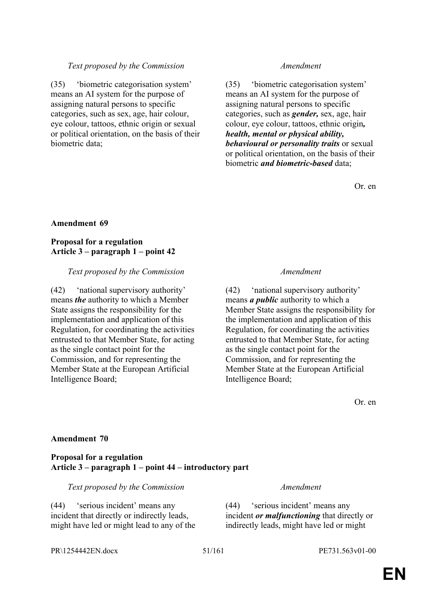# *Text proposed by the Commission Amendment*

(35) 'biometric categorisation system' means an AI system for the purpose of assigning natural persons to specific categories, such as sex, age, hair colour, eye colour, tattoos, ethnic origin or sexual or political orientation, on the basis of their biometric data;

(35) 'biometric categorisation system' means an AI system for the purpose of assigning natural persons to specific categories, such as *gender,* sex, age, hair colour, eye colour, tattoos, ethnic origin*, health, mental or physical ability, behavioural or personality traits* or sexual or political orientation, on the basis of their biometric *and biometric-based* data;

Or. en

## **Amendment 69**

## **Proposal for a regulation Article 3 – paragraph 1 – point 42**

#### *Text proposed by the Commission Amendment*

(42) 'national supervisory authority' means *the* authority to which a Member State assigns the responsibility for the implementation and application of this Regulation, for coordinating the activities entrusted to that Member State, for acting as the single contact point for the Commission, and for representing the Member State at the European Artificial Intelligence Board;

(42) 'national supervisory authority' means *a public* authority to which a Member State assigns the responsibility for the implementation and application of this Regulation, for coordinating the activities entrusted to that Member State, for acting as the single contact point for the Commission, and for representing the Member State at the European Artificial Intelligence Board;

Or. en

## **Amendment 70**

#### **Proposal for a regulation Article 3 – paragraph 1 – point 44 – introductory part**

*Text proposed by the Commission Amendment*

(44) 'serious incident' means any incident that directly or indirectly leads, might have led or might lead to any of the

(44) 'serious incident' means any incident *or malfunctioning* that directly or indirectly leads, might have led or might

PR\1254442EN.docx 51/161 PE731.563v01-00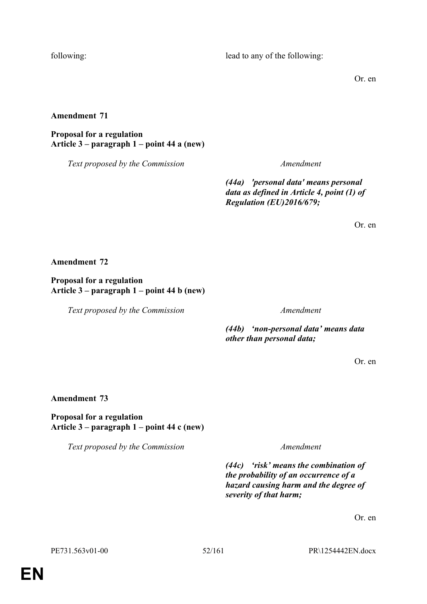following: lead to any of the following:

Or. en

**Amendment 71**

**Proposal for a regulation Article 3 – paragraph 1 – point 44 a (new)**

*Text proposed by the Commission Amendment*

*(44a) 'personal data' means personal data as defined in Article 4, point (1) of Regulation (EU)2016/679;*

Or. en

**Amendment 72**

**Proposal for a regulation Article 3 – paragraph 1 – point 44 b (new)**

*Text proposed by the Commission Amendment*

*(44b) 'non-personal data' means data other than personal data;*

Or. en

**Amendment 73**

**Proposal for a regulation Article 3 – paragraph 1 – point 44 c (new)**

*Text proposed by the Commission Amendment*

*(44c) 'risk' means the combination of the probability of an occurrence of a hazard causing harm and the degree of severity of that harm;*

Or. en

PE731.563v01-00 52/161 PR\1254442EN.docx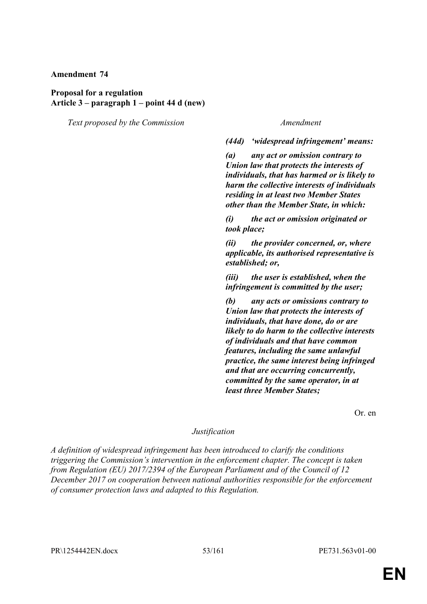### **Proposal for a regulation Article 3 – paragraph 1 – point 44 d (new)**

*Text proposed by the Commission Amendment*

*(44d) 'widespread infringement' means:*

*(a) any act or omission contrary to Union law that protects the interests of individuals, that has harmed or is likely to harm the collective interests of individuals residing in at least two Member States other than the Member State, in which:*

*(i) the act or omission originated or took place;*

*(ii) the provider concerned, or, where applicable, its authorised representative is established; or,*

*(iii) the user is established, when the infringement is committed by the user;*

*(b) any acts or omissions contrary to Union law that protects the interests of individuals, that have done, do or are likely to do harm to the collective interests of individuals and that have common features, including the same unlawful practice, the same interest being infringed and that are occurring concurrently, committed by the same operator, in at least three Member States;*

Or. en

## *Justification*

*A definition of widespread infringement has been introduced to clarify the conditions triggering the Commission's intervention in the enforcement chapter. The concept is taken from Regulation (EU) 2017/2394 of the European Parliament and of the Council of 12 December 2017 on cooperation between national authorities responsible for the enforcement of consumer protection laws and adapted to this Regulation.*

PR\1254442EN.docx 53/161 PE731.563v01-00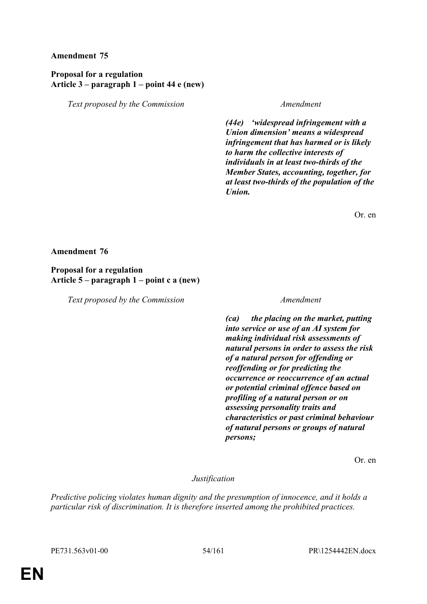# **Proposal for a regulation Article 3 – paragraph 1 – point 44 e (new)**

*Text proposed by the Commission Amendment*

*(44e) 'widespread infringement with a Union dimension' means a widespread infringement that has harmed or is likely to harm the collective interests of individuals in at least two-thirds of the Member States, accounting, together, for at least two-thirds of the population of the Union.*

Or. en

#### **Amendment 76**

## **Proposal for a regulation Article 5 – paragraph 1 – point c a (new)**

*Text proposed by the Commission Amendment*

*(ca) the placing on the market, putting into service or use of an AI system for making individual risk assessments of natural persons in order to assess the risk of a natural person for offending or reoffending or for predicting the occurrence or reoccurrence of an actual or potential criminal offence based on profiling of a natural person or on assessing personality traits and characteristics or past criminal behaviour of natural persons or groups of natural persons;*

Or. en

*Justification*

*Predictive policing violates human dignity and the presumption of innocence, and it holds a particular risk of discrimination. It is therefore inserted among the prohibited practices.*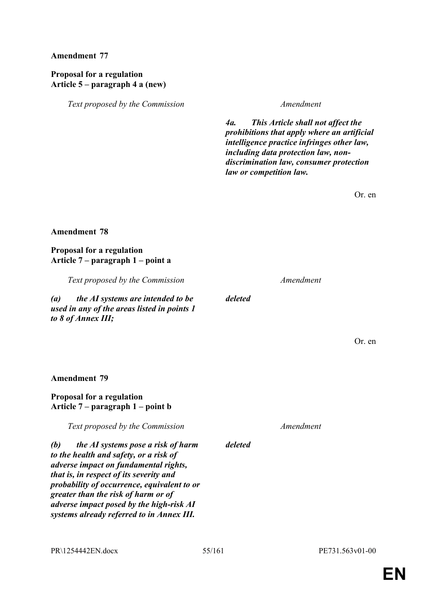# **Proposal for a regulation Article 5 – paragraph 4 a (new)**

*Text proposed by the Commission Amendment*

*4a. This Article shall not affect the prohibitions that apply where an artificial intelligence practice infringes other law, including data protection law, nondiscrimination law, consumer protection law or competition law.*

Or. en

## **Amendment 78**

## **Proposal for a regulation Article 7 – paragraph 1 – point a**

*Text proposed by the Commission Amendment*

*(a) the AI systems are intended to be used in any of the areas listed in points 1 to 8 of Annex III;*

Or. en

#### **Amendment 79**

# **Proposal for a regulation Article 7 – paragraph 1 – point b**

*Text proposed by the Commission Amendment*

*(b) the AI systems pose a risk of harm to the health and safety, or a risk of adverse impact on fundamental rights, that is, in respect of its severity and probability of occurrence, equivalent to or greater than the risk of harm or of adverse impact posed by the high-risk AI systems already referred to in Annex III.*

*deleted*

*deleted*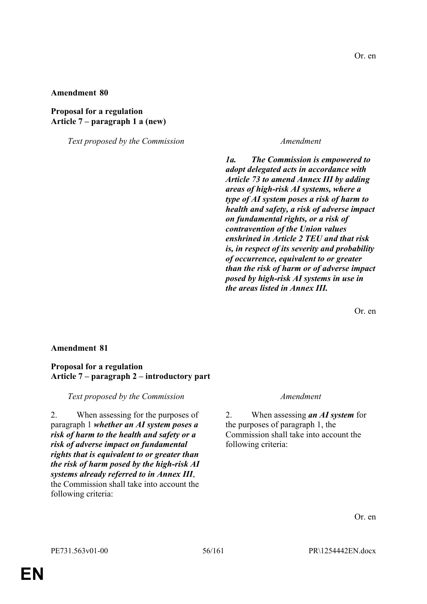## **Proposal for a regulation Article 7 – paragraph 1 a (new)**

*Text proposed by the Commission Amendment*

*1a. The Commission is empowered to adopt delegated acts in accordance with Article 73 to amend Annex III by adding areas of high-risk AI systems, where a type of AI system poses a risk of harm to health and safety, a risk of adverse impact on fundamental rights, or a risk of contravention of the Union values enshrined in Article 2 TEU and that risk is, in respect of its severity and probability of occurrence, equivalent to or greater than the risk of harm or of adverse impact posed by high-risk AI systems in use in the areas listed in Annex III.*

Or. en

## **Amendment 81**

#### **Proposal for a regulation Article 7 – paragraph 2 – introductory part**

*Text proposed by the Commission Amendment*

2. When assessing for the purposes of paragraph 1 *whether an AI system poses a risk of harm to the health and safety or a risk of adverse impact on fundamental rights that is equivalent to or greater than the risk of harm posed by the high-risk AI systems already referred to in Annex III*, the Commission shall take into account the following criteria:

2. When assessing *an AI system* for the purposes of paragraph 1, the Commission shall take into account the following criteria:

Or. en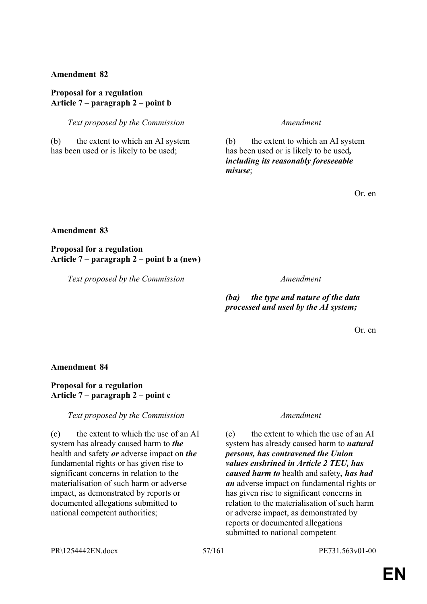### **Proposal for a regulation Article 7 – paragraph 2 – point b**

*Text proposed by the Commission Amendment*

(b) the extent to which an AI system has been used or is likely to be used;

(b) the extent to which an AI system has been used or is likely to be used*, including its reasonably foreseeable misuse*;

Or. en

# **Amendment 83**

**Proposal for a regulation Article 7 – paragraph 2 – point b a (new)**

*Text proposed by the Commission Amendment*

*(ba) the type and nature of the data processed and used by the AI system;*

Or. en

## **Amendment 84**

# **Proposal for a regulation Article 7 – paragraph 2 – point c**

*Text proposed by the Commission Amendment*

(c) the extent to which the use of an AI system has already caused harm to *the* health and safety *or* adverse impact on *the* fundamental rights or has given rise to significant concerns in relation to the materialisation of such harm or adverse impact, as demonstrated by reports or documented allegations submitted to national competent authorities;

(c) the extent to which the use of an AI system has already caused harm to *natural persons, has contravened the Union values enshrined in Article 2 TEU, has caused harm to* health and safety*, has had an* adverse impact on fundamental rights or has given rise to significant concerns in relation to the materialisation of such harm or adverse impact, as demonstrated by reports or documented allegations submitted to national competent

PR\1254442EN.docx 57/161 PE731.563v01-00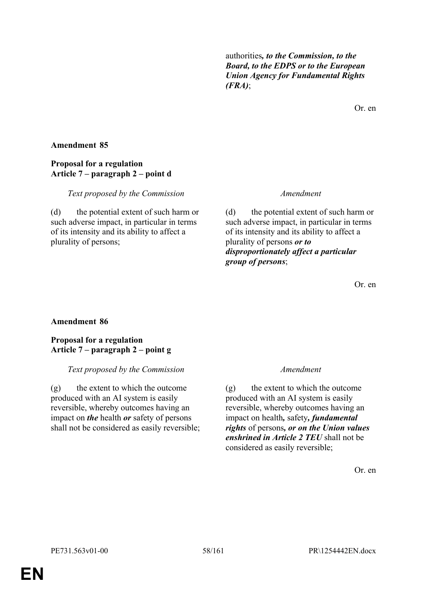authorities*, to the Commission, to the Board, to the EDPS or to the European Union Agency for Fundamental Rights (FRA)*;

Or. en

## **Amendment 85**

## **Proposal for a regulation Article 7 – paragraph 2 – point d**

#### *Text proposed by the Commission Amendment*

(d) the potential extent of such harm or such adverse impact, in particular in terms of its intensity and its ability to affect a plurality of persons;

(d) the potential extent of such harm or such adverse impact, in particular in terms of its intensity and its ability to affect a plurality of persons *or to disproportionately affect a particular group of persons*;

Or. en

## **Amendment 86**

#### **Proposal for a regulation Article 7 – paragraph 2 – point g**

#### *Text proposed by the Commission Amendment*

(g) the extent to which the outcome produced with an AI system is easily reversible, whereby outcomes having an impact on *the* health *or* safety of persons shall not be considered as easily reversible;

(g) the extent to which the outcome produced with an AI system is easily reversible, whereby outcomes having an impact on health*,* safety*, fundamental rights* of persons*, or on the Union values enshrined in Article 2 TEU* shall not be considered as easily reversible;

Or. en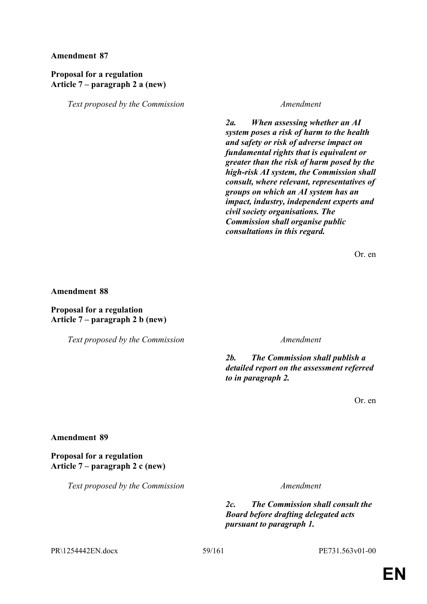# **Proposal for a regulation Article 7 – paragraph 2 a (new)**

*Text proposed by the Commission Amendment*

*2a. When assessing whether an AI system poses a risk of harm to the health and safety or risk of adverse impact on fundamental rights that is equivalent or greater than the risk of harm posed by the high-risk AI system, the Commission shall consult, where relevant, representatives of groups on which an AI system has an impact, industry, independent experts and civil society organisations. The Commission shall organise public consultations in this regard.*

Or. en

#### **Amendment 88**

## **Proposal for a regulation Article 7 – paragraph 2 b (new)**

*Text proposed by the Commission Amendment*

*2b. The Commission shall publish a detailed report on the assessment referred to in paragraph 2.*

Or. en

## **Amendment 89**

# **Proposal for a regulation Article 7 – paragraph 2 c (new)**

*Text proposed by the Commission Amendment*

*2c. The Commission shall consult the Board before drafting delegated acts pursuant to paragraph 1.*

PR\1254442EN.docx 59/161 PE731.563v01-00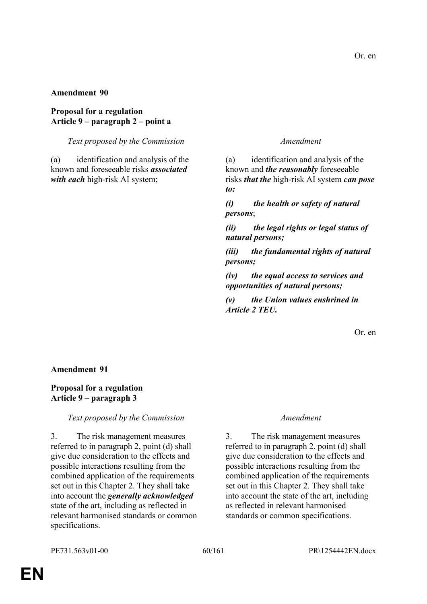## **Proposal for a regulation Article 9 – paragraph 2 – point a**

*Text proposed by the Commission Amendment*

(a) identification and analysis of the known and foreseeable risks *associated with each* high-risk AI system;

(a) identification and analysis of the known and *the reasonably* foreseeable risks *that the* high-risk AI system *can pose to:* 

*(i) the health or safety of natural persons*;

*(ii) the legal rights or legal status of natural persons;* 

*(iii) the fundamental rights of natural persons;* 

*(iv) the equal access to services and opportunities of natural persons;* 

*(v) the Union values enshrined in Article 2 TEU.* 

Or. en

#### **Amendment 91**

## **Proposal for a regulation Article 9 – paragraph 3**

## *Text proposed by the Commission Amendment*

3. The risk management measures referred to in paragraph 2, point (d) shall give due consideration to the effects and possible interactions resulting from the combined application of the requirements set out in this Chapter 2. They shall take into account the *generally acknowledged* state of the art, including as reflected in relevant harmonised standards or common specifications.

3. The risk management measures referred to in paragraph 2, point (d) shall give due consideration to the effects and possible interactions resulting from the combined application of the requirements set out in this Chapter 2. They shall take into account the state of the art, including as reflected in relevant harmonised standards or common specifications.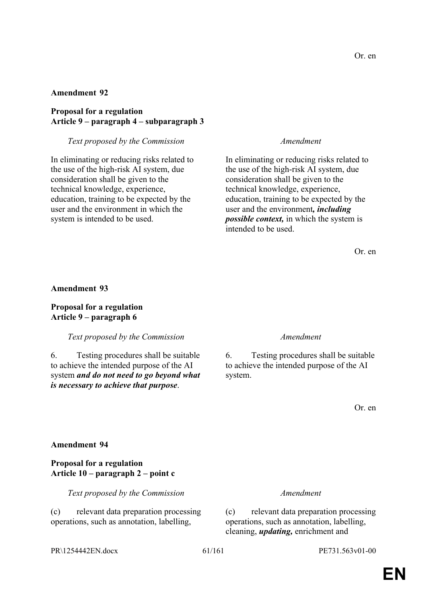## **Proposal for a regulation Article 9 – paragraph 4 – subparagraph 3**

#### *Text proposed by the Commission Amendment*

In eliminating or reducing risks related to the use of the high-risk AI system, due consideration shall be given to the technical knowledge, experience, education, training to be expected by the user and the environment in which the system is intended to be used.

In eliminating or reducing risks related to the use of the high-risk AI system, due consideration shall be given to the technical knowledge, experience, education, training to be expected by the user and the environment*, including possible context,* in which the system is intended to be used.

Or. en

#### **Amendment 93**

# **Proposal for a regulation Article 9 – paragraph 6**

*Text proposed by the Commission Amendment*

6. Testing procedures shall be suitable to achieve the intended purpose of the AI system *and do not need to go beyond what is necessary to achieve that purpose*.

6. Testing procedures shall be suitable to achieve the intended purpose of the AI system.

Or. en

#### **Amendment 94**

#### **Proposal for a regulation Article 10 – paragraph 2 – point c**

*Text proposed by the Commission Amendment*

(c) relevant data preparation processing operations, such as annotation, labelling,

(c) relevant data preparation processing operations, such as annotation, labelling, cleaning, *updating,* enrichment and

PR\1254442EN.docx 61/161 PE731.563v01-00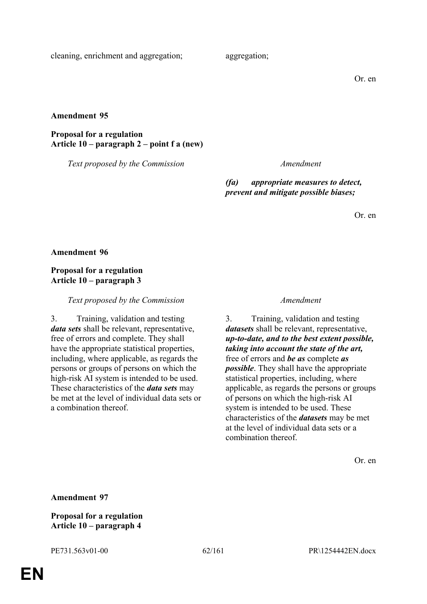cleaning, enrichment and aggregation; aggregation;

Or. en

**Amendment 95**

**Proposal for a regulation Article 10 – paragraph 2 – point f a (new)**

*Text proposed by the Commission Amendment*

*(fa) appropriate measures to detect, prevent and mitigate possible biases;*

Or. en

**Amendment 96**

**Proposal for a regulation Article 10 – paragraph 3**

*Text proposed by the Commission Amendment*

3. Training, validation and testing *data sets* shall be relevant, representative, free of errors and complete. They shall have the appropriate statistical properties, including, where applicable, as regards the persons or groups of persons on which the high-risk AI system is intended to be used. These characteristics of the *data sets* may be met at the level of individual data sets or a combination thereof.

3. Training, validation and testing *datasets* shall be relevant, representative, *up-to-date, and to the best extent possible, taking into account the state of the art,* free of errors and *be as* complete *as possible*. They shall have the appropriate statistical properties, including, where applicable, as regards the persons or groups of persons on which the high-risk AI system is intended to be used. These characteristics of the *datasets* may be met at the level of individual data sets or a combination thereof.

Or. en

**Amendment 97**

**Proposal for a regulation Article 10 – paragraph 4**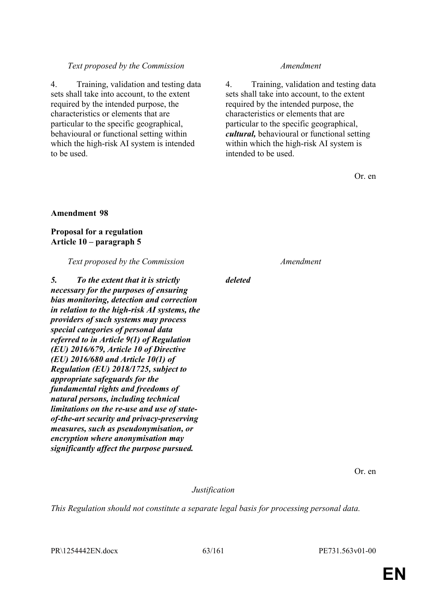# *Text proposed by the Commission Amendment*

4. Training, validation and testing data sets shall take into account, to the extent required by the intended purpose, the characteristics or elements that are particular to the specific geographical, behavioural or functional setting within which the high-risk AI system is intended to be used.

4. Training, validation and testing data sets shall take into account, to the extent required by the intended purpose, the characteristics or elements that are particular to the specific geographical, *cultural,* behavioural or functional setting within which the high-risk AI system is intended to be used.

Or. en

## **Amendment 98**

# **Proposal for a regulation Article 10 – paragraph 5**

*Text proposed by the Commission Amendment*

*5. To the extent that it is strictly necessary for the purposes of ensuring bias monitoring, detection and correction in relation to the high-risk AI systems, the providers of such systems may process special categories of personal data referred to in Article 9(1) of Regulation (EU) 2016/679, Article 10 of Directive (EU) 2016/680 and Article 10(1) of Regulation (EU) 2018/1725, subject to appropriate safeguards for the fundamental rights and freedoms of natural persons, including technical limitations on the re-use and use of stateof-the-art security and privacy-preserving measures, such as pseudonymisation, or encryption where anonymisation may significantly affect the purpose pursued.*

*deleted*

Or. en

*Justification*

*This Regulation should not constitute a separate legal basis for processing personal data.*

PR\1254442EN.docx 63/161 PE731.563v01-00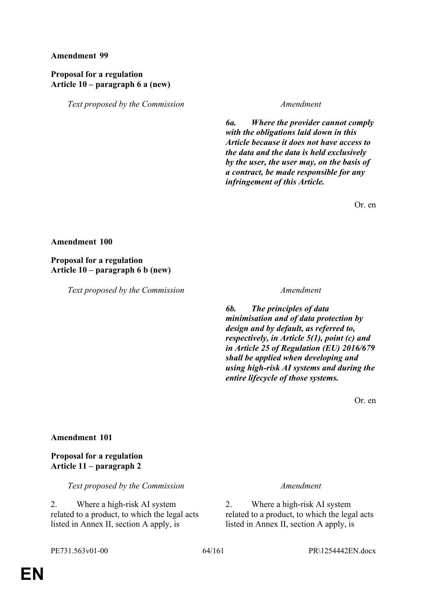# **Proposal for a regulation Article 10 – paragraph 6 a (new)**

*Text proposed by the Commission Amendment*

*6a. Where the provider cannot comply with the obligations laid down in this Article because it does not have access to the data and the data is held exclusively by the user, the user may, on the basis of a contract, be made responsible for any infringement of this Article.*

Or. en

#### **Amendment 100**

**Proposal for a regulation Article 10 – paragraph 6 b (new)**

*Text proposed by the Commission Amendment*

*6b. The principles of data minimisation and of data protection by design and by default, as referred to, respectively, in Article 5(1), point (c) and in Article 25 of Regulation (EU) 2016/679 shall be applied when developing and using high-risk AI systems and during the entire lifecycle of those systems.*

Or. en

## **Amendment 101**

**Proposal for a regulation Article 11 – paragraph 2**

*Text proposed by the Commission Amendment*

2. Where a high-risk AI system related to a product, to which the legal acts listed in Annex II, section A apply, is

2. Where a high-risk AI system related to a product, to which the legal acts listed in Annex II, section A apply, is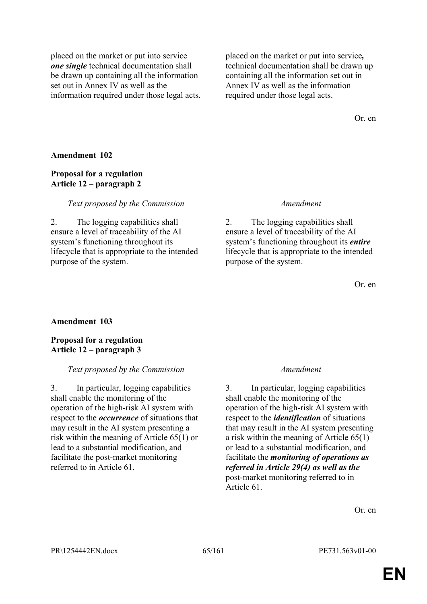placed on the market or put into service *one single* technical documentation shall be drawn up containing all the information set out in Annex IV as well as the information required under those legal acts. placed on the market or put into service*,* technical documentation shall be drawn up containing all the information set out in Annex IV as well as the information required under those legal acts.

Or. en

#### **Amendment 102**

## **Proposal for a regulation Article 12 – paragraph 2**

#### *Text proposed by the Commission Amendment*

2. The logging capabilities shall ensure a level of traceability of the AI system's functioning throughout its lifecycle that is appropriate to the intended purpose of the system.

2. The logging capabilities shall ensure a level of traceability of the AI system's functioning throughout its *entire* lifecycle that is appropriate to the intended purpose of the system.

Or. en

#### **Amendment 103**

**Proposal for a regulation Article 12 – paragraph 3**

#### *Text proposed by the Commission Amendment*

3. In particular, logging capabilities shall enable the monitoring of the operation of the high-risk AI system with respect to the *occurrence* of situations that may result in the AI system presenting a risk within the meaning of Article 65(1) or lead to a substantial modification, and facilitate the post-market monitoring referred to in Article 61.

3. In particular, logging capabilities shall enable the monitoring of the operation of the high-risk AI system with respect to the *identification* of situations that may result in the AI system presenting a risk within the meaning of Article 65(1) or lead to a substantial modification, and facilitate the *monitoring of operations as referred in Article 29(4) as well as the* post-market monitoring referred to in Article 61.

Or. en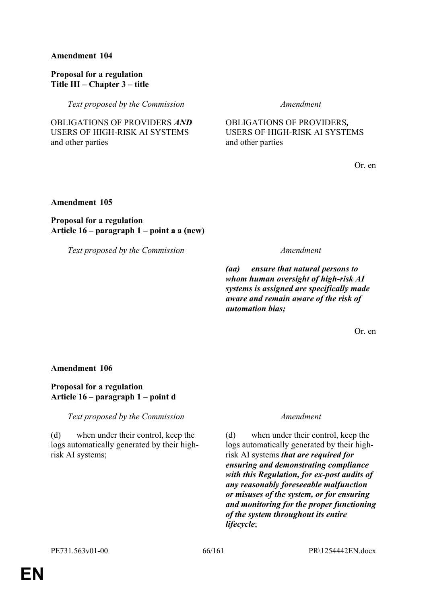## **Proposal for a regulation Title III – Chapter 3 – title**

*Text proposed by the Commission Amendment*

OBLIGATIONS OF PROVIDERS *AND* USERS OF HIGH-RISK AI SYSTEMS and other parties

OBLIGATIONS OF PROVIDERS*,* USERS OF HIGH-RISK AI SYSTEMS and other parties

Or. en

# **Amendment 105**

# **Proposal for a regulation Article 16 – paragraph 1 – point a a (new)**

*Text proposed by the Commission Amendment*

*(aa) ensure that natural persons to whom human oversight of high-risk AI systems is assigned are specifically made aware and remain aware of the risk of automation bias;*

Or. en

## **Amendment 106**

# **Proposal for a regulation Article 16 – paragraph 1 – point d**

*Text proposed by the Commission Amendment*

(d) when under their control, keep the logs automatically generated by their highrisk AI systems;

(d) when under their control, keep the logs automatically generated by their highrisk AI systems *that are required for ensuring and demonstrating compliance with this Regulation, for ex-post audits of any reasonably foreseeable malfunction or misuses of the system, or for ensuring and monitoring for the proper functioning of the system throughout its entire lifecycle*;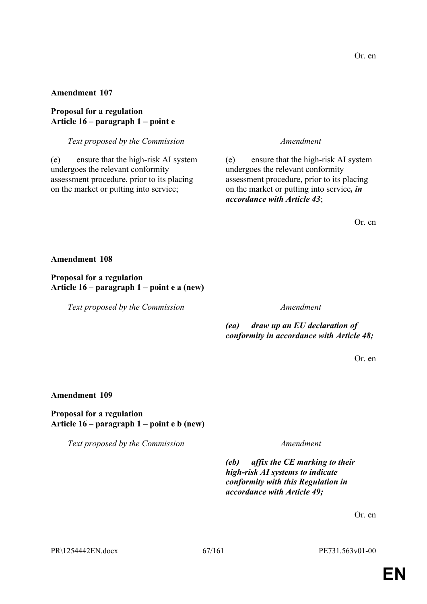## **Proposal for a regulation Article 16 – paragraph 1 – point e**

#### *Text proposed by the Commission Amendment*

(e) ensure that the high-risk AI system undergoes the relevant conformity assessment procedure, prior to its placing on the market or putting into service;

(e) ensure that the high-risk AI system undergoes the relevant conformity assessment procedure, prior to its placing on the market or putting into service*, in accordance with Article 43*;

Or. en

#### **Amendment 108**

#### **Proposal for a regulation Article 16 – paragraph 1 – point e a (new)**

*Text proposed by the Commission Amendment*

*(ea) draw up an EU declaration of conformity in accordance with Article 48;*

Or. en

#### **Amendment 109**

**Proposal for a regulation Article 16 – paragraph 1 – point e b (new)**

*Text proposed by the Commission Amendment*

*(eb) affix the CE marking to their high-risk AI systems to indicate conformity with this Regulation in accordance with Article 49;*

Or. en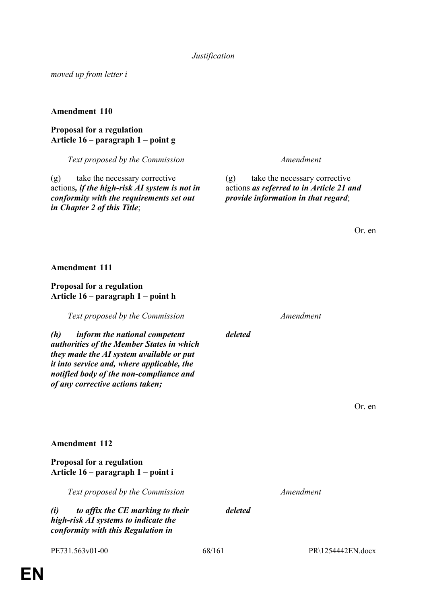PE731.563v01-00 68/161 PR\1254442EN.docx

*moved up from letter i*

## **Amendment 110**

# **Proposal for a regulation Article 16 – paragraph 1 – point g**

*Text proposed by the Commission Amendment*

(g) take the necessary corrective actions*, if the high-risk AI system is not in conformity with the requirements set out in Chapter 2 of this Title*;

(g) take the necessary corrective actions *as referred to in Article 21 and provide information in that regard*;

Or. en

**Amendment 111**

# **Proposal for a regulation Article 16 – paragraph 1 – point h**

*Text proposed by the Commission Amendment*

*(h) inform the national competent authorities of the Member States in which they made the AI system available or put it into service and, where applicable, the notified body of the non-compliance and of any corrective actions taken;*

Or. en

*Text proposed by the Commission Amendment*

*deleted*

**Amendment 112**

**Proposal for a regulation**

**Article 16 – paragraph 1 – point i**

*(i) to affix the CE marking to their high-risk AI systems to indicate the conformity with this Regulation in* 

*deleted*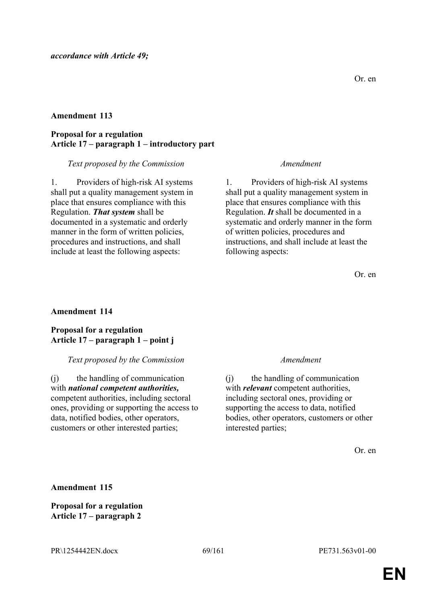## **Proposal for a regulation Article 17 – paragraph 1 – introductory part**

#### *Text proposed by the Commission Amendment*

1. Providers of high-risk AI systems shall put a quality management system in place that ensures compliance with this Regulation. *That system* shall be documented in a systematic and orderly manner in the form of written policies, procedures and instructions, and shall include at least the following aspects:

1. Providers of high-risk AI systems shall put a quality management system in place that ensures compliance with this Regulation. *It* shall be documented in a systematic and orderly manner in the form of written policies, procedures and instructions, and shall include at least the following aspects:

Or. en

## **Amendment 114**

## **Proposal for a regulation Article 17 – paragraph 1 – point j**

## *Text proposed by the Commission Amendment*

(j) the handling of communication with *national competent authorities,* competent authorities, including sectoral ones, providing or supporting the access to data, notified bodies, other operators, customers or other interested parties;

(j) the handling of communication with *relevant* competent authorities, including sectoral ones, providing or supporting the access to data, notified bodies, other operators, customers or other interested parties;

Or. en

**Amendment 115**

**Proposal for a regulation Article 17 – paragraph 2**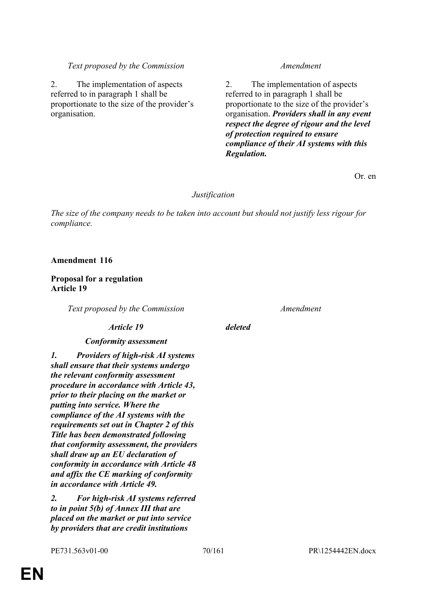2. The implementation of aspects referred to in paragraph 1 shall be proportionate to the size of the provider's organisation.

#### *Text proposed by the Commission Amendment*

2. The implementation of aspects referred to in paragraph 1 shall be proportionate to the size of the provider's organisation. *Providers shall in any event respect the degree of rigour and the level of protection required to ensure compliance of their AI systems with this Regulation.*

Or. en

#### *Justification*

*The size of the company needs to be taken into account but should not justify less rigour for compliance.*

**Amendment 116**

#### **Proposal for a regulation Article 19**

*Text proposed by the Commission Amendment*

#### *Article 19 deleted*

#### *Conformity assessment*

*1. Providers of high-risk AI systems shall ensure that their systems undergo the relevant conformity assessment procedure in accordance with Article 43, prior to their placing on the market or putting into service. Where the compliance of the AI systems with the requirements set out in Chapter 2 of this Title has been demonstrated following that conformity assessment, the providers shall draw up an EU declaration of conformity in accordance with Article 48 and affix the CE marking of conformity in accordance with Article 49.*

*2. For high-risk AI systems referred to in point 5(b) of Annex III that are placed on the market or put into service by providers that are credit institutions*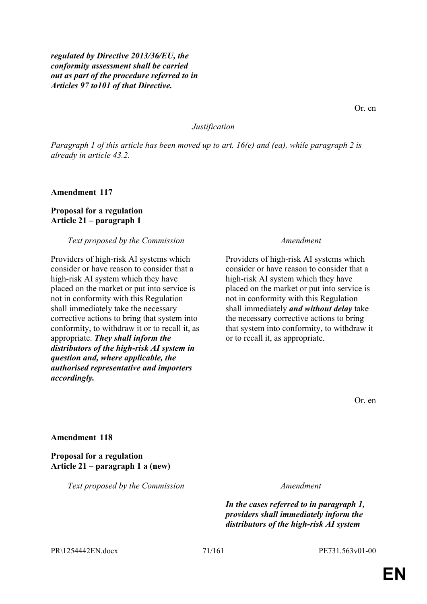*regulated by Directive 2013/36/EU, the conformity assessment shall be carried out as part of the procedure referred to in Articles 97 to101 of that Directive.*

Or. en

#### *Justification*

*Paragraph 1 of this article has been moved up to art. 16(e) and (ea), while paragraph 2 is already in article 43.2.*

**Amendment 117**

#### **Proposal for a regulation Article 21 – paragraph 1**

#### *Text proposed by the Commission Amendment*

Providers of high-risk AI systems which consider or have reason to consider that a high-risk AI system which they have placed on the market or put into service is not in conformity with this Regulation shall immediately take the necessary corrective actions to bring that system into conformity, to withdraw it or to recall it, as appropriate. *They shall inform the distributors of the high-risk AI system in question and, where applicable, the authorised representative and importers accordingly.*

Providers of high-risk AI systems which consider or have reason to consider that a high-risk AI system which they have placed on the market or put into service is not in conformity with this Regulation shall immediately *and without delay* take the necessary corrective actions to bring that system into conformity, to withdraw it or to recall it, as appropriate.

Or. en

#### **Amendment 118**

**Proposal for a regulation Article 21 – paragraph 1 a (new)**

*Text proposed by the Commission Amendment*

*In the cases referred to in paragraph 1, providers shall immediately inform the distributors of the high-risk AI system* 

PR\1254442EN.docx 71/161 PE731.563v01-00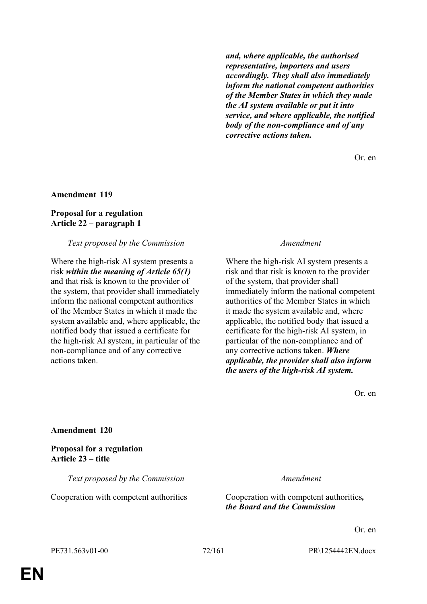*and, where applicable, the authorised representative, importers and users accordingly. They shall also immediately inform the national competent authorities of the Member States in which they made the AI system available or put it into service, and where applicable, the notified body of the non-compliance and of any corrective actions taken.*

Or. en

### **Amendment 119**

#### **Proposal for a regulation Article 22 – paragraph 1**

#### *Text proposed by the Commission Amendment*

Where the high-risk AI system presents a risk *within the meaning of Article 65(1)* and that risk is known to the provider of the system, that provider shall immediately inform the national competent authorities of the Member States in which it made the system available and, where applicable, the notified body that issued a certificate for the high-risk AI system, in particular of the non-compliance and of any corrective actions taken.

Where the high-risk AI system presents a risk and that risk is known to the provider of the system, that provider shall immediately inform the national competent authorities of the Member States in which it made the system available and, where applicable, the notified body that issued a certificate for the high-risk AI system, in particular of the non-compliance and of any corrective actions taken. *Where applicable, the provider shall also inform the users of the high-risk AI system.*

Or. en

#### **Amendment 120**

**Proposal for a regulation Article 23 – title**

*Text proposed by the Commission Amendment*

Cooperation with competent authorities Cooperation with competent authorities*, the Board and the Commission*

Or. en

PE731.563v01-00 72/161 PR\1254442EN.docx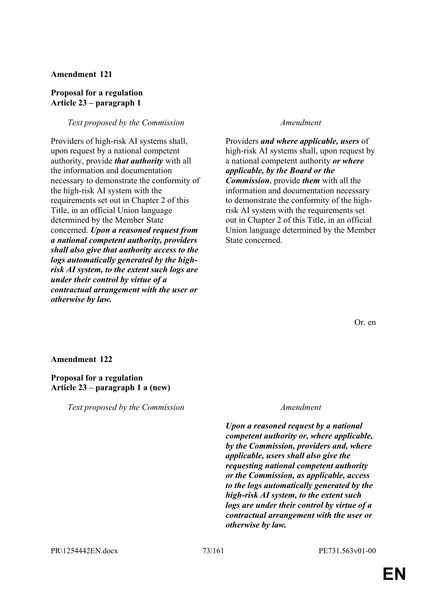### **Proposal for a regulation Article 23 – paragraph 1**

### *Text proposed by the Commission Amendment*

Providers of high-risk AI systems shall, upon request by a national competent authority, provide *that authority* with all the information and documentation necessary to demonstrate the conformity of the high-risk AI system with the requirements set out in Chapter 2 of this Title, in an official Union language determined by the Member State concerned. *Upon a reasoned request from a national competent authority, providers shall also give that authority access to the logs automatically generated by the highrisk AI system, to the extent such logs are under their control by virtue of a contractual arrangement with the user or otherwise by law.*

Providers *and where applicable, users* of high-risk AI systems shall, upon request by a national competent authority *or where applicable, by the Board or the Commission*, provide *them* with all the information and documentation necessary to demonstrate the conformity of the highrisk AI system with the requirements set out in Chapter 2 of this Title, in an official Union language determined by the Member State concerned.

Or. en

#### **Amendment 122**

#### **Proposal for a regulation Article 23 – paragraph 1 a (new)**

*Text proposed by the Commission Amendment*

*Upon a reasoned request by a national competent authority or, where applicable, by the Commission, providers and, where applicable, users shall also give the requesting national competent authority or the Commission, as applicable, access to the logs automatically generated by the high-risk AI system, to the extent such logs are under their control by virtue of a contractual arrangement with the user or otherwise by law.*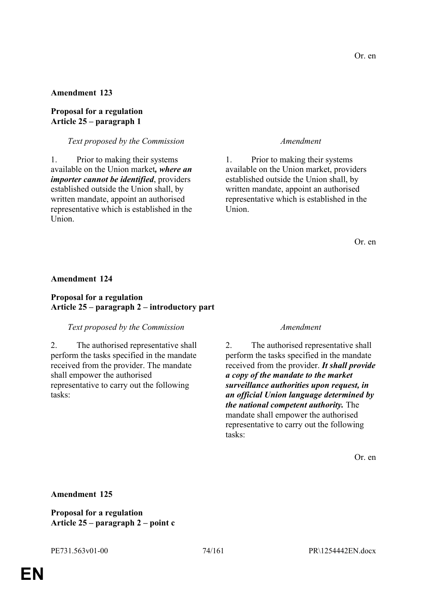### **Proposal for a regulation Article 25 – paragraph 1**

### *Text proposed by the Commission Amendment*

1. Prior to making their systems available on the Union market*, where an importer cannot be identified*, providers established outside the Union shall, by written mandate, appoint an authorised representative which is established in the Union.

1. Prior to making their systems available on the Union market, providers established outside the Union shall, by written mandate, appoint an authorised representative which is established in the Union.

Or. en

#### **Amendment 124**

### **Proposal for a regulation Article 25 – paragraph 2 – introductory part**

#### *Text proposed by the Commission Amendment*

2. The authorised representative shall perform the tasks specified in the mandate received from the provider. The mandate shall empower the authorised representative to carry out the following tasks:

2. The authorised representative shall perform the tasks specified in the mandate received from the provider. *It shall provide a copy of the mandate to the market surveillance authorities upon request, in an official Union language determined by the national competent authority.* The mandate shall empower the authorised representative to carry out the following tasks:

Or. en

#### **Amendment 125**

**Proposal for a regulation Article 25 – paragraph 2 – point c**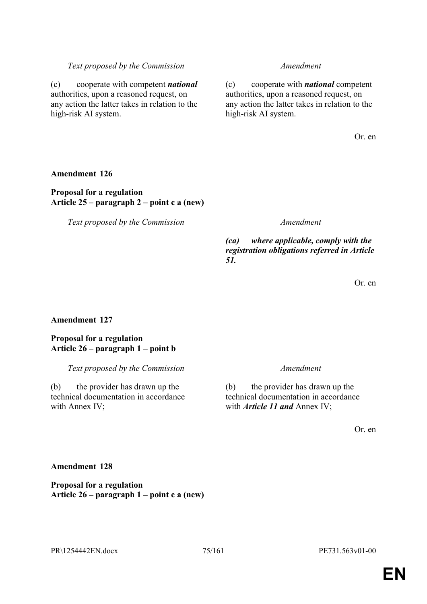**Proposal for a regulation**

### PR\1254442EN.docx 75/161 PE731.563v01-00

# any action the latter takes in relation to the high-risk AI system.

# **Amendment 126**

high-risk AI system.

### **Proposal for a regulation Article 25 – paragraph 2 – point c a (new)**

(c) cooperate with competent *national* authorities, upon a reasoned request, on any action the latter takes in relation to the

*Text proposed by the Commission Amendment*

*(ca) where applicable, comply with the registration obligations referred in Article 51.*

Or. en

Or. en

## **Amendment 127**

### **Proposal for a regulation Article 26 – paragraph 1 – point b**

*Text proposed by the Commission Amendment*

(b) the provider has drawn up the technical documentation in accordance with Annex IV;

(b) the provider has drawn up the technical documentation in accordance with *Article 11 and* Annex IV;

Or. en

# *Text proposed by the Commission Amendment*

(c) cooperate with *national* competent authorities, upon a reasoned request, on

**Article 26 – paragraph 1 – point c a (new)**

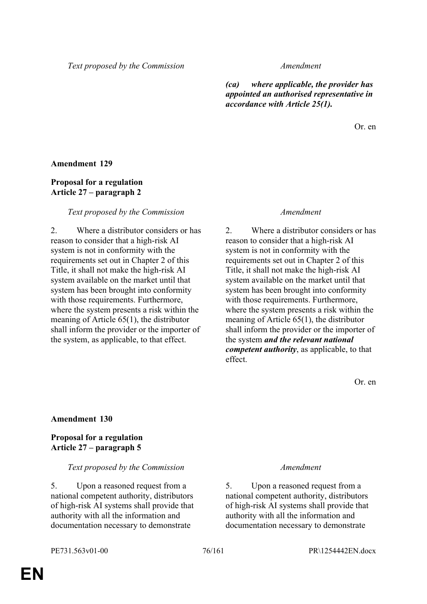*(ca) where applicable, the provider has appointed an authorised representative in accordance with Article 25(1).*

Or. en

#### **Amendment 129**

### **Proposal for a regulation Article 27 – paragraph 2**

#### *Text proposed by the Commission Amendment*

2. Where a distributor considers or has reason to consider that a high-risk AI system is not in conformity with the requirements set out in Chapter 2 of this Title, it shall not make the high-risk AI system available on the market until that system has been brought into conformity with those requirements. Furthermore, where the system presents a risk within the meaning of Article 65(1), the distributor shall inform the provider or the importer of the system, as applicable, to that effect.

2. Where a distributor considers or has reason to consider that a high-risk AI system is not in conformity with the requirements set out in Chapter 2 of this Title, it shall not make the high-risk AI system available on the market until that system has been brought into conformity with those requirements. Furthermore, where the system presents a risk within the meaning of Article 65(1), the distributor shall inform the provider or the importer of the system *and the relevant national competent authority*, as applicable, to that effect.

Or. en

#### **Amendment 130**

#### **Proposal for a regulation Article 27 – paragraph 5**

#### *Text proposed by the Commission Amendment*

5. Upon a reasoned request from a national competent authority, distributors of high-risk AI systems shall provide that authority with all the information and documentation necessary to demonstrate

5. Upon a reasoned request from a national competent authority, distributors of high-risk AI systems shall provide that authority with all the information and documentation necessary to demonstrate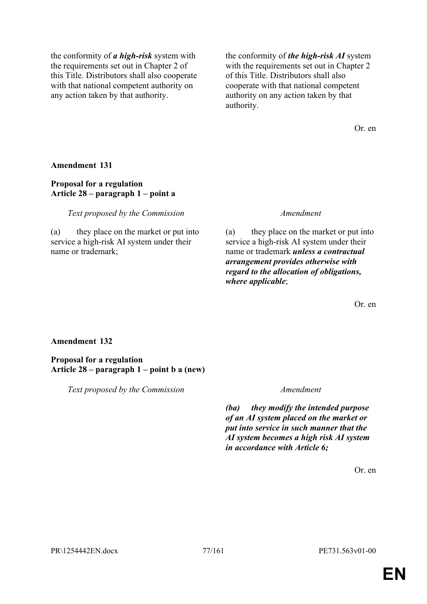the conformity of *a high-risk* system with the requirements set out in Chapter 2 of this Title. Distributors shall also cooperate with that national competent authority on any action taken by that authority.

the conformity of *the high-risk AI* system with the requirements set out in Chapter 2 of this Title. Distributors shall also cooperate with that national competent authority on any action taken by that authority.

Or. en

**Amendment 131**

### **Proposal for a regulation Article 28 – paragraph 1 – point a**

*Text proposed by the Commission Amendment*

(a) they place on the market or put into service a high-risk AI system under their name or trademark;

(a) they place on the market or put into service a high-risk AI system under their name or trademark *unless a contractual arrangement provides otherwise with regard to the allocation of obligations, where applicable*;

Or. en

### **Amendment 132**

**Proposal for a regulation Article 28 – paragraph 1 – point b a (new)**

*Text proposed by the Commission Amendment*

*(ba) they modify the intended purpose of an AI system placed on the market or put into service in such manner that the AI system becomes a high risk AI system in accordance with Article 6;*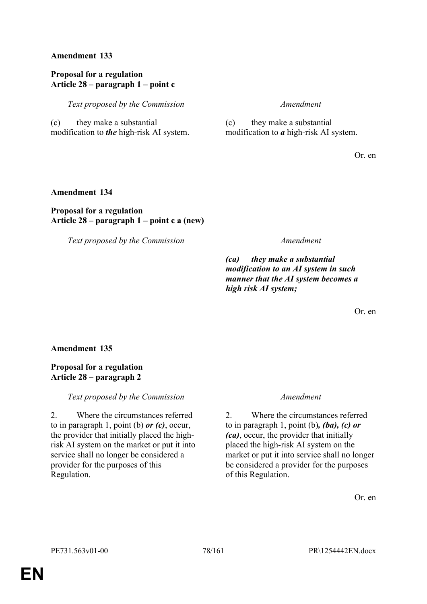### **Proposal for a regulation Article 28 – paragraph 1 – point c**

*Text proposed by the Commission Amendment*

(c) they make a substantial modification to *the* high-risk AI system.

(c) they make a substantial modification to *a* high-risk AI system.

Or. en

### **Amendment 134**

### **Proposal for a regulation Article 28 – paragraph 1 – point c a (new)**

*Text proposed by the Commission Amendment*

*(ca) they make a substantial modification to an AI system in such manner that the AI system becomes a high risk AI system;*

Or. en

**Amendment 135**

### **Proposal for a regulation Article 28 – paragraph 2**

*Text proposed by the Commission Amendment*

2. Where the circumstances referred to in paragraph 1, point (b) *or (c)*, occur, the provider that initially placed the highrisk AI system on the market or put it into service shall no longer be considered a provider for the purposes of this Regulation.

2. Where the circumstances referred to in paragraph 1, point (b)*, (ba), (c) or (ca)*, occur, the provider that initially placed the high-risk AI system on the market or put it into service shall no longer be considered a provider for the purposes of this Regulation.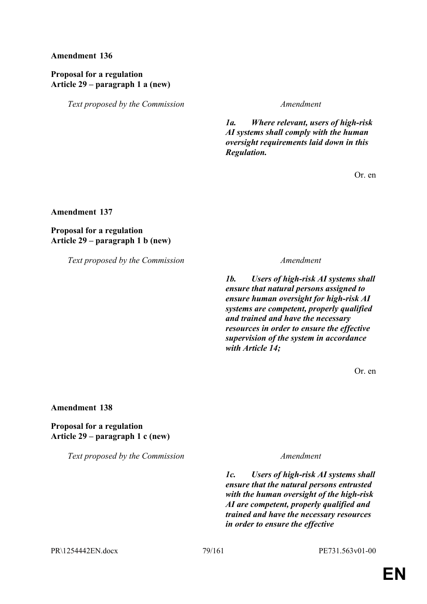### **Proposal for a regulation Article 29 – paragraph 1 a (new)**

*Text proposed by the Commission Amendment*

*1a. Where relevant, users of high-risk AI systems shall comply with the human oversight requirements laid down in this Regulation.*

Or. en

**Amendment 137**

**Proposal for a regulation Article 29 – paragraph 1 b (new)**

*Text proposed by the Commission Amendment*

*1b. Users of high-risk AI systems shall ensure that natural persons assigned to ensure human oversight for high-risk AI systems are competent, properly qualified and trained and have the necessary resources in order to ensure the effective supervision of the system in accordance with Article 14;*

Or. en

**Amendment 138**

**Proposal for a regulation Article 29 – paragraph 1 c (new)**

*Text proposed by the Commission Amendment*

*1c. Users of high-risk AI systems shall ensure that the natural persons entrusted with the human oversight of the high-risk AI are competent, properly qualified and trained and have the necessary resources in order to ensure the effective* 

PR\1254442EN.docx 79/161 PE731.563v01-00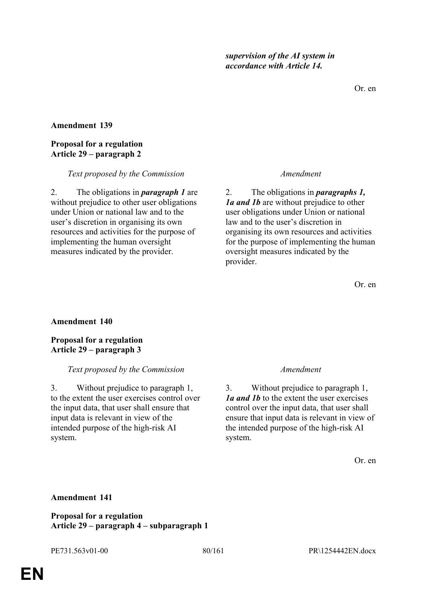Or. en

#### **Amendment 139**

#### **Proposal for a regulation Article 29 – paragraph 2**

#### *Text proposed by the Commission Amendment*

2. The obligations in *paragraph 1* are without prejudice to other user obligations under Union or national law and to the user's discretion in organising its own resources and activities for the purpose of implementing the human oversight measures indicated by the provider.

2. The obligations in *paragraphs 1, 1a and 1b* are without prejudice to other user obligations under Union or national law and to the user's discretion in organising its own resources and activities for the purpose of implementing the human oversight measures indicated by the provider.

Or. en

#### **Amendment 140**

**Proposal for a regulation Article 29 – paragraph 3**

#### *Text proposed by the Commission Amendment*

3. Without prejudice to paragraph 1, to the extent the user exercises control over the input data, that user shall ensure that input data is relevant in view of the intended purpose of the high-risk AI system.

3. Without prejudice to paragraph 1, *1a and 1b* to the extent the user exercises control over the input data, that user shall ensure that input data is relevant in view of the intended purpose of the high-risk AI system.

Or. en

#### **Amendment 141**

**Proposal for a regulation Article 29 – paragraph 4 – subparagraph 1**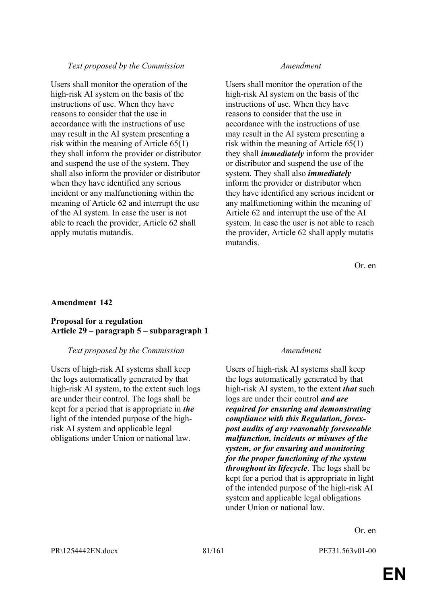Users shall monitor the operation of the high-risk AI system on the basis of the instructions of use. When they have reasons to consider that the use in accordance with the instructions of use may result in the AI system presenting a risk within the meaning of Article 65(1) they shall inform the provider or distributor and suspend the use of the system. They shall also inform the provider or distributor when they have identified any serious incident or any malfunctioning within the meaning of Article 62 and interrupt the use of the AI system. In case the user is not able to reach the provider, Article 62 shall apply mutatis mutandis.

Users shall monitor the operation of the high-risk AI system on the basis of the instructions of use. When they have reasons to consider that the use in accordance with the instructions of use may result in the AI system presenting a risk within the meaning of Article 65(1) they shall *immediately* inform the provider or distributor and suspend the use of the system. They shall also *immediately* inform the provider or distributor when they have identified any serious incident or any malfunctioning within the meaning of Article 62 and interrupt the use of the AI system. In case the user is not able to reach the provider, Article 62 shall apply mutatis mutandis.

Or. en

#### **Amendment 142**

#### **Proposal for a regulation Article 29 – paragraph 5 – subparagraph 1**

#### *Text proposed by the Commission Amendment*

Users of high-risk AI systems shall keep the logs automatically generated by that high-risk AI system, to the extent such logs are under their control. The logs shall be kept for a period that is appropriate in *the* light of the intended purpose of the highrisk AI system and applicable legal obligations under Union or national law.

Users of high-risk AI systems shall keep the logs automatically generated by that high-risk AI system, to the extent *that* such logs are under their control *and are required for ensuring and demonstrating compliance with this Regulation, forexpost audits of any reasonably foreseeable malfunction, incidents or misuses of the system, or for ensuring and monitoring for the proper functioning of the system throughout its lifecycle*. The logs shall be kept for a period that is appropriate in light of the intended purpose of the high-risk AI system and applicable legal obligations under Union or national law.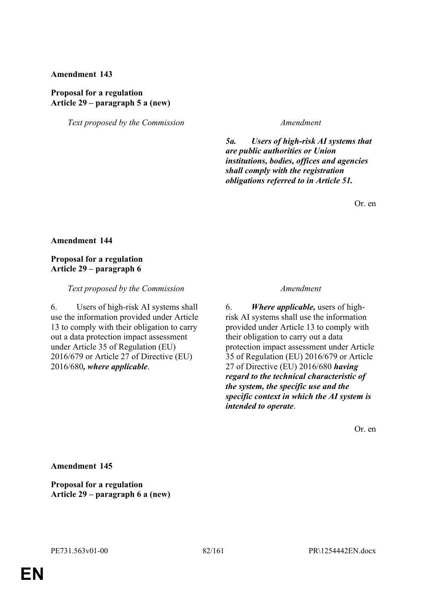#### **Proposal for a regulation Article 29 – paragraph 5 a (new)**

*Text proposed by the Commission Amendment*

*5a. Users of high-risk AI systems that are public authorities or Union institutions, bodies, offices and agencies shall comply with the registration obligations referred to in Article 51.*

Or. en

#### **Amendment 144**

### **Proposal for a regulation Article 29 – paragraph 6**

#### *Text proposed by the Commission Amendment*

6. Users of high-risk AI systems shall use the information provided under Article 13 to comply with their obligation to carry out a data protection impact assessment under Article 35 of Regulation (EU) 2016/679 or Article 27 of Directive (EU) 2016/680*, where applicable*.

6. *Where applicable,* users of highrisk AI systems shall use the information provided under Article 13 to comply with their obligation to carry out a data protection impact assessment under Article 35 of Regulation (EU) 2016/679 or Article 27 of Directive (EU) 2016/680 *having regard to the technical characteristic of the system, the specific use and the specific context in which the AI system is intended to operate*.

Or. en

**Amendment 145**

**Proposal for a regulation Article 29 – paragraph 6 a (new)**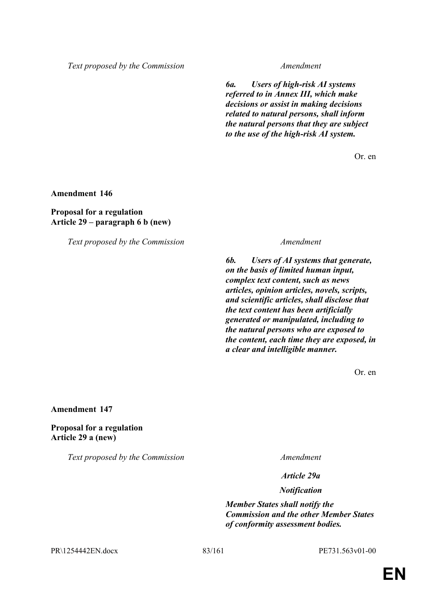*6a. Users of high-risk AI systems referred to in Annex III, which make decisions or assist in making decisions related to natural persons, shall inform the natural persons that they are subject to the use of the high-risk AI system.*

Or. en

**Amendment 146**

**Proposal for a regulation Article 29 – paragraph 6 b (new)**

*Text proposed by the Commission Amendment*

*6b. Users of AI systems that generate, on the basis of limited human input, complex text content, such as news articles, opinion articles, novels, scripts, and scientific articles, shall disclose that the text content has been artificially generated or manipulated, including to the natural persons who are exposed to the content, each time they are exposed, in a clear and intelligible manner.*

Or. en

**Amendment 147**

**Proposal for a regulation Article 29 a (new)**

*Text proposed by the Commission Amendment*

*Article 29a*

*Notification*

*Member States shall notify the Commission and the other Member States of conformity assessment bodies.*

PR\1254442EN.docx 83/161 PE731.563v01-00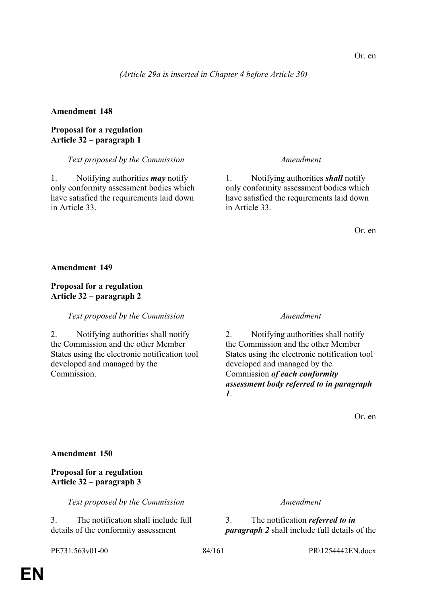*(Article 29a is inserted in Chapter 4 before Article 30)*

### **Amendment 148**

### **Proposal for a regulation Article 32 – paragraph 1**

#### *Text proposed by the Commission Amendment*

1. Notifying authorities *may* notify only conformity assessment bodies which have satisfied the requirements laid down in Article 33.

1. Notifying authorities *shall* notify only conformity assessment bodies which have satisfied the requirements laid down in Article 33.

Or. en

#### **Amendment 149**

### **Proposal for a regulation Article 32 – paragraph 2**

### *Text proposed by the Commission Amendment*

2. Notifying authorities shall notify the Commission and the other Member States using the electronic notification tool developed and managed by the Commission.

2. Notifying authorities shall notify the Commission and the other Member States using the electronic notification tool developed and managed by the Commission *of each conformity assessment body referred to in paragraph 1*.

Or. en

#### **Amendment 150**

### **Proposal for a regulation Article 32 – paragraph 3**

*Text proposed by the Commission Amendment*

3. The notification shall include full details of the conformity assessment

3. The notification *referred to in paragraph 2* shall include full details of the

# PE731.563v01-00 84/161 PR\1254442EN.docx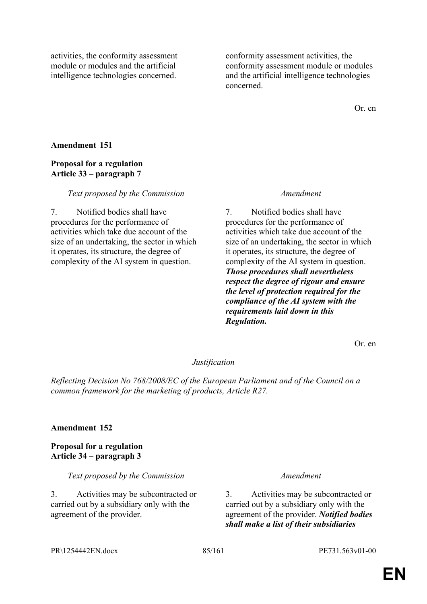activities, the conformity assessment module or modules and the artificial intelligence technologies concerned.

conformity assessment activities, the conformity assessment module or modules and the artificial intelligence technologies concerned.

Or. en

### **Amendment 151**

### **Proposal for a regulation Article 33 – paragraph 7**

#### *Text proposed by the Commission Amendment*

7. Notified bodies shall have procedures for the performance of activities which take due account of the size of an undertaking, the sector in which it operates, its structure, the degree of complexity of the AI system in question.

7. Notified bodies shall have procedures for the performance of activities which take due account of the size of an undertaking, the sector in which it operates, its structure, the degree of complexity of the AI system in question. *Those procedures shall nevertheless respect the degree of rigour and ensure the level of protection required for the compliance of the AI system with the requirements laid down in this Regulation.*

Or. en

#### *Justification*

*Reflecting Decision No 768/2008/EC of the European Parliament and of the Council on a common framework for the marketing of products, Article R27.*

#### **Amendment 152**

#### **Proposal for a regulation Article 34 – paragraph 3**

*Text proposed by the Commission Amendment*

3. Activities may be subcontracted or carried out by a subsidiary only with the agreement of the provider.

3. Activities may be subcontracted or carried out by a subsidiary only with the agreement of the provider. *Notified bodies shall make a list of their subsidiaries* 

PR\1254442EN.docx 85/161 PE731.563v01-00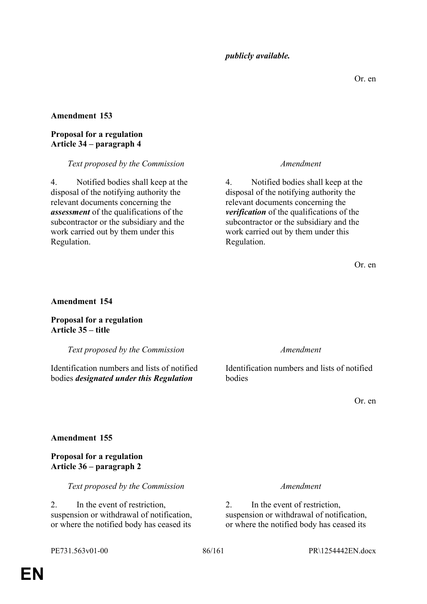### *publicly available.*

### **Amendment 153**

### **Proposal for a regulation Article 34 – paragraph 4**

#### *Text proposed by the Commission Amendment*

4. Notified bodies shall keep at the disposal of the notifying authority the relevant documents concerning the *assessment* of the qualifications of the subcontractor or the subsidiary and the work carried out by them under this Regulation.

4. Notified bodies shall keep at the disposal of the notifying authority the relevant documents concerning the *verification* of the qualifications of the subcontractor or the subsidiary and the work carried out by them under this Regulation.

Or. en

#### **Amendment 154**

**Proposal for a regulation Article 35 – title**

*Text proposed by the Commission Amendment*

Identification numbers and lists of notified bodies *designated under this Regulation*

Identification numbers and lists of notified bodies

Or. en

#### **Amendment 155**

**Proposal for a regulation Article 36 – paragraph 2**

*Text proposed by the Commission Amendment*

2. In the event of restriction, suspension or withdrawal of notification, or where the notified body has ceased its

2. In the event of restriction, suspension or withdrawal of notification, or where the notified body has ceased its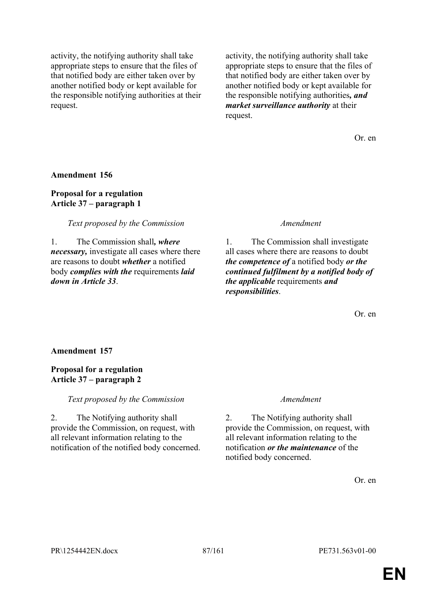activity, the notifying authority shall take appropriate steps to ensure that the files of that notified body are either taken over by another notified body or kept available for the responsible notifying authorities at their request.

activity, the notifying authority shall take appropriate steps to ensure that the files of that notified body are either taken over by another notified body or kept available for the responsible notifying authorities*, and market surveillance authority* at their request.

Or. en

**Amendment 156**

**Proposal for a regulation Article 37 – paragraph 1**

*Text proposed by the Commission Amendment*

1. The Commission shall*, where necessary,* investigate all cases where there are reasons to doubt *whether* a notified body *complies with the* requirements *laid down in Article 33*.

1. The Commission shall investigate all cases where there are reasons to doubt *the competence of* a notified body *or the continued fulfilment by a notified body of the applicable* requirements *and responsibilities*.

Or. en

#### **Amendment 157**

**Proposal for a regulation Article 37 – paragraph 2**

*Text proposed by the Commission Amendment*

2. The Notifying authority shall provide the Commission, on request, with all relevant information relating to the notification of the notified body concerned.

2. The Notifying authority shall provide the Commission, on request, with all relevant information relating to the notification *or the maintenance* of the notified body concerned.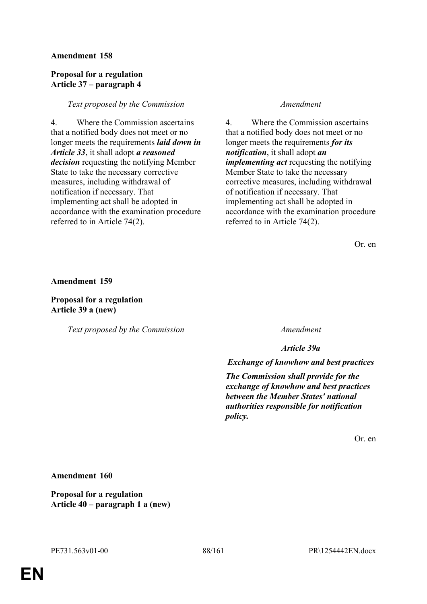### **Proposal for a regulation Article 37 – paragraph 4**

### *Text proposed by the Commission Amendment*

4. Where the Commission ascertains that a notified body does not meet or no longer meets the requirements *laid down in Article 33*, it shall adopt *a reasoned decision* requesting the notifying Member State to take the necessary corrective measures, including withdrawal of notification if necessary. That implementing act shall be adopted in accordance with the examination procedure referred to in Article 74(2).

4. Where the Commission ascertains that a notified body does not meet or no longer meets the requirements *for its notification*, it shall adopt *an implementing act* requesting the notifying Member State to take the necessary corrective measures, including withdrawal of notification if necessary. That implementing act shall be adopted in accordance with the examination procedure referred to in Article 74(2).

Or. en

**Amendment 159**

**Proposal for a regulation Article 39 a (new)**

*Text proposed by the Commission Amendment*

*Article 39a*

*Exchange of knowhow and best practices*

*The Commission shall provide for the exchange of knowhow and best practices between the Member States' national authorities responsible for notification policy.*

Or. en

**Amendment 160**

**Proposal for a regulation Article 40 – paragraph 1 a (new)**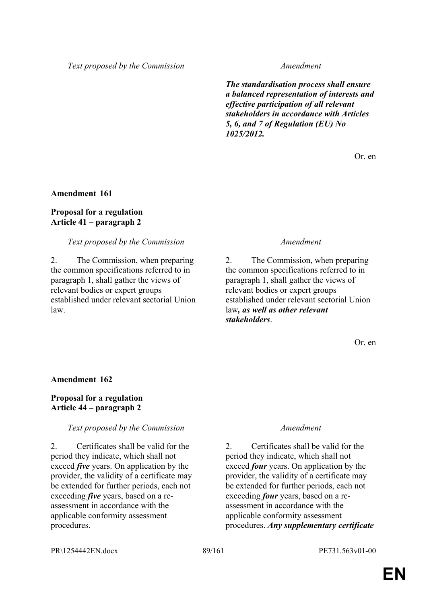*The standardisation process shall ensure a balanced representation of interests and effective participation of all relevant stakeholders in accordance with Articles 5, 6, and 7 of Regulation (EU) No 1025/2012.*

Or. en

#### **Amendment 161**

### **Proposal for a regulation Article 41 – paragraph 2**

### *Text proposed by the Commission Amendment*

2. The Commission, when preparing the common specifications referred to in paragraph 1, shall gather the views of relevant bodies or expert groups established under relevant sectorial Union law.

2. The Commission, when preparing the common specifications referred to in paragraph 1, shall gather the views of relevant bodies or expert groups established under relevant sectorial Union law*, as well as other relevant stakeholders*.

Or. en

#### **Amendment 162**

### **Proposal for a regulation Article 44 – paragraph 2**

#### *Text proposed by the Commission Amendment*

2. Certificates shall be valid for the period they indicate, which shall not exceed *five* years. On application by the provider, the validity of a certificate may be extended for further periods, each not exceeding *five* years, based on a reassessment in accordance with the applicable conformity assessment procedures.

2. Certificates shall be valid for the period they indicate, which shall not exceed *four* years. On application by the provider, the validity of a certificate may be extended for further periods, each not exceeding *four* years, based on a reassessment in accordance with the applicable conformity assessment procedures. *Any supplementary certificate* 

PR\1254442EN.docx 89/161 PE731.563v01-00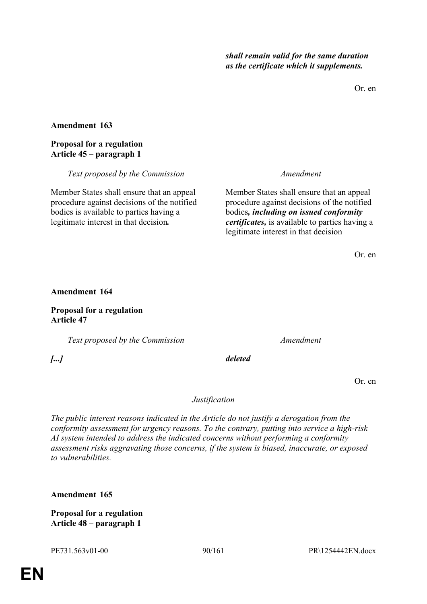Or. en

### **Amendment 163**

### **Proposal for a regulation Article 45 – paragraph 1**

*Text proposed by the Commission Amendment*

Member States shall ensure that an appeal procedure against decisions of the notified bodies is available to parties having a legitimate interest in that decision*.*

Member States shall ensure that an appeal procedure against decisions of the notified bodies*, including on issued conformity certificates,* is available to parties having a legitimate interest in that decision

Or. en

### **Amendment 164**

**Proposal for a regulation Article 47**

*Text proposed by the Commission Amendment*

*[...] deleted*

Or. en

*Justification*

*The public interest reasons indicated in the Article do not justify a derogation from the conformity assessment for urgency reasons. To the contrary, putting into service a high-risk AI system intended to address the indicated concerns without performing a conformity assessment risks aggravating those concerns, if the system is biased, inaccurate, or exposed to vulnerabilities.*

**Amendment 165**

**Proposal for a regulation Article 48 – paragraph 1**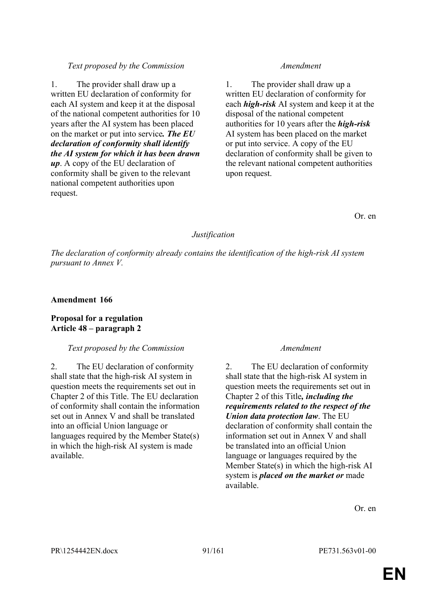1. The provider shall draw up a written EU declaration of conformity for each AI system and keep it at the disposal of the national competent authorities for 10 years after the AI system has been placed on the market or put into service*. The EU declaration of conformity shall identify the AI system for which it has been drawn up*. A copy of the EU declaration of conformity shall be given to the relevant national competent authorities upon request.

1. The provider shall draw up a written EU declaration of conformity for each *high-risk* AI system and keep it at the disposal of the national competent authorities for 10 years after the *high-risk* AI system has been placed on the market or put into service. A copy of the EU declaration of conformity shall be given to the relevant national competent authorities upon request.

Or. en

### *Justification*

*The declaration of conformity already contains the identification of the high-risk AI system pursuant to Annex V.*

### **Amendment 166**

### **Proposal for a regulation Article 48 – paragraph 2**

### *Text proposed by the Commission Amendment*

2. The EU declaration of conformity shall state that the high-risk AI system in question meets the requirements set out in Chapter 2 of this Title. The EU declaration of conformity shall contain the information set out in Annex V and shall be translated into an official Union language or languages required by the Member State(s) in which the high-risk AI system is made available.

2. The EU declaration of conformity shall state that the high-risk AI system in question meets the requirements set out in Chapter 2 of this Title*, including the requirements related to the respect of the Union data protection law*. The EU declaration of conformity shall contain the information set out in Annex V and shall be translated into an official Union language or languages required by the Member State(s) in which the high-risk AI system is *placed on the market or* made available.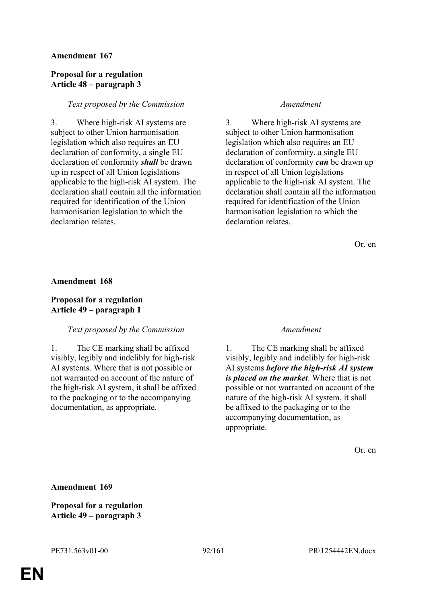### **Proposal for a regulation Article 48 – paragraph 3**

#### *Text proposed by the Commission Amendment*

3. Where high-risk AI systems are subject to other Union harmonisation legislation which also requires an EU declaration of conformity, a single EU declaration of conformity *shall* be drawn up in respect of all Union legislations applicable to the high-risk AI system. The declaration shall contain all the information required for identification of the Union harmonisation legislation to which the declaration relates.

3. Where high-risk AI systems are subject to other Union harmonisation legislation which also requires an EU declaration of conformity, a single EU declaration of conformity *can* be drawn up in respect of all Union legislations applicable to the high-risk AI system. The declaration shall contain all the information required for identification of the Union harmonisation legislation to which the declaration relates.

Or. en

#### **Amendment 168**

### **Proposal for a regulation Article 49 – paragraph 1**

### *Text proposed by the Commission Amendment*

1. The CE marking shall be affixed visibly, legibly and indelibly for high-risk AI systems. Where that is not possible or not warranted on account of the nature of the high-risk AI system, it shall be affixed to the packaging or to the accompanying documentation, as appropriate.

1. The CE marking shall be affixed visibly, legibly and indelibly for high-risk AI systems *before the high-risk AI system is placed on the market*. Where that is not possible or not warranted on account of the nature of the high-risk AI system, it shall be affixed to the packaging or to the accompanying documentation, as appropriate.

Or. en

**Amendment 169**

**Proposal for a regulation Article 49 – paragraph 3**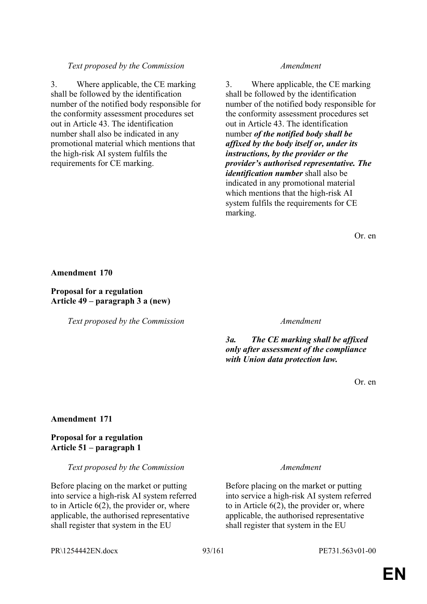3. Where applicable, the CE marking shall be followed by the identification number of the notified body responsible for the conformity assessment procedures set out in Article 43. The identification number shall also be indicated in any promotional material which mentions that the high-risk AI system fulfils the requirements for CE marking.

3. Where applicable, the CE marking shall be followed by the identification number of the notified body responsible for the conformity assessment procedures set out in Article 43. The identification number *of the notified body shall be affixed by the body itself or, under its instructions, by the provider or the provider's authorised representative. The identification number* shall also be indicated in any promotional material which mentions that the high-risk AI system fulfils the requirements for CE marking.

Or. en

#### **Amendment 170**

**Proposal for a regulation Article 49 – paragraph 3 a (new)**

*Text proposed by the Commission Amendment*

*3a. The CE marking shall be affixed only after assessment of the compliance with Union data protection law.*

Or. en

#### **Amendment 171**

#### **Proposal for a regulation Article 51 – paragraph 1**

*Text proposed by the Commission Amendment*

Before placing on the market or putting into service a high-risk AI system referred to in Article 6(2), the provider or, where applicable, the authorised representative shall register that system in the EU

Before placing on the market or putting into service a high-risk AI system referred to in Article 6(2), the provider or, where applicable, the authorised representative shall register that system in the EU

PR\1254442EN.docx 93/161 PE731.563v01-00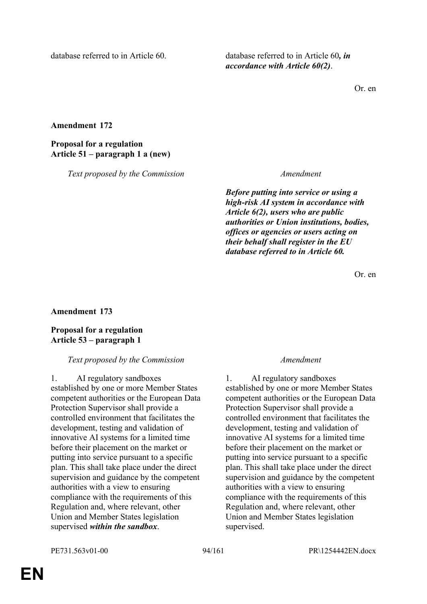database referred to in Article 60. database referred to in Article 60, in *accordance with Article 60(2)*.

Or. en

**Amendment 172**

**Proposal for a regulation Article 51 – paragraph 1 a (new)**

*Text proposed by the Commission Amendment*

*Before putting into service or using a high-risk AI system in accordance with Article 6(2), users who are public authorities or Union institutions, bodies, offices or agencies or users acting on their behalf shall register in the EU database referred to in Article 60.*

Or. en

**Amendment 173**

**Proposal for a regulation Article 53 – paragraph 1**

*Text proposed by the Commission Amendment*

1. AI regulatory sandboxes established by one or more Member States competent authorities or the European Data Protection Supervisor shall provide a controlled environment that facilitates the development, testing and validation of innovative AI systems for a limited time before their placement on the market or putting into service pursuant to a specific plan. This shall take place under the direct supervision and guidance by the competent authorities with a view to ensuring compliance with the requirements of this Regulation and, where relevant, other Union and Member States legislation supervised *within the sandbox*.

1. AI regulatory sandboxes established by one or more Member States competent authorities or the European Data Protection Supervisor shall provide a controlled environment that facilitates the development, testing and validation of innovative AI systems for a limited time before their placement on the market or putting into service pursuant to a specific plan. This shall take place under the direct supervision and guidance by the competent authorities with a view to ensuring compliance with the requirements of this Regulation and, where relevant, other Union and Member States legislation supervised.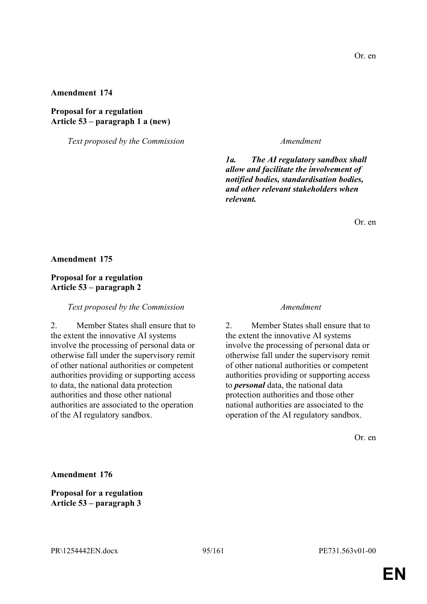**Proposal for a regulation Article 53 – paragraph 1 a (new)**

*Text proposed by the Commission Amendment*

*1a. The AI regulatory sandbox shall allow and facilitate the involvement of notified bodies, standardisation bodies, and other relevant stakeholders when relevant.*

Or. en

#### **Amendment 175**

#### **Proposal for a regulation Article 53 – paragraph 2**

#### *Text proposed by the Commission Amendment*

2. Member States shall ensure that to the extent the innovative AI systems involve the processing of personal data or otherwise fall under the supervisory remit of other national authorities or competent authorities providing or supporting access to data, the national data protection authorities and those other national authorities are associated to the operation of the AI regulatory sandbox.

2. Member States shall ensure that to the extent the innovative AI systems involve the processing of personal data or otherwise fall under the supervisory remit of other national authorities or competent authorities providing or supporting access to *personal* data, the national data protection authorities and those other national authorities are associated to the operation of the AI regulatory sandbox.

Or. en

**Amendment 176**

**Proposal for a regulation Article 53 – paragraph 3**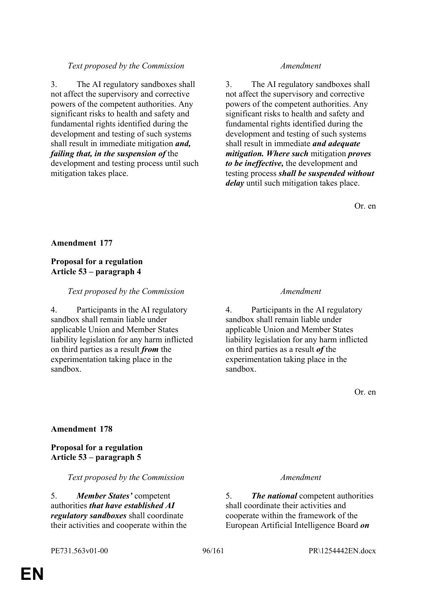3. The AI regulatory sandboxes shall not affect the supervisory and corrective powers of the competent authorities. Any significant risks to health and safety and fundamental rights identified during the development and testing of such systems shall result in immediate mitigation *and, failing that, in the suspension of* the development and testing process until such

mitigation takes place.

3. The AI regulatory sandboxes shall not affect the supervisory and corrective powers of the competent authorities. Any significant risks to health and safety and fundamental rights identified during the development and testing of such systems shall result in immediate *and adequate mitigation. Where such* mitigation *proves to be ineffective,* the development and testing process *shall be suspended without delay* until such mitigation takes place.

Or. en

### **Amendment 177**

### **Proposal for a regulation Article 53 – paragraph 4**

### *Text proposed by the Commission Amendment*

4. Participants in the AI regulatory sandbox shall remain liable under applicable Union and Member States liability legislation for any harm inflicted on third parties as a result *from* the experimentation taking place in the sandbox.

4. Participants in the AI regulatory sandbox shall remain liable under applicable Union and Member States liability legislation for any harm inflicted on third parties as a result *of* the experimentation taking place in the sandbox.

Or. en

### **Amendment 178**

**Proposal for a regulation Article 53 – paragraph 5**

#### *Text proposed by the Commission Amendment*

5. *Member States'* competent authorities *that have established AI regulatory sandboxes* shall coordinate their activities and cooperate within the

5. *The national* competent authorities shall coordinate their activities and cooperate within the framework of the European Artificial Intelligence Board *on*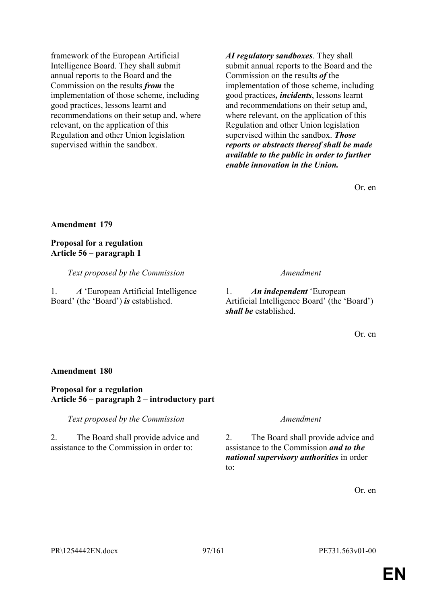framework of the European Artificial Intelligence Board. They shall submit annual reports to the Board and the Commission on the results *from* the implementation of those scheme, including good practices, lessons learnt and recommendations on their setup and, where relevant, on the application of this Regulation and other Union legislation supervised within the sandbox.

*AI regulatory sandboxes*. They shall submit annual reports to the Board and the Commission on the results *of* the implementation of those scheme, including good practices*, incidents*, lessons learnt and recommendations on their setup and, where relevant, on the application of this Regulation and other Union legislation supervised within the sandbox. *Those reports or abstracts thereof shall be made available to the public in order to further enable innovation in the Union.*

Or. en

**Amendment 179**

**Proposal for a regulation Article 56 – paragraph 1**

*Text proposed by the Commission Amendment*

1. *A* 'European Artificial Intelligence Board' (the 'Board') *is* established.

1. *An independent* 'European Artificial Intelligence Board' (the 'Board') *shall be* established.

Or. en

#### **Amendment 180**

#### **Proposal for a regulation Article 56 – paragraph 2 – introductory part**

*Text proposed by the Commission Amendment*

2. The Board shall provide advice and assistance to the Commission in order to:

2. The Board shall provide advice and assistance to the Commission *and to the national supervisory authorities* in order to: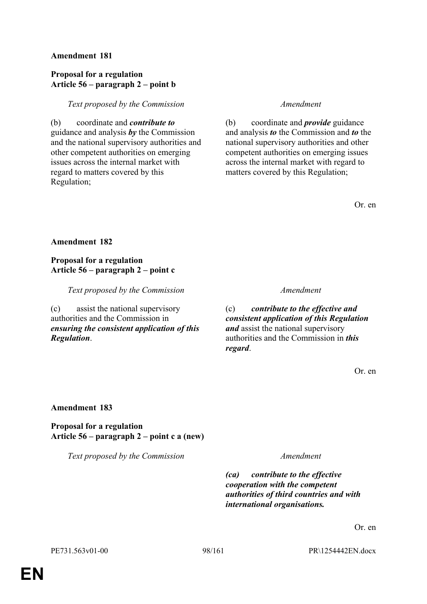### **Proposal for a regulation Article 56 – paragraph 2 – point b**

*Text proposed by the Commission Amendment*

(b) coordinate and *contribute to* guidance and analysis *by* the Commission and the national supervisory authorities and other competent authorities on emerging issues across the internal market with regard to matters covered by this Regulation;

(b) coordinate and *provide* guidance and analysis *to* the Commission and *to* the national supervisory authorities and other competent authorities on emerging issues across the internal market with regard to matters covered by this Regulation;

Or. en

### **Amendment 182**

### **Proposal for a regulation Article 56 – paragraph 2 – point c**

*Text proposed by the Commission Amendment*

(c) assist the national supervisory authorities and the Commission in *ensuring the consistent application of this Regulation*.

(c) *contribute to the effective and consistent application of this Regulation and* assist the national supervisory authorities and the Commission in *this regard*.

Or. en

#### **Amendment 183**

**Proposal for a regulation Article 56 – paragraph 2 – point c a (new)**

*Text proposed by the Commission Amendment*

*(ca) contribute to the effective cooperation with the competent authorities of third countries and with international organisations.*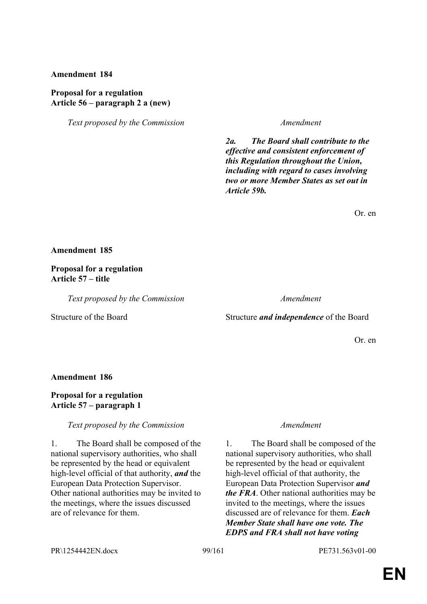#### **Proposal for a regulation Article 56 – paragraph 2 a (new)**

*Text proposed by the Commission Amendment*

*2a. The Board shall contribute to the effective and consistent enforcement of this Regulation throughout the Union, including with regard to cases involving two or more Member States as set out in Article 59b.*

Or. en

#### **Amendment 185**

**Proposal for a regulation Article 57 – title**

*Text proposed by the Commission Amendment*

#### Structure of the Board Structure *and independence* of the Board

Or. en

**Amendment 186**

### **Proposal for a regulation Article 57 – paragraph 1**

*Text proposed by the Commission Amendment*

1. The Board shall be composed of the national supervisory authorities, who shall be represented by the head or equivalent high-level official of that authority, *and* the European Data Protection Supervisor. Other national authorities may be invited to the meetings, where the issues discussed are of relevance for them.

1. The Board shall be composed of the national supervisory authorities, who shall be represented by the head or equivalent high-level official of that authority, the European Data Protection Supervisor *and the FRA*. Other national authorities may be invited to the meetings, where the issues discussed are of relevance for them. *Each Member State shall have one vote. The EDPS and FRA shall not have voting* 

PR\1254442EN.docx 99/161 PE731.563v01-00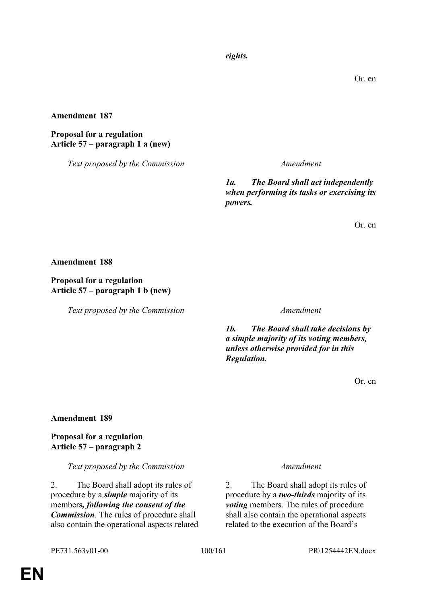*rights.*

Or. en

**Amendment 187**

#### **Proposal for a regulation Article 57 – paragraph 1 a (new)**

*Text proposed by the Commission Amendment*

*1a. The Board shall act independently when performing its tasks or exercising its powers.*

Or. en

**Amendment 188**

#### **Proposal for a regulation Article 57 – paragraph 1 b (new)**

*Text proposed by the Commission Amendment*

*1b. The Board shall take decisions by a simple majority of its voting members, unless otherwise provided for in this Regulation.*

Or. en

#### **Amendment 189**

**Proposal for a regulation Article 57 – paragraph 2**

*Text proposed by the Commission Amendment*

2. The Board shall adopt its rules of procedure by a *simple* majority of its members*, following the consent of the Commission*. The rules of procedure shall also contain the operational aspects related

2. The Board shall adopt its rules of procedure by a *two-thirds* majority of its *voting* members. The rules of procedure shall also contain the operational aspects related to the execution of the Board's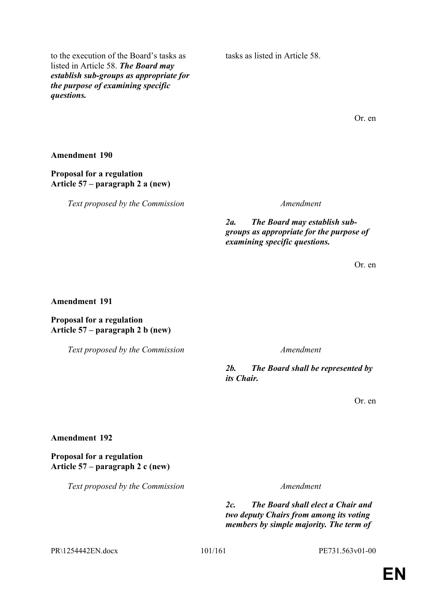to the execution of the Board's tasks as listed in Article 58. *The Board may establish sub-groups as appropriate for the purpose of examining specific questions.*

tasks as listed in Article 58.

Or. en

**Amendment 190**

**Proposal for a regulation Article 57 – paragraph 2 a (new)**

*Text proposed by the Commission Amendment*

*2a. The Board may establish subgroups as appropriate for the purpose of examining specific questions.*

Or. en

#### **Amendment 191**

### **Proposal for a regulation Article 57 – paragraph 2 b (new)**

*Text proposed by the Commission Amendment*

*2b. The Board shall be represented by its Chair.*

Or. en

**Amendment 192**

**Proposal for a regulation Article 57 – paragraph 2 c (new)**

*Text proposed by the Commission Amendment*

*2c. The Board shall elect a Chair and two deputy Chairs from among its voting members by simple majority. The term of* 

PR\1254442EN.docx 101/161 PE731.563v01-00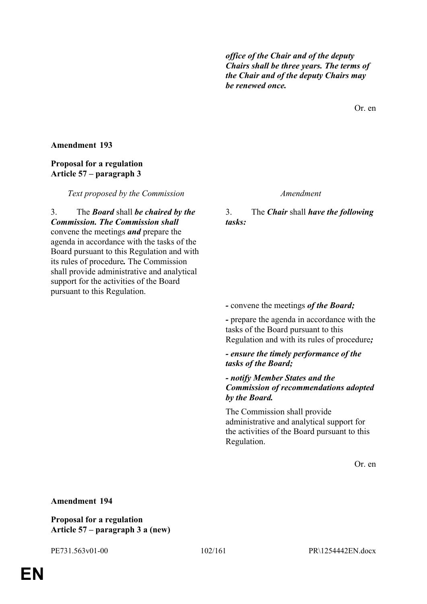*office of the Chair and of the deputy Chairs shall be three years. The terms of the Chair and of the deputy Chairs may be renewed once.*

Or. en

#### **Amendment 193**

### **Proposal for a regulation Article 57 – paragraph 3**

*Text proposed by the Commission Amendment*

3. The *Board* shall *be chaired by the Commission. The Commission shall* convene the meetings *and* prepare the agenda in accordance with the tasks of the Board pursuant to this Regulation and with its rules of procedure*.* The Commission shall provide administrative and analytical support for the activities of the Board pursuant to this Regulation.

3. The *Chair* shall *have the following tasks:*

*-* convene the meetings *of the Board;*

*-* prepare the agenda in accordance with the tasks of the Board pursuant to this Regulation and with its rules of procedure*;*

*- ensure the timely performance of the tasks of the Board;*

*- notify Member States and the Commission of recommendations adopted by the Board.*

The Commission shall provide administrative and analytical support for the activities of the Board pursuant to this Regulation.

Or. en

### **Amendment 194**

**Proposal for a regulation Article 57 – paragraph 3 a (new)**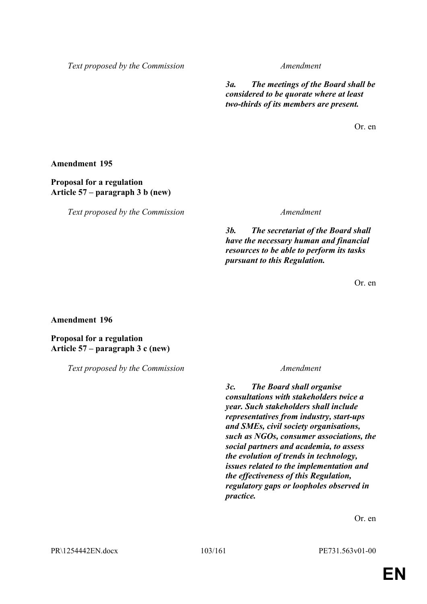*3a. The meetings of the Board shall be considered to be quorate where at least two-thirds of its members are present.*

Or. en

**Amendment 195**

**Proposal for a regulation Article 57 – paragraph 3 b (new)**

*Text proposed by the Commission Amendment*

*3b. The secretariat of the Board shall have the necessary human and financial resources to be able to perform its tasks pursuant to this Regulation.*

Or. en

#### **Amendment 196**

**Proposal for a regulation Article 57 – paragraph 3 c (new)**

*Text proposed by the Commission Amendment*

*3c. The Board shall organise consultations with stakeholders twice a year. Such stakeholders shall include representatives from industry, start-ups and SMEs, civil society organisations, such as NGOs, consumer associations, the social partners and academia, to assess the evolution of trends in technology, issues related to the implementation and the effectiveness of this Regulation, regulatory gaps or loopholes observed in practice.*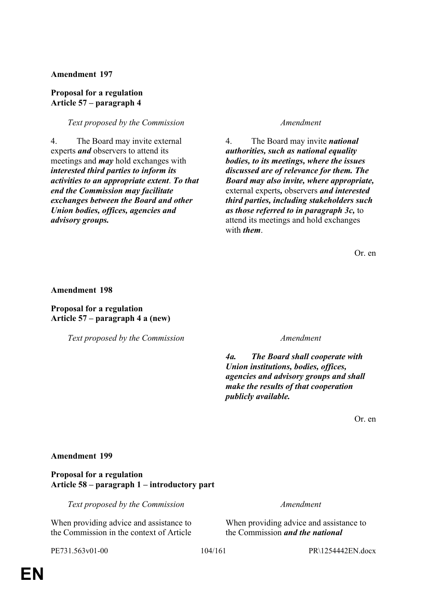#### **Proposal for a regulation Article 57 – paragraph 4**

#### *Text proposed by the Commission Amendment*

4. The Board may invite external experts *and* observers to attend its meetings and *may* hold exchanges with *interested third parties to inform its activities to an appropriate extent*. *To that end the Commission may facilitate exchanges between the Board and other Union bodies, offices, agencies and advisory groups.*

4. The Board may invite *national authorities, such as national equality bodies, to its meetings, where the issues discussed are of relevance for them. The Board may also invite, where appropriate,* external experts*,* observers *and interested third parties, including stakeholders such as those referred to in paragraph 3c,* to attend its meetings and hold exchanges with *them*.

Or. en

**Amendment 198**

#### **Proposal for a regulation Article 57 – paragraph 4 a (new)**

*Text proposed by the Commission Amendment*

*4a. The Board shall cooperate with Union institutions, bodies, offices, agencies and advisory groups and shall make the results of that cooperation publicly available.*

Or. en

#### **Amendment 199**

**Proposal for a regulation Article 58 – paragraph 1 – introductory part**

*Text proposed by the Commission Amendment*

When providing advice and assistance to the Commission in the context of Article

When providing advice and assistance to the Commission *and the national* 

PE731.563v01-00 104/161 PR\1254442EN.docx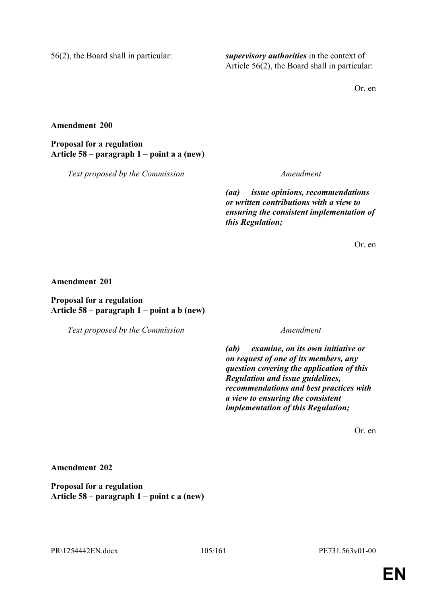56(2), the Board shall in particular: *supervisory authorities* in the context of Article 56(2), the Board shall in particular:

Or. en

**Amendment 200**

**Proposal for a regulation Article 58 – paragraph 1 – point a a (new)**

*Text proposed by the Commission Amendment*

*(aa) issue opinions, recommendations or written contributions with a view to ensuring the consistent implementation of this Regulation;*

Or. en

**Amendment 201**

**Proposal for a regulation Article 58 – paragraph 1 – point a b (new)**

*Text proposed by the Commission Amendment*

*(ab) examine, on its own initiative or on request of one of its members, any question covering the application of this Regulation and issue guidelines, recommendations and best practices with a view to ensuring the consistent implementation of this Regulation;*

Or. en

**Amendment 202**

**Proposal for a regulation Article 58 – paragraph 1 – point c a (new)**

PR\1254442EN.docx 105/161 PE731.563v01-00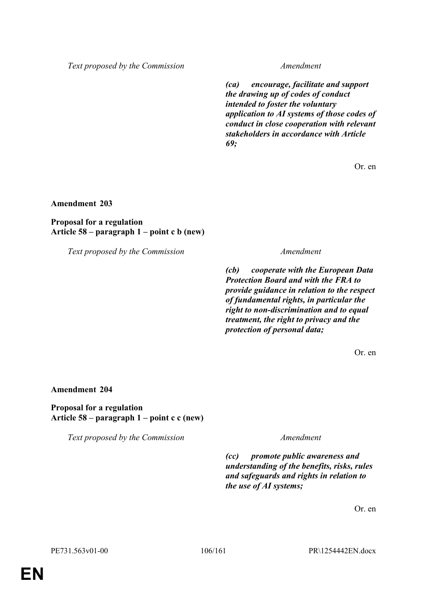*(ca) encourage, facilitate and support the drawing up of codes of conduct intended to foster the voluntary application to AI systems of those codes of conduct in close cooperation with relevant stakeholders in accordance with Article 69;*

Or. en

**Amendment 203**

**Proposal for a regulation Article 58 – paragraph 1 – point c b (new)**

*Text proposed by the Commission Amendment*

*(cb) cooperate with the European Data Protection Board and with the FRA to provide guidance in relation to the respect of fundamental rights, in particular the right to non-discrimination and to equal treatment, the right to privacy and the protection of personal data;*

Or. en

**Amendment 204**

**Proposal for a regulation Article 58 – paragraph 1 – point c c (new)**

*Text proposed by the Commission Amendment*

*(cc) promote public awareness and understanding of the benefits, risks, rules and safeguards and rights in relation to the use of AI systems;*

Or. en

PE731.563v01-00 106/161 PR\1254442EN.docx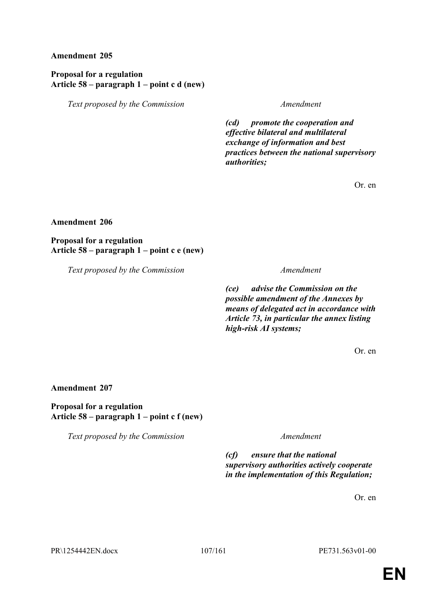### **Proposal for a regulation Article 58 – paragraph 1 – point c d (new)**

*Text proposed by the Commission Amendment*

*(cd) promote the cooperation and effective bilateral and multilateral exchange of information and best practices between the national supervisory authorities;*

Or. en

#### **Amendment 206**

**Proposal for a regulation Article 58 – paragraph 1 – point c e (new)**

*Text proposed by the Commission Amendment*

*(ce) advise the Commission on the possible amendment of the Annexes by means of delegated act in accordance with Article 73, in particular the annex listing high-risk AI systems;*

Or. en

#### **Amendment 207**

**Proposal for a regulation Article 58 – paragraph 1 – point c f (new)**

*Text proposed by the Commission Amendment*

*(cf) ensure that the national supervisory authorities actively cooperate in the implementation of this Regulation;*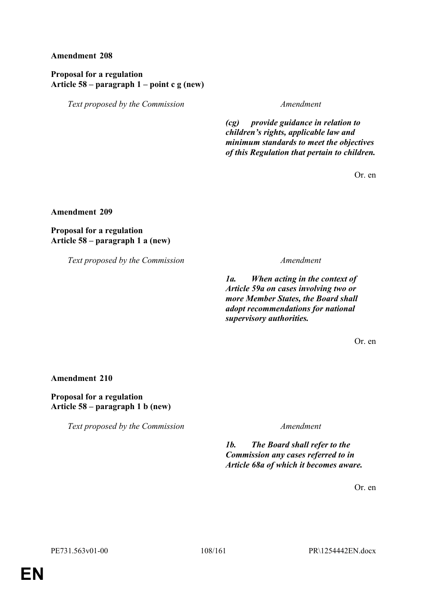### **Proposal for a regulation Article 58 – paragraph 1 – point c g (new)**

*Text proposed by the Commission Amendment*

*(cg) provide guidance in relation to children's rights, applicable law and minimum standards to meet the objectives of this Regulation that pertain to children.*

Or. en

**Amendment 209**

**Proposal for a regulation Article 58 – paragraph 1 a (new)**

*Text proposed by the Commission Amendment*

*1a. When acting in the context of Article 59a on cases involving two or more Member States, the Board shall adopt recommendations for national supervisory authorities.*

Or. en

**Amendment 210**

**Proposal for a regulation Article 58 – paragraph 1 b (new)**

*Text proposed by the Commission Amendment*

*1b. The Board shall refer to the Commission any cases referred to in Article 68a of which it becomes aware.*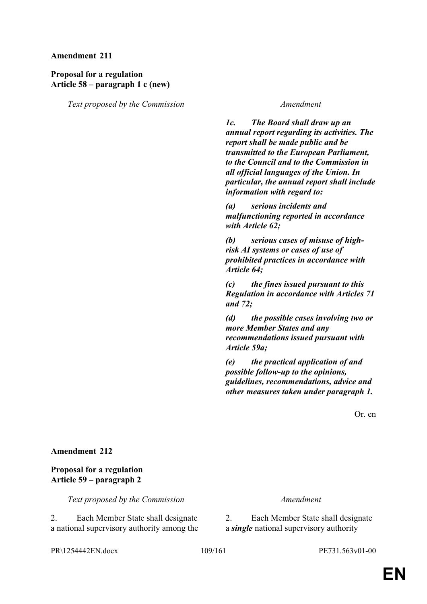## **Proposal for a regulation Article 58 – paragraph 1 c (new)**

*Text proposed by the Commission Amendment*

*1c. The Board shall draw up an annual report regarding its activities. The report shall be made public and be transmitted to the European Parliament, to the Council and to the Commission in all official languages of the Union. In particular, the annual report shall include information with regard to:*

*(a) serious incidents and malfunctioning reported in accordance with Article 62;*

*(b) serious cases of misuse of highrisk AI systems or cases of use of prohibited practices in accordance with Article 64;*

*(c) the fines issued pursuant to this Regulation in accordance with Articles 71 and 72;*

*(d) the possible cases involving two or more Member States and any recommendations issued pursuant with Article 59a;*

*(e) the practical application of and possible follow-up to the opinions, guidelines, recommendations, advice and other measures taken under paragraph 1.*

Or. en

## **Amendment 212**

## **Proposal for a regulation Article 59 – paragraph 2**

*Text proposed by the Commission Amendment*

2. Each Member State shall designate a national supervisory authority among the

2. Each Member State shall designate a *single* national supervisory authority

PR\1254442EN.docx 109/161 PE731.563v01-00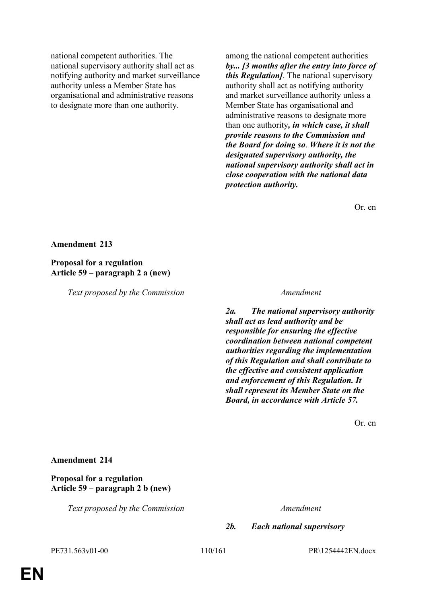national competent authorities. The national supervisory authority shall act as notifying authority and market surveillance authority unless a Member State has organisational and administrative reasons to designate more than one authority.

among the national competent authorities *by... [3 months after the entry into force of this Regulation]*. The national supervisory authority shall act as notifying authority and market surveillance authority unless a Member State has organisational and administrative reasons to designate more than one authority*, in which case, it shall provide reasons to the Commission and the Board for doing so*. *Where it is not the designated supervisory authority, the national supervisory authority shall act in close cooperation with the national data protection authority.*

Or. en

### **Amendment 213**

### **Proposal for a regulation Article 59 – paragraph 2 a (new)**

*Text proposed by the Commission Amendment*

*2a. The national supervisory authority shall act as lead authority and be responsible for ensuring the effective coordination between national competent authorities regarding the implementation of this Regulation and shall contribute to the effective and consistent application and enforcement of this Regulation. It shall represent its Member State on the Board, in accordance with Article 57.*

Or. en

### **Amendment 214**

**Proposal for a regulation Article 59 – paragraph 2 b (new)**

*Text proposed by the Commission Amendment*

*2b. Each national supervisory* 

PE731.563v01-00 110/161 PR\1254442EN.docx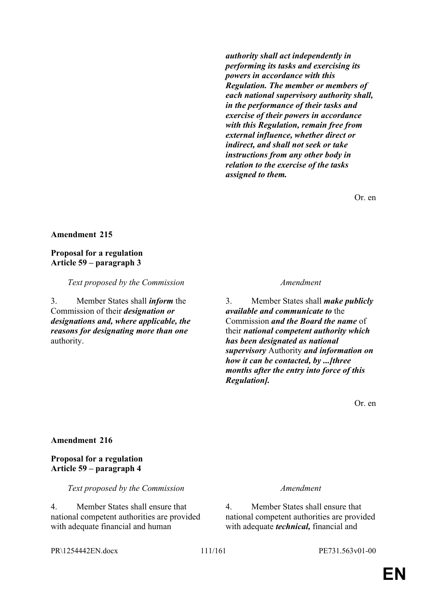*authority shall act independently in performing its tasks and exercising its powers in accordance with this Regulation. The member or members of each national supervisory authority shall, in the performance of their tasks and exercise of their powers in accordance with this Regulation, remain free from external influence, whether direct or indirect, and shall not seek or take instructions from any other body in relation to the exercise of the tasks assigned to them.*

Or. en

### **Amendment 215**

### **Proposal for a regulation Article 59 – paragraph 3**

*Text proposed by the Commission Amendment*

3. Member States shall *inform* the Commission of their *designation or designations and, where applicable, the reasons for designating more than one* authority.

3. Member States shall *make publicly available and communicate to* the Commission *and the Board the name* of their *national competent authority which has been designated as national supervisory* Authority *and information on how it can be contacted, by ...[three months after the entry into force of this Regulation].*

Or. en

### **Amendment 216**

## **Proposal for a regulation Article 59 – paragraph 4**

*Text proposed by the Commission Amendment*

4. Member States shall ensure that national competent authorities are provided with adequate financial and human

4. Member States shall ensure that national competent authorities are provided with adequate *technical,* financial and

PR\1254442EN.docx 111/161 PE731.563v01-00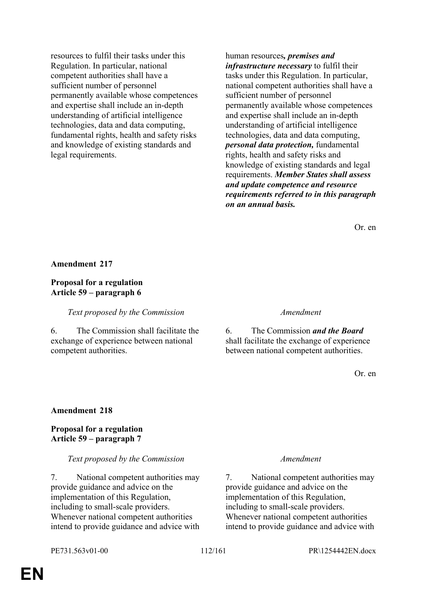resources to fulfil their tasks under this Regulation. In particular, national competent authorities shall have a sufficient number of personnel permanently available whose competences and expertise shall include an in-depth understanding of artificial intelligence technologies, data and data computing, fundamental rights, health and safety risks and knowledge of existing standards and legal requirements.

human resources*, premises and infrastructure necessary* to fulfil their tasks under this Regulation. In particular, national competent authorities shall have a sufficient number of personnel permanently available whose competences and expertise shall include an in-depth understanding of artificial intelligence technologies, data and data computing, *personal data protection,* fundamental rights, health and safety risks and knowledge of existing standards and legal requirements. *Member States shall assess and update competence and resource requirements referred to in this paragraph on an annual basis.*

Or. en

### **Amendment 217**

## **Proposal for a regulation Article 59 – paragraph 6**

*Text proposed by the Commission Amendment*

6. The Commission shall facilitate the exchange of experience between national competent authorities.

6. The Commission *and the Board* shall facilitate the exchange of experience between national competent authorities.

Or. en

### **Amendment 218**

**Proposal for a regulation Article 59 – paragraph 7**

### *Text proposed by the Commission Amendment*

7. National competent authorities may provide guidance and advice on the implementation of this Regulation, including to small-scale providers. Whenever national competent authorities intend to provide guidance and advice with

7. National competent authorities may provide guidance and advice on the implementation of this Regulation, including to small-scale providers. Whenever national competent authorities intend to provide guidance and advice with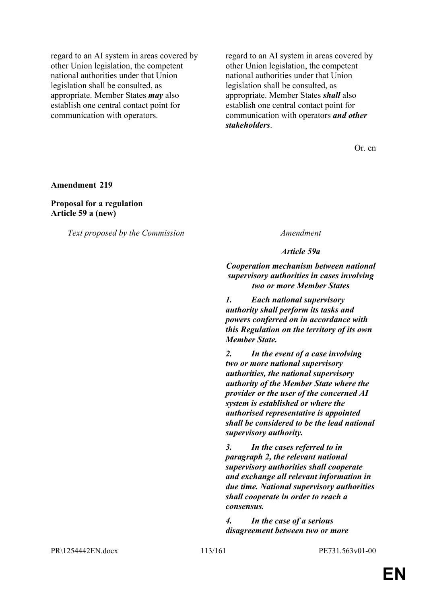regard to an AI system in areas covered by other Union legislation, the competent national authorities under that Union legislation shall be consulted, as appropriate. Member States *may* also establish one central contact point for communication with operators.

regard to an AI system in areas covered by other Union legislation, the competent national authorities under that Union legislation shall be consulted, as appropriate. Member States *shall* also establish one central contact point for communication with operators *and other stakeholders*.

Or. en

**Amendment 219**

**Proposal for a regulation Article 59 a (new)**

*Text proposed by the Commission Amendment*

*Article 59a*

*Cooperation mechanism between national supervisory authorities in cases involving two or more Member States*

*1. Each national supervisory authority shall perform its tasks and powers conferred on in accordance with this Regulation on the territory of its own Member State.*

*2. In the event of a case involving two or more national supervisory authorities, the national supervisory authority of the Member State where the provider or the user of the concerned AI system is established or where the authorised representative is appointed shall be considered to be the lead national supervisory authority.*

*3. In the cases referred to in paragraph 2, the relevant national supervisory authorities shall cooperate and exchange all relevant information in due time. National supervisory authorities shall cooperate in order to reach a consensus.*

*4. In the case of a serious disagreement between two or more* 

PR\1254442EN.docx 113/161 PE731.563v01-00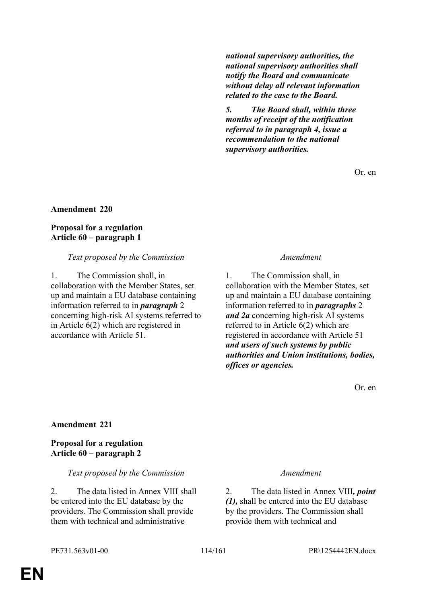*national supervisory authorities, the national supervisory authorities shall notify the Board and communicate without delay all relevant information related to the case to the Board.*

*5. The Board shall, within three months of receipt of the notification referred to in paragraph 4, issue a recommendation to the national supervisory authorities.*

Or. en

## **Amendment 220**

## **Proposal for a regulation Article 60 – paragraph 1**

## *Text proposed by the Commission Amendment*

1. The Commission shall, in collaboration with the Member States, set up and maintain a EU database containing information referred to in *paragraph* 2 concerning high-risk AI systems referred to in Article 6(2) which are registered in accordance with Article 51.

1. The Commission shall, in collaboration with the Member States, set up and maintain a EU database containing information referred to in *paragraphs* 2 *and 2a* concerning high-risk AI systems referred to in Article 6(2) which are registered in accordance with Article 51 *and users of such systems by public authorities and Union institutions, bodies, offices or agencies.*

Or. en

## **Amendment 221**

## **Proposal for a regulation Article 60 – paragraph 2**

## *Text proposed by the Commission Amendment*

2. The data listed in Annex VIII shall be entered into the EU database by the providers. The Commission shall provide them with technical and administrative

2. The data listed in Annex VIII*, point (1),* shall be entered into the EU database by the providers. The Commission shall provide them with technical and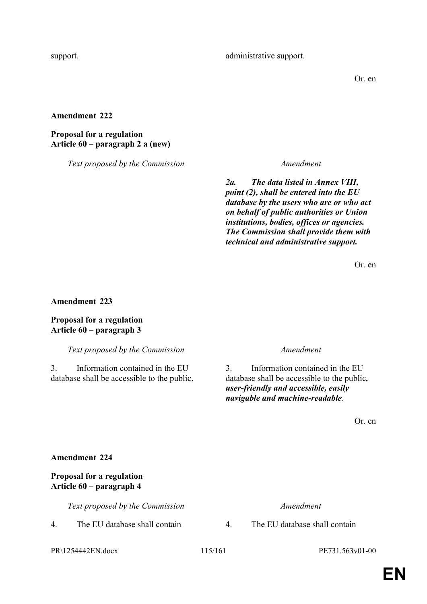Or. en

## **Amendment 222**

## **Proposal for a regulation Article 60 – paragraph 2 a (new)**

*Text proposed by the Commission Amendment*

*2a. The data listed in Annex VIII, point (2), shall be entered into the EU database by the users who are or who act on behalf of public authorities or Union institutions, bodies, offices or agencies. The Commission shall provide them with technical and administrative support.*

Or. en

**Amendment 223**

## **Proposal for a regulation Article 60 – paragraph 3**

*Text proposed by the Commission Amendment*

3. Information contained in the EU database shall be accessible to the public.

3. Information contained in the EU database shall be accessible to the public*, user-friendly and accessible, easily navigable and machine-readable*.

Or. en

## **Amendment 224**

## **Proposal for a regulation Article 60 – paragraph 4**

*Text proposed by the Commission Amendment*

4. The EU database shall contain 4. The EU database shall contain

PR\1254442EN.docx 115/161 PE731.563v01-00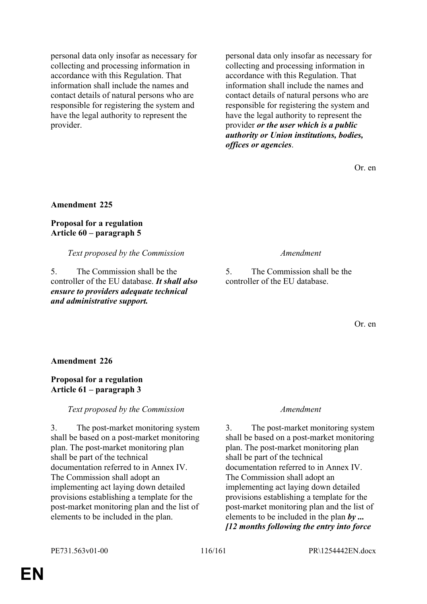personal data only insofar as necessary for collecting and processing information in accordance with this Regulation. That information shall include the names and contact details of natural persons who are responsible for registering the system and have the legal authority to represent the provider.

personal data only insofar as necessary for collecting and processing information in accordance with this Regulation. That information shall include the names and contact details of natural persons who are responsible for registering the system and have the legal authority to represent the provider *or the user which is a public authority or Union institutions, bodies, offices or agencies*.

Or. en

**Amendment 225**

## **Proposal for a regulation Article 60 – paragraph 5**

*Text proposed by the Commission Amendment*

5. The Commission shall be the controller of the EU database. *It shall also ensure to providers adequate technical and administrative support.*

5. The Commission shall be the controller of the EU database.

Or. en

**Amendment 226**

## **Proposal for a regulation Article 61 – paragraph 3**

## *Text proposed by the Commission Amendment*

3. The post-market monitoring system shall be based on a post-market monitoring plan. The post-market monitoring plan shall be part of the technical documentation referred to in Annex IV. The Commission shall adopt an implementing act laying down detailed provisions establishing a template for the post-market monitoring plan and the list of elements to be included in the plan.

3. The post-market monitoring system shall be based on a post-market monitoring plan. The post-market monitoring plan shall be part of the technical documentation referred to in Annex IV. The Commission shall adopt an implementing act laying down detailed provisions establishing a template for the post-market monitoring plan and the list of elements to be included in the plan *by ... [12 months following the entry into force*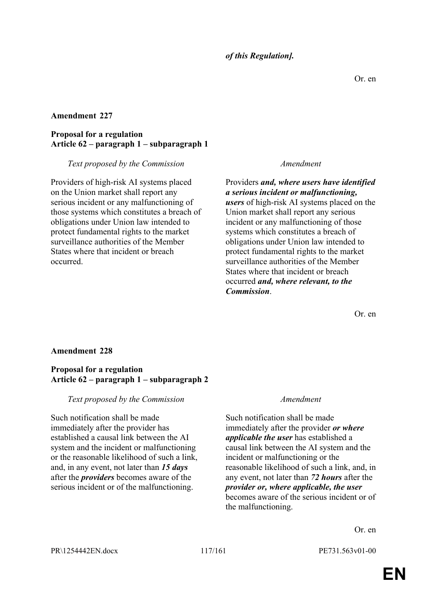## *of this Regulation].*

## **Amendment 227**

## **Proposal for a regulation Article 62 – paragraph 1 – subparagraph 1**

### *Text proposed by the Commission Amendment*

Providers of high-risk AI systems placed on the Union market shall report any serious incident or any malfunctioning of those systems which constitutes a breach of obligations under Union law intended to protect fundamental rights to the market surveillance authorities of the Member States where that incident or breach occurred.

Providers *and, where users have identified a serious incident or malfunctioning, users* of high-risk AI systems placed on the Union market shall report any serious incident or any malfunctioning of those systems which constitutes a breach of obligations under Union law intended to protect fundamental rights to the market surveillance authorities of the Member States where that incident or breach occurred *and, where relevant, to the Commission*.

Or. en

## **Amendment 228**

### **Proposal for a regulation Article 62 – paragraph 1 – subparagraph 2**

### *Text proposed by the Commission Amendment*

Such notification shall be made immediately after the provider has established a causal link between the AI system and the incident or malfunctioning or the reasonable likelihood of such a link, and, in any event, not later than *15 days* after the *providers* becomes aware of the serious incident or of the malfunctioning.

Such notification shall be made immediately after the provider *or where applicable the user* has established a causal link between the AI system and the incident or malfunctioning or the reasonable likelihood of such a link, and, in any event, not later than *72 hours* after the *provider or, where applicable, the user* becomes aware of the serious incident or of the malfunctioning.

Or. en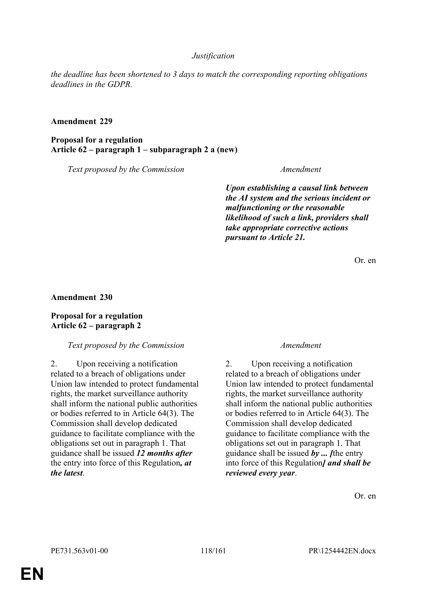## *Justification*

*the deadline has been shortened to 3 days to match the corresponding reporting obligations deadlines in the GDPR.*

### **Amendment 229**

**Proposal for a regulation Article 62 – paragraph 1 – subparagraph 2 a (new)**

*Text proposed by the Commission Amendment*

*Upon establishing a causal link between the AI system and the serious incident or malfunctioning or the reasonable likelihood of such a link, providers shall take appropriate corrective actions pursuant to Article 21.*

Or. en

**Amendment 230**

## **Proposal for a regulation Article 62 – paragraph 2**

### *Text proposed by the Commission Amendment*

2. Upon receiving a notification related to a breach of obligations under Union law intended to protect fundamental rights, the market surveillance authority shall inform the national public authorities or bodies referred to in Article 64(3). The Commission shall develop dedicated guidance to facilitate compliance with the obligations set out in paragraph 1. That guidance shall be issued *12 months after* the entry into force of this Regulation*, at the latest*.

2. Upon receiving a notification related to a breach of obligations under Union law intended to protect fundamental rights, the market surveillance authority shall inform the national public authorities or bodies referred to in Article 64(3). The Commission shall develop dedicated guidance to facilitate compliance with the obligations set out in paragraph 1. That guidance shall be issued *by ... [*the entry into force of this Regulation*] and shall be reviewed every year*.

Or. en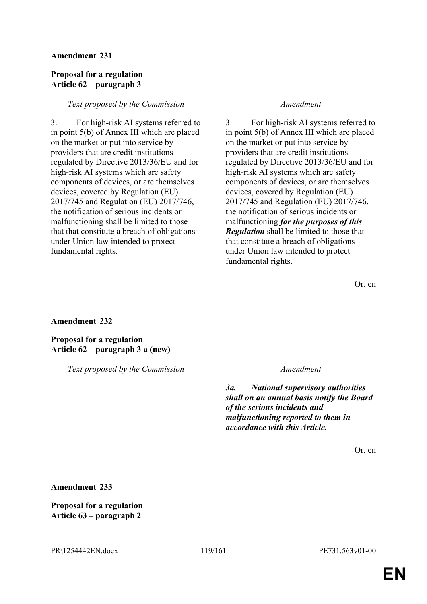## **Proposal for a regulation Article 62 – paragraph 3**

## *Text proposed by the Commission Amendment*

3. For high-risk AI systems referred to in point 5(b) of Annex III which are placed on the market or put into service by providers that are credit institutions regulated by Directive 2013/36/EU and for high-risk AI systems which are safety components of devices, or are themselves devices, covered by Regulation (EU) 2017/745 and Regulation (EU) 2017/746, the notification of serious incidents or malfunctioning shall be limited to those that that constitute a breach of obligations under Union law intended to protect fundamental rights.

3. For high-risk AI systems referred to in point 5(b) of Annex III which are placed on the market or put into service by providers that are credit institutions regulated by Directive 2013/36/EU and for high-risk AI systems which are safety components of devices, or are themselves devices, covered by Regulation (EU) 2017/745 and Regulation (EU) 2017/746, the notification of serious incidents or malfunctioning *for the purposes of this Regulation* shall be limited to those that that constitute a breach of obligations under Union law intended to protect fundamental rights.

Or. en

## **Amendment 232**

**Proposal for a regulation Article 62 – paragraph 3 a (new)**

*Text proposed by the Commission Amendment*

*3a. National supervisory authorities shall on an annual basis notify the Board of the serious incidents and malfunctioning reported to them in accordance with this Article.*

Or. en

**Amendment 233**

**Proposal for a regulation Article 63 – paragraph 2**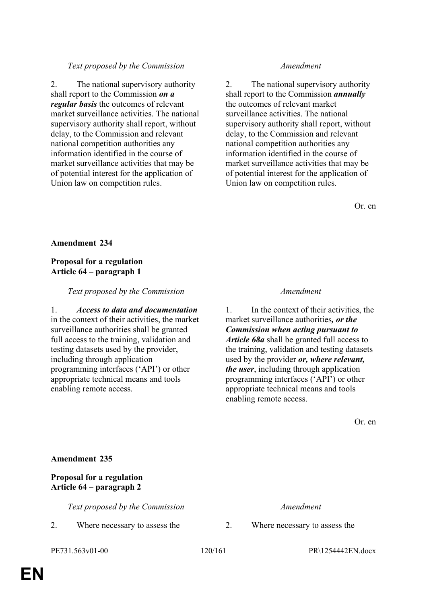## **Proposal for a regulation Article 64 – paragraph 2**

**Amendment 235**

*Text proposed by the Commission Amendment*

# *Text proposed by the Commission Amendment*

2. The national supervisory authority shall report to the Commission *on a regular basis* the outcomes of relevant market surveillance activities. The national supervisory authority shall report, without delay, to the Commission and relevant national competition authorities any information identified in the course of market surveillance activities that may be of potential interest for the application of Union law on competition rules.

2. The national supervisory authority shall report to the Commission *annually* the outcomes of relevant market surveillance activities. The national supervisory authority shall report, without delay, to the Commission and relevant national competition authorities any information identified in the course of market surveillance activities that may be of potential interest for the application of Union law on competition rules.

Or. en

# **Amendment 234**

## **Proposal for a regulation Article 64 – paragraph 1**

## *Text proposed by the Commission Amendment*

1. *Access to data and documentation* in the context of their activities, the market surveillance authorities shall be granted full access to the training, validation and testing datasets used by the provider, including through application programming interfaces ('API') or other appropriate technical means and tools enabling remote access.

1. In the context of their activities, the market surveillance authorities*, or the Commission when acting pursuant to Article 68a* shall be granted full access to the training, validation and testing datasets used by the provider *or, where relevant, the user*, including through application programming interfaces ('API') or other appropriate technical means and tools enabling remote access.

Or. en

2. Where necessary to assess the 2. Where necessary to assess the

PE731.563v01-00 120/161 PR\1254442EN.docx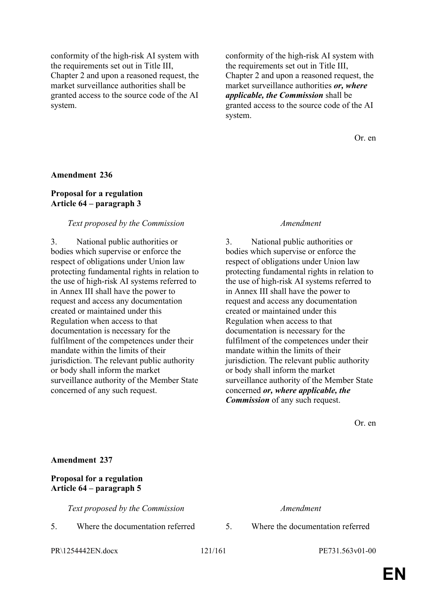conformity of the high-risk AI system with the requirements set out in Title III, Chapter 2 and upon a reasoned request, the market surveillance authorities shall be granted access to the source code of the AI system.

conformity of the high-risk AI system with the requirements set out in Title III, Chapter 2 and upon a reasoned request, the market surveillance authorities *or, where applicable, the Commission* shall be granted access to the source code of the AI system.

Or. en

### **Amendment 236**

## **Proposal for a regulation Article 64 – paragraph 3**

### *Text proposed by the Commission Amendment*

3. National public authorities or bodies which supervise or enforce the respect of obligations under Union law protecting fundamental rights in relation to the use of high-risk AI systems referred to in Annex III shall have the power to request and access any documentation created or maintained under this Regulation when access to that documentation is necessary for the fulfilment of the competences under their mandate within the limits of their jurisdiction. The relevant public authority or body shall inform the market surveillance authority of the Member State concerned of any such request.

3. National public authorities or bodies which supervise or enforce the respect of obligations under Union law protecting fundamental rights in relation to the use of high-risk AI systems referred to in Annex III shall have the power to request and access any documentation created or maintained under this Regulation when access to that documentation is necessary for the fulfilment of the competences under their mandate within the limits of their jurisdiction. The relevant public authority or body shall inform the market surveillance authority of the Member State concerned *or, where applicable, the Commission* of any such request.

Or. en

| <b>Amendment 237</b>                                         |                                  |    |                                  |
|--------------------------------------------------------------|----------------------------------|----|----------------------------------|
| <b>Proposal for a regulation</b><br>Article 64 – paragraph 5 |                                  |    |                                  |
|                                                              | Text proposed by the Commission  |    | Amendment                        |
| 5.                                                           | Where the documentation referred | 5. | Where the documentation referred |

PR\1254442EN.docx 121/161 PE731.563v01-00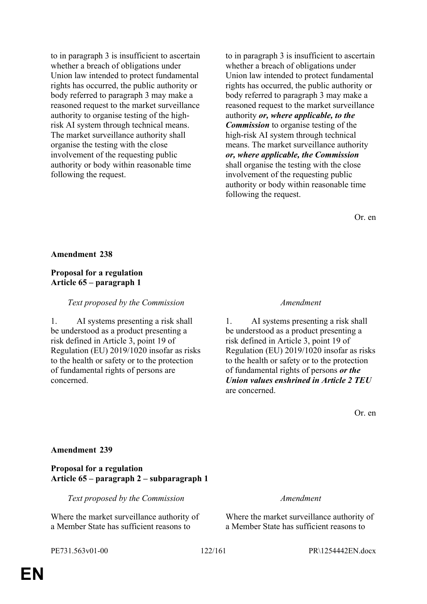to in paragraph 3 is insufficient to ascertain whether a breach of obligations under Union law intended to protect fundamental rights has occurred, the public authority or body referred to paragraph 3 may make a reasoned request to the market surveillance authority to organise testing of the highrisk AI system through technical means. The market surveillance authority shall organise the testing with the close involvement of the requesting public authority or body within reasonable time following the request.

to in paragraph 3 is insufficient to ascertain whether a breach of obligations under Union law intended to protect fundamental rights has occurred, the public authority or body referred to paragraph 3 may make a reasoned request to the market surveillance authority *or, where applicable, to the Commission* to organise testing of the high-risk AI system through technical means. The market surveillance authority *or, where applicable, the Commission* shall organise the testing with the close involvement of the requesting public authority or body within reasonable time following the request.

Or. en

### **Amendment 238**

## **Proposal for a regulation Article 65 – paragraph 1**

## *Text proposed by the Commission Amendment*

1. AI systems presenting a risk shall be understood as a product presenting a risk defined in Article 3, point 19 of Regulation (EU) 2019/1020 insofar as risks to the health or safety or to the protection of fundamental rights of persons are concerned.

1. AI systems presenting a risk shall be understood as a product presenting a risk defined in Article 3, point 19 of Regulation (EU) 2019/1020 insofar as risks to the health or safety or to the protection of fundamental rights of persons *or the Union values enshrined in Article 2 TEU* are concerned.

Or. en

### **Amendment 239**

## **Proposal for a regulation Article 65 – paragraph 2 – subparagraph 1**

*Text proposed by the Commission Amendment*

Where the market surveillance authority of a Member State has sufficient reasons to

Where the market surveillance authority of a Member State has sufficient reasons to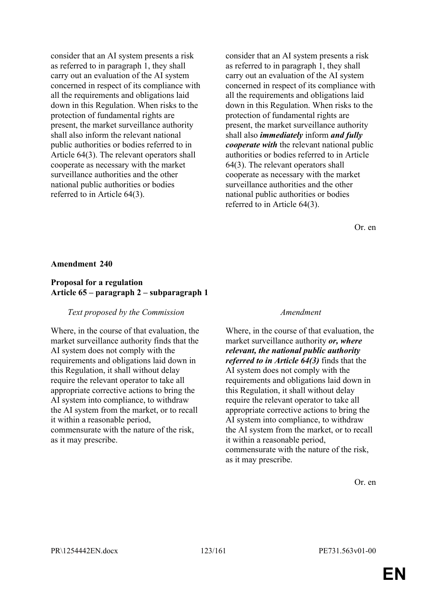consider that an AI system presents a risk as referred to in paragraph 1, they shall carry out an evaluation of the AI system concerned in respect of its compliance with all the requirements and obligations laid down in this Regulation. When risks to the protection of fundamental rights are present, the market surveillance authority shall also inform the relevant national public authorities or bodies referred to in Article 64(3). The relevant operators shall cooperate as necessary with the market surveillance authorities and the other national public authorities or bodies referred to in Article 64(3).

consider that an AI system presents a risk as referred to in paragraph 1, they shall carry out an evaluation of the AI system concerned in respect of its compliance with all the requirements and obligations laid down in this Regulation. When risks to the protection of fundamental rights are present, the market surveillance authority shall also *immediately* inform *and fully cooperate with* the relevant national public authorities or bodies referred to in Article 64(3). The relevant operators shall cooperate as necessary with the market surveillance authorities and the other national public authorities or bodies referred to in Article 64(3).

Or. en

### **Amendment 240**

## **Proposal for a regulation Article 65 – paragraph 2 – subparagraph 1**

### *Text proposed by the Commission Amendment*

Where, in the course of that evaluation, the market surveillance authority finds that the AI system does not comply with the requirements and obligations laid down in this Regulation, it shall without delay require the relevant operator to take all appropriate corrective actions to bring the AI system into compliance, to withdraw the AI system from the market, or to recall it within a reasonable period, commensurate with the nature of the risk, as it may prescribe.

Where, in the course of that evaluation, the market surveillance authority *or, where relevant, the national public authority referred to in Article 64(3)* finds that the AI system does not comply with the requirements and obligations laid down in this Regulation, it shall without delay require the relevant operator to take all appropriate corrective actions to bring the AI system into compliance, to withdraw the AI system from the market, or to recall it within a reasonable period, commensurate with the nature of the risk, as it may prescribe.

Or. en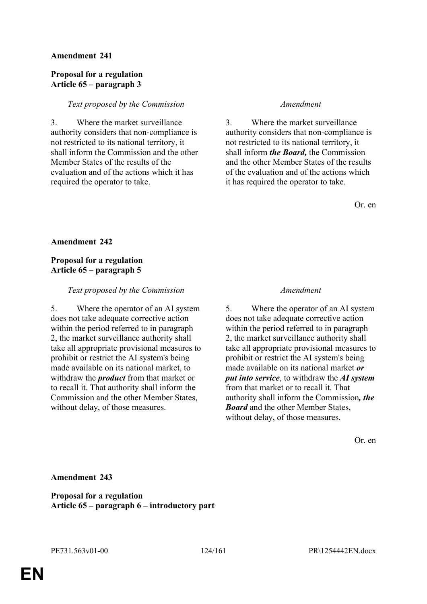## **Proposal for a regulation Article 65 – paragraph 3**

## *Text proposed by the Commission Amendment*

3. Where the market surveillance authority considers that non-compliance is not restricted to its national territory, it shall inform the Commission and the other Member States of the results of the evaluation and of the actions which it has required the operator to take.

3. Where the market surveillance authority considers that non-compliance is not restricted to its national territory, it shall inform *the Board,* the Commission and the other Member States of the results of the evaluation and of the actions which it has required the operator to take.

Or. en

## **Amendment 242**

## **Proposal for a regulation Article 65 – paragraph 5**

## *Text proposed by the Commission Amendment*

5. Where the operator of an AI system does not take adequate corrective action within the period referred to in paragraph 2, the market surveillance authority shall take all appropriate provisional measures to prohibit or restrict the AI system's being made available on its national market, to withdraw the *product* from that market or to recall it. That authority shall inform the Commission and the other Member States, without delay, of those measures.

5. Where the operator of an AI system does not take adequate corrective action within the period referred to in paragraph 2, the market surveillance authority shall take all appropriate provisional measures to prohibit or restrict the AI system's being made available on its national market *or put into service*, to withdraw the *AI system* from that market or to recall it. That authority shall inform the Commission*, the Board* and the other Member States, without delay, of those measures.

Or. en

**Amendment 243**

**Proposal for a regulation Article 65 – paragraph 6 – introductory part**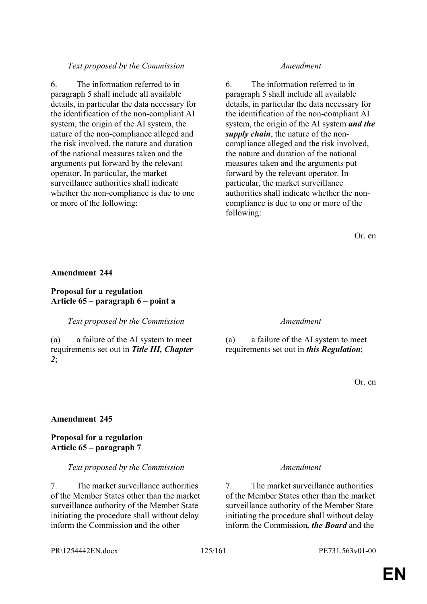## *Text proposed by the Commission Amendment*

6. The information referred to in paragraph 5 shall include all available details, in particular the data necessary for the identification of the non-compliant AI system, the origin of the AI system, the nature of the non-compliance alleged and the risk involved, the nature and duration of the national measures taken and the arguments put forward by the relevant operator. In particular, the market surveillance authorities shall indicate whether the non-compliance is due to one or more of the following:

6. The information referred to in paragraph 5 shall include all available details, in particular the data necessary for the identification of the non-compliant AI system, the origin of the AI system *and the supply chain*, the nature of the noncompliance alleged and the risk involved, the nature and duration of the national measures taken and the arguments put forward by the relevant operator. In particular, the market surveillance authorities shall indicate whether the noncompliance is due to one or more of the following:

Or. en

### **Amendment 244**

## **Proposal for a regulation Article 65 – paragraph 6 – point a**

*Text proposed by the Commission Amendment*

(a) a failure of the AI system to meet requirements set out in *Title III, Chapter 2*;

(a) a failure of the AI system to meet requirements set out in *this Regulation*;

Or. en

### **Amendment 245**

## **Proposal for a regulation Article 65 – paragraph 7**

### *Text proposed by the Commission Amendment*

7. The market surveillance authorities of the Member States other than the market surveillance authority of the Member State initiating the procedure shall without delay inform the Commission and the other

7. The market surveillance authorities of the Member States other than the market surveillance authority of the Member State initiating the procedure shall without delay inform the Commission*, the Board* and the

PR\1254442EN.docx 125/161 PE731.563v01-00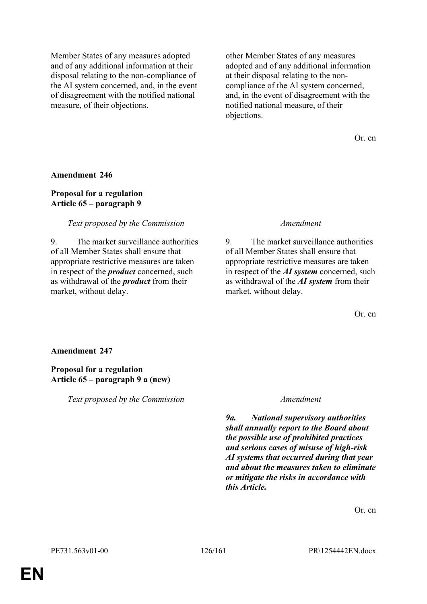Member States of any measures adopted and of any additional information at their disposal relating to the non-compliance of the AI system concerned, and, in the event of disagreement with the notified national measure, of their objections.

other Member States of any measures adopted and of any additional information at their disposal relating to the noncompliance of the AI system concerned, and, in the event of disagreement with the notified national measure, of their objections.

Or. en

### **Amendment 246**

## **Proposal for a regulation Article 65 – paragraph 9**

### *Text proposed by the Commission Amendment*

9. The market surveillance authorities of all Member States shall ensure that appropriate restrictive measures are taken in respect of the *product* concerned, such as withdrawal of the *product* from their market, without delay.

9. The market surveillance authorities of all Member States shall ensure that appropriate restrictive measures are taken in respect of the *AI system* concerned, such as withdrawal of the *AI system* from their market, without delay.

Or. en

### **Amendment 247**

## **Proposal for a regulation Article 65 – paragraph 9 a (new)**

*Text proposed by the Commission Amendment*

*9a. National supervisory authorities shall annually report to the Board about the possible use of prohibited practices and serious cases of misuse of high-risk AI systems that occurred during that year and about the measures taken to eliminate or mitigate the risks in accordance with this Article.*

Or. en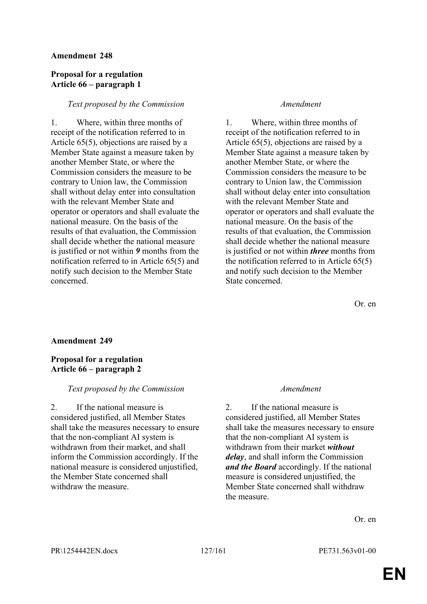## **Proposal for a regulation Article 66 – paragraph 1**

### *Text proposed by the Commission Amendment*

1. Where, within three months of receipt of the notification referred to in Article 65(5), objections are raised by a Member State against a measure taken by another Member State, or where the Commission considers the measure to be contrary to Union law, the Commission shall without delay enter into consultation with the relevant Member State and operator or operators and shall evaluate the national measure. On the basis of the results of that evaluation, the Commission shall decide whether the national measure is justified or not within *9* months from the notification referred to in Article 65(5) and notify such decision to the Member State concerned.

1. Where, within three months of receipt of the notification referred to in Article 65(5), objections are raised by a Member State against a measure taken by another Member State, or where the Commission considers the measure to be contrary to Union law, the Commission shall without delay enter into consultation with the relevant Member State and operator or operators and shall evaluate the national measure. On the basis of the results of that evaluation, the Commission shall decide whether the national measure is justified or not within *three* months from the notification referred to in Article 65(5) and notify such decision to the Member State concerned.

Or. en

### **Amendment 249**

## **Proposal for a regulation Article 66 – paragraph 2**

## *Text proposed by the Commission Amendment*

2. If the national measure is considered justified, all Member States shall take the measures necessary to ensure that the non-compliant AI system is withdrawn from their market, and shall inform the Commission accordingly. If the national measure is considered unjustified, the Member State concerned shall withdraw the measure.

2. If the national measure is considered justified, all Member States shall take the measures necessary to ensure that the non-compliant AI system is withdrawn from their market *without delay*, and shall inform the Commission *and the Board* accordingly. If the national measure is considered unjustified, the Member State concerned shall withdraw the measure.

Or. en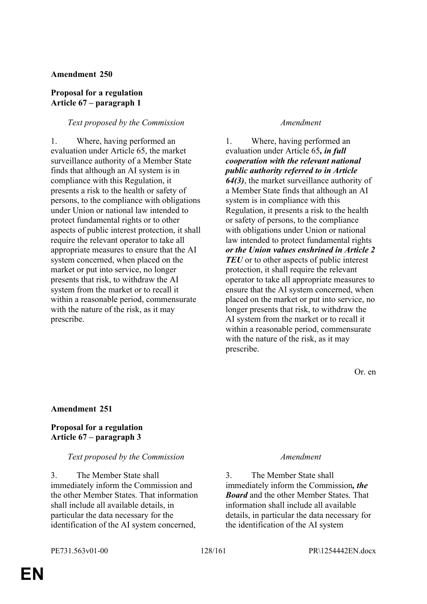## **Proposal for a regulation Article 67 – paragraph 1**

## *Text proposed by the Commission Amendment*

1. Where, having performed an evaluation under Article 65, the market surveillance authority of a Member State finds that although an AI system is in compliance with this Regulation, it presents a risk to the health or safety of persons, to the compliance with obligations under Union or national law intended to protect fundamental rights or to other aspects of public interest protection, it shall require the relevant operator to take all appropriate measures to ensure that the AI system concerned, when placed on the market or put into service, no longer presents that risk, to withdraw the AI system from the market or to recall it within a reasonable period, commensurate with the nature of the risk, as it may prescribe.

1. Where, having performed an evaluation under Article 65*, in full cooperation with the relevant national public authority referred to in Article 64(3)*, the market surveillance authority of a Member State finds that although an AI system is in compliance with this Regulation, it presents a risk to the health or safety of persons, to the compliance with obligations under Union or national law intended to protect fundamental rights *or the Union values enshrined in Article 2 TEU* or to other aspects of public interest protection, it shall require the relevant operator to take all appropriate measures to ensure that the AI system concerned, when placed on the market or put into service, no longer presents that risk, to withdraw the AI system from the market or to recall it within a reasonable period, commensurate with the nature of the risk, as it may prescribe.

Or. en

## **Amendment 251**

## **Proposal for a regulation Article 67 – paragraph 3**

## *Text proposed by the Commission Amendment*

3. The Member State shall immediately inform the Commission and the other Member States. That information shall include all available details, in particular the data necessary for the identification of the AI system concerned,

3. The Member State shall immediately inform the Commission*, the Board* and the other Member States. That information shall include all available details, in particular the data necessary for the identification of the AI system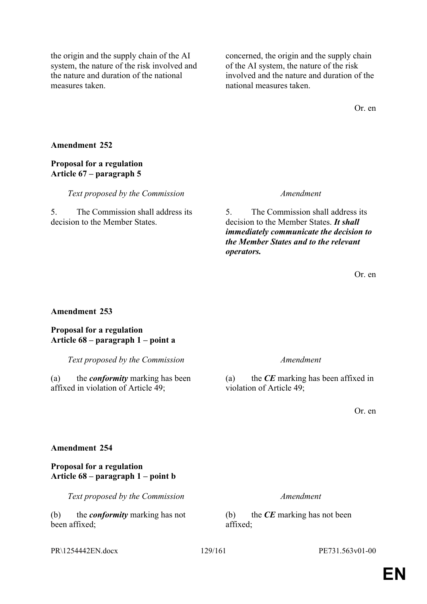the origin and the supply chain of the AI system, the nature of the risk involved and the nature and duration of the national measures taken.

concerned, the origin and the supply chain of the AI system, the nature of the risk involved and the nature and duration of the national measures taken.

Or. en

## **Amendment 252**

## **Proposal for a regulation Article 67 – paragraph 5**

*Text proposed by the Commission Amendment*

5. The Commission shall address its decision to the Member States.

5. The Commission shall address its decision to the Member States. *It shall immediately communicate the decision to the Member States and to the relevant operators.*

Or. en

## **Amendment 253**

**Proposal for a regulation Article 68 – paragraph 1 – point a**

*Text proposed by the Commission Amendment*

(a) the *conformity* marking has been affixed in violation of Article 49;

(a) the *CE* marking has been affixed in violation of Article 49;

Or. en

## **Amendment 254**

## **Proposal for a regulation Article 68 – paragraph 1 – point b**

*Text proposed by the Commission Amendment*

(b) the *conformity* marking has not been affixed;

(b) the *CE* marking has not been affixed;

PR\1254442EN.docx 129/161 PE731.563v01-00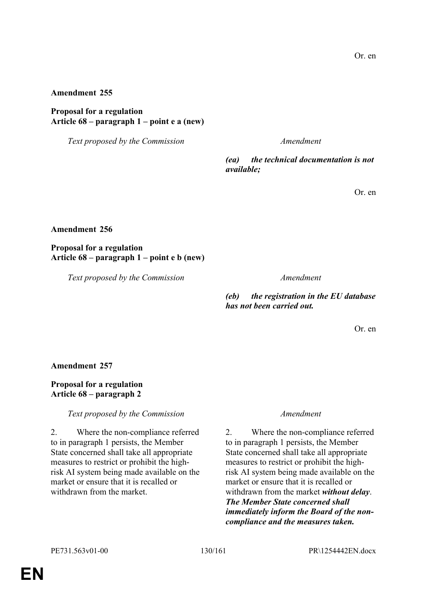**Proposal for a regulation Article 68 – paragraph 1 – point e a (new)**

*Text proposed by the Commission Amendment*

*(ea) the technical documentation is not available;*

Or. en

**Amendment 256**

**Proposal for a regulation Article 68 – paragraph 1 – point e b (new)**

*Text proposed by the Commission Amendment*

*(eb) the registration in the EU database has not been carried out.*

Or. en

**Amendment 257**

**Proposal for a regulation Article 68 – paragraph 2**

*Text proposed by the Commission Amendment*

2. Where the non-compliance referred to in paragraph 1 persists, the Member State concerned shall take all appropriate measures to restrict or prohibit the highrisk AI system being made available on the market or ensure that it is recalled or withdrawn from the market.

2. Where the non-compliance referred to in paragraph 1 persists, the Member State concerned shall take all appropriate measures to restrict or prohibit the highrisk AI system being made available on the market or ensure that it is recalled or withdrawn from the market *without delay*. *The Member State concerned shall immediately inform the Board of the noncompliance and the measures taken.*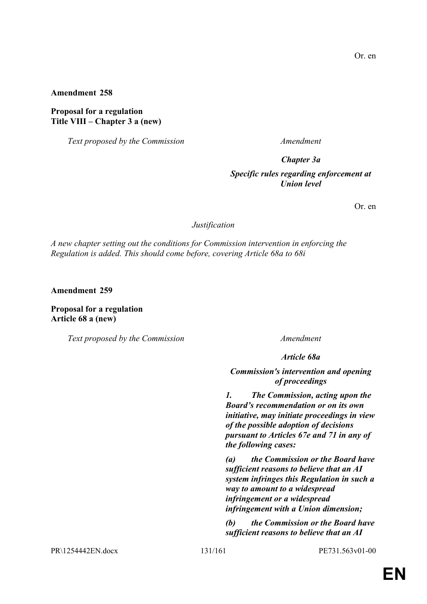## **Proposal for a regulation Title VIII – Chapter 3 a (new)**

*Text proposed by the Commission Amendment*

### *Chapter 3a*

## *Specific rules regarding enforcement at Union level*

Or. en

*Justification*

*A new chapter setting out the conditions for Commission intervention in enforcing the Regulation is added. This should come before, covering Article 68a to 68i*

**Amendment 259**

**Proposal for a regulation Article 68 a (new)**

*Text proposed by the Commission Amendment*

*Article 68a*

*Commission's intervention and opening of proceedings*

*1. The Commission, acting upon the Board's recommendation or on its own initiative, may initiate proceedings in view of the possible adoption of decisions pursuant to Articles 67e and 71 in any of the following cases:*

*(a) the Commission or the Board have sufficient reasons to believe that an AI system infringes this Regulation in such a way to amount to a widespread infringement or a widespread infringement with a Union dimension;*

*(b) the Commission or the Board have sufficient reasons to believe that an AI* 

PR\1254442EN.docx 131/161 PE731.563v01-00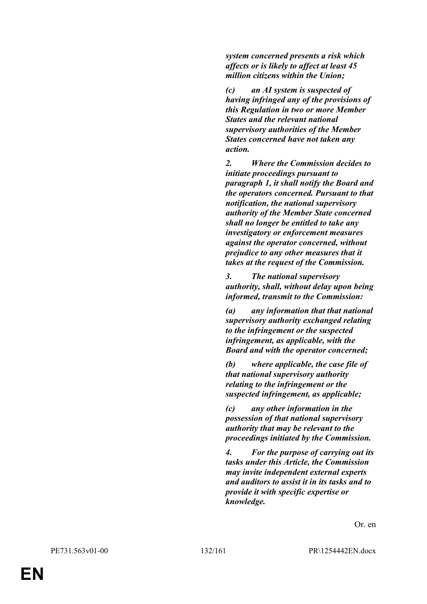*system concerned presents a risk which affects or is likely to affect at least 45 million citizens within the Union;*

*(c) an AI system is suspected of having infringed any of the provisions of this Regulation in two or more Member States and the relevant national supervisory authorities of the Member States concerned have not taken any action.*

*2. Where the Commission decides to initiate proceedings pursuant to paragraph 1, it shall notify the Board and the operators concerned. Pursuant to that notification, the national supervisory authority of the Member State concerned shall no longer be entitled to take any investigatory or enforcement measures against the operator concerned, without prejudice to any other measures that it takes at the request of the Commission.*

*3. The national supervisory authority, shall, without delay upon being informed, transmit to the Commission:*

*(a) any information that that national supervisory authority exchanged relating to the infringement or the suspected infringement, as applicable, with the Board and with the operator concerned;*

*(b) where applicable, the case file of that national supervisory authority relating to the infringement or the suspected infringement, as applicable;*

*(c) any other information in the possession of that national supervisory authority that may be relevant to the proceedings initiated by the Commission.*

*4. For the purpose of carrying out its tasks under this Article, the Commission may invite independent external experts and auditors to assist it in its tasks and to provide it with specific expertise or knowledge.*

Or. en

**EN**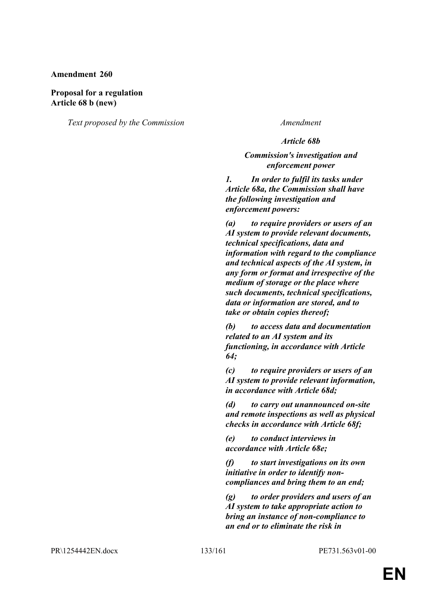## **Proposal for a regulation Article 68 b (new)**

*Text proposed by the Commission Amendment*

### *Article 68b*

## *Commission's investigation and enforcement power*

*1. In order to fulfil its tasks under Article 68a, the Commission shall have the following investigation and enforcement powers:*

*(a) to require providers or users of an AI system to provide relevant documents, technical specifications, data and information with regard to the compliance and technical aspects of the AI system, in any form or format and irrespective of the medium of storage or the place where such documents, technical specifications, data or information are stored, and to take or obtain copies thereof;*

*(b) to access data and documentation related to an AI system and its functioning, in accordance with Article 64;*

*(c) to require providers or users of an AI system to provide relevant information, in accordance with Article 68d;*

*(d) to carry out unannounced on-site and remote inspections as well as physical checks in accordance with Article 68f;*

*(e) to conduct interviews in accordance with Article 68e;*

*(f) to start investigations on its own initiative in order to identify noncompliances and bring them to an end;*

*(g) to order providers and users of an AI system to take appropriate action to bring an instance of non-compliance to an end or to eliminate the risk in* 

PR\1254442EN.docx 133/161 PE731.563v01-00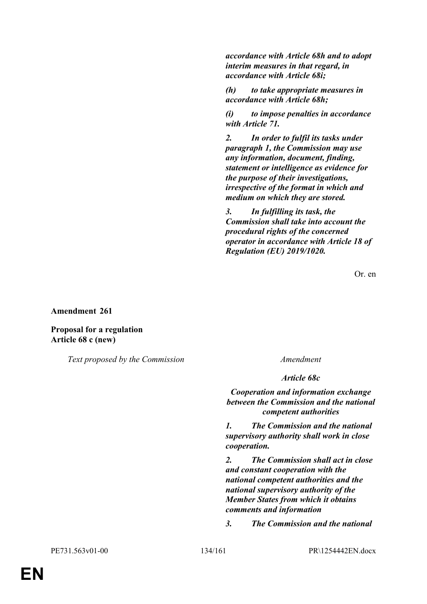*accordance with Article 68h and to adopt interim measures in that regard, in accordance with Article 68i;*

*(h) to take appropriate measures in accordance with Article 68h;*

*(i) to impose penalties in accordance with Article 71.*

*2. In order to fulfil its tasks under paragraph 1, the Commission may use any information, document, finding, statement or intelligence as evidence for the purpose of their investigations, irrespective of the format in which and medium on which they are stored.*

*3. In fulfilling its task, the Commission shall take into account the procedural rights of the concerned operator in accordance with Article 18 of Regulation (EU) 2019/1020.*

Or. en

**Amendment 261**

**Proposal for a regulation Article 68 c (new)**

*Text proposed by the Commission Amendment*

*Article 68c*

*Cooperation and information exchange between the Commission and the national competent authorities*

*1. The Commission and the national supervisory authority shall work in close cooperation.*

*2. The Commission shall act in close and constant cooperation with the national competent authorities and the national supervisory authority of the Member States from which it obtains comments and information*

*3. The Commission and the national*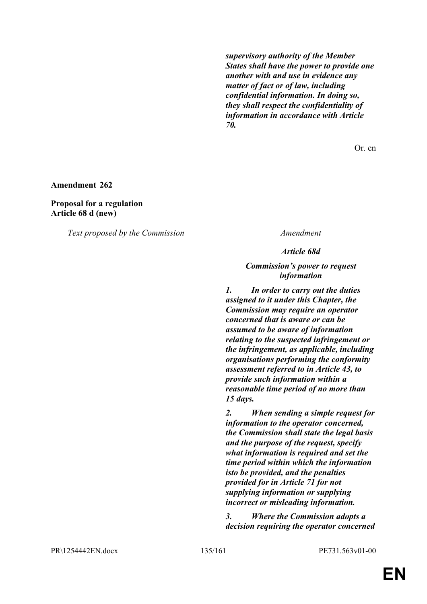*supervisory authority of the Member States shall have the power to provide one another with and use in evidence any matter of fact or of law, including confidential information. In doing so, they shall respect the confidentiality of information in accordance with Article 70.*

Or. en

**Amendment 262**

**Proposal for a regulation Article 68 d (new)**

*Text proposed by the Commission Amendment*

*Article 68d*

*Commission's power to request information*

*1. In order to carry out the duties assigned to it under this Chapter, the Commission may require an operator concerned that is aware or can be assumed to be aware of information relating to the suspected infringement or the infringement, as applicable, including organisations performing the conformity assessment referred to in Article 43, to provide such information within a reasonable time period of no more than 15 days.*

*2. When sending a simple request for information to the operator concerned, the Commission shall state the legal basis and the purpose of the request, specify what information is required and set the time period within which the information isto be provided, and the penalties provided for in Article 71 for not supplying information or supplying incorrect or misleading information.*

*3. Where the Commission adopts a decision requiring the operator concerned* 

PR\1254442EN.docx 135/161 PE731.563v01-00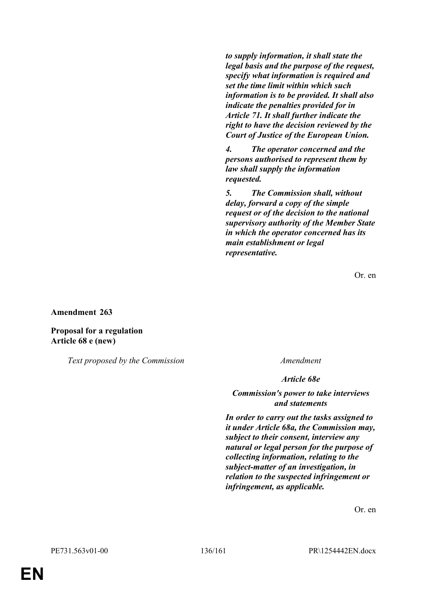*to supply information, it shall state the legal basis and the purpose of the request, specify what information is required and set the time limit within which such information is to be provided. It shall also indicate the penalties provided for in Article 71. It shall further indicate the right to have the decision reviewed by the Court of Justice of the European Union.*

*4. The operator concerned and the persons authorised to represent them by law shall supply the information requested.*

*5. The Commission shall, without delay, forward a copy of the simple request or of the decision to the national supervisory authority of the Member State in which the operator concerned has its main establishment or legal representative.*

Or. en

### **Amendment 263**

**Proposal for a regulation Article 68 e (new)**

*Text proposed by the Commission Amendment*

*Article 68e*

### *Commission's power to take interviews and statements*

*In order to carry out the tasks assigned to it under Article 68a, the Commission may, subject to their consent, interview any natural or legal person for the purpose of collecting information, relating to the subject-matter of an investigation, in relation to the suspected infringement or infringement, as applicable.*

Or. en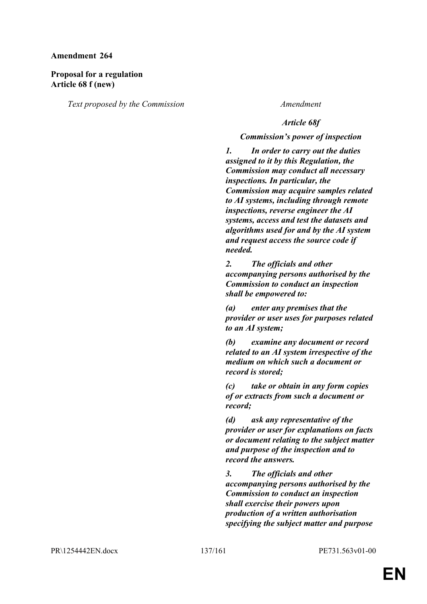## **Proposal for a regulation Article 68 f (new)**

*Text proposed by the Commission Amendment*

## *Article 68f*

## *Commission's power of inspection*

*1. In order to carry out the duties assigned to it by this Regulation, the Commission may conduct all necessary inspections. In particular, the Commission may acquire samples related to AI systems, including through remote inspections, reverse engineer the AI systems, access and test the datasets and algorithms used for and by the AI system and request access the source code if needed.*

*2. The officials and other accompanying persons authorised by the Commission to conduct an inspection shall be empowered to:*

*(a) enter any premises that the provider or user uses for purposes related to an AI system;*

*(b) examine any document or record related to an AI system irrespective of the medium on which such a document or record is stored;*

*(c) take or obtain in any form copies of or extracts from such a document or record;*

*(d) ask any representative of the provider or user for explanations on facts or document relating to the subject matter and purpose of the inspection and to record the answers.*

*3. The officials and other accompanying persons authorised by the Commission to conduct an inspection shall exercise their powers upon production of a written authorisation specifying the subject matter and purpose*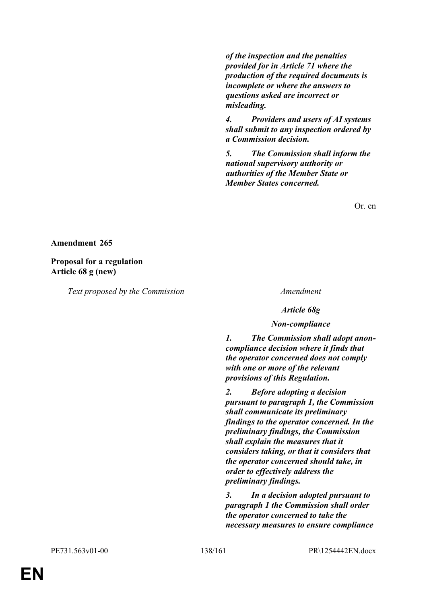*of the inspection and the penalties provided for in Article 71 where the production of the required documents is incomplete or where the answers to questions asked are incorrect or misleading.*

*4. Providers and users of AI systems shall submit to any inspection ordered by a Commission decision.*

*5. The Commission shall inform the national supervisory authority or authorities of the Member State or Member States concerned.*

Or. en

### **Amendment 265**

**Proposal for a regulation Article 68 g (new)**

*Text proposed by the Commission Amendment*

*Article 68g*

### *Non-compliance*

*1. The Commission shall adopt anoncompliance decision where it finds that the operator concerned does not comply with one or more of the relevant provisions of this Regulation.*

*2. Before adopting a decision pursuant to paragraph 1, the Commission shall communicate its preliminary findings to the operator concerned. In the preliminary findings, the Commission shall explain the measures that it considers taking, or that it considers that the operator concerned should take, in order to effectively address the preliminary findings.*

*3. In a decision adopted pursuant to paragraph 1 the Commission shall order the operator concerned to take the necessary measures to ensure compliance*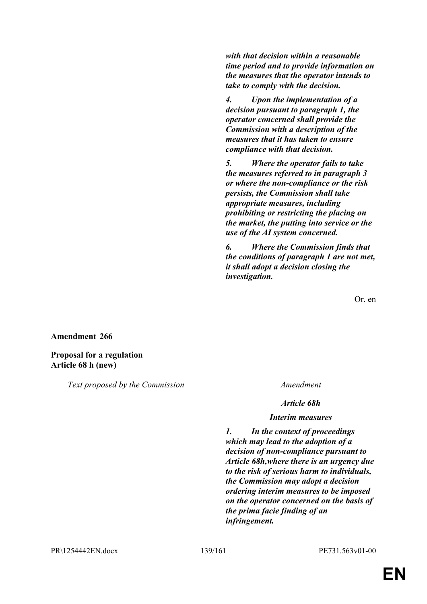*with that decision within a reasonable time period and to provide information on the measures that the operator intends to take to comply with the decision.*

*4. Upon the implementation of a decision pursuant to paragraph 1, the operator concerned shall provide the Commission with a description of the measures that it has taken to ensure compliance with that decision.*

*5. Where the operator fails to take the measures referred to in paragraph 3 or where the non-compliance or the risk persists, the Commission shall take appropriate measures, including prohibiting or restricting the placing on the market, the putting into service or the use of the AI system concerned.*

*6. Where the Commission finds that the conditions of paragraph 1 are not met, it shall adopt a decision closing the investigation.*

Or. en

### **Amendment 266**

## **Proposal for a regulation Article 68 h (new)**

*Text proposed by the Commission Amendment*

*Article 68h*

### *Interim measures*

*1. In the context of proceedings which may lead to the adoption of a decision of non-compliance pursuant to Article 68h,where there is an urgency due to the risk of serious harm to individuals, the Commission may adopt a decision ordering interim measures to be imposed on the operator concerned on the basis of the prima facie finding of an infringement.*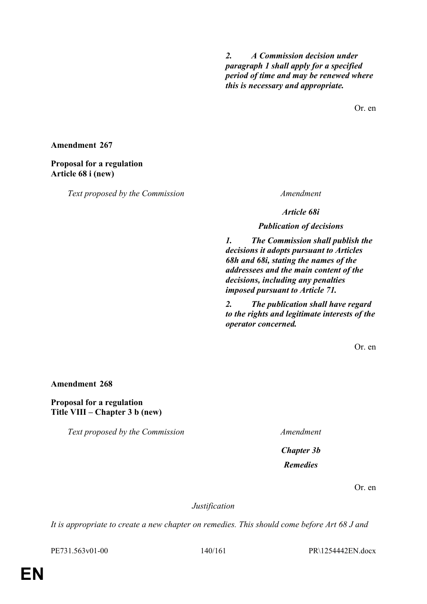*2. A Commission decision under paragraph 1 shall apply for a specified period of time and may be renewed where this is necessary and appropriate.*

Or. en

**Amendment 267**

**Proposal for a regulation Article 68 i (new)**

*Text proposed by the Commission Amendment*

*Article 68i*

*Publication of decisions*

*1. The Commission shall publish the decisions it adopts pursuant to Articles 68h and 68i, stating the names of the addressees and the main content of the decisions, including any penalties imposed pursuant to Article 71.*

*2. The publication shall have regard to the rights and legitimate interests of the operator concerned.*

Or. en

**Amendment 268**

**Proposal for a regulation Title VIII – Chapter 3 b (new)**

*Text proposed by the Commission Amendment*

*Chapter 3b Remedies*

Or. en

*Justification*

*It is appropriate to create a new chapter on remedies. This should come before Art 68 J and* 

PE731.563v01-00 140/161 PR\1254442EN.docx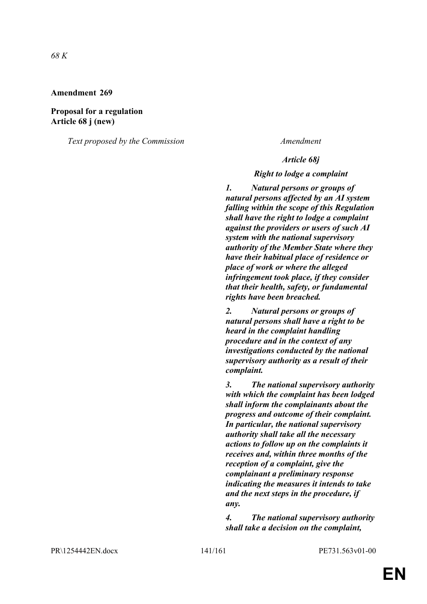**Proposal for a regulation Article 68 j (new)**

*Text proposed by the Commission Amendment*

### *Article 68j*

### *Right to lodge a complaint*

*1. Natural persons or groups of natural persons affected by an AI system falling within the scope of this Regulation shall have the right to lodge a complaint against the providers or users of such AI system with the national supervisory authority of the Member State where they have their habitual place of residence or place of work or where the alleged infringement took place, if they consider that their health, safety, or fundamental rights have been breached.*

*2. Natural persons or groups of natural persons shall have a right to be heard in the complaint handling procedure and in the context of any investigations conducted by the national supervisory authority as a result of their complaint.*

*3. The national supervisory authority with which the complaint has been lodged shall inform the complainants about the progress and outcome of their complaint. In particular, the national supervisory authority shall take all the necessary actions to follow up on the complaints it receives and, within three months of the reception of a complaint, give the complainant a preliminary response indicating the measures it intends to take and the next steps in the procedure, if any.*

*4. The national supervisory authority shall take a decision on the complaint,* 

PR\1254442EN.docx 141/161 PE731.563v01-00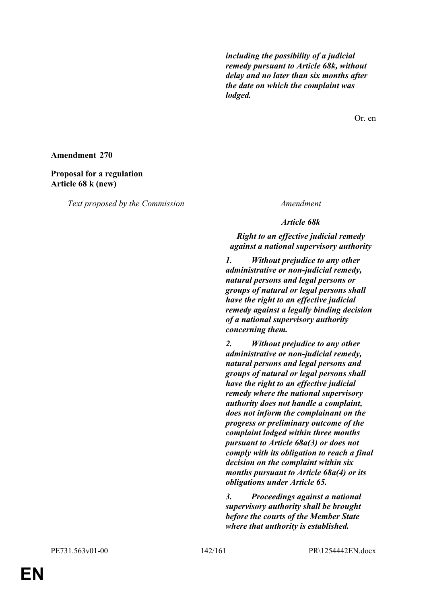*including the possibility of a judicial remedy pursuant to Article 68k, without delay and no later than six months after the date on which the complaint was lodged.*

Or. en

### **Amendment 270**

## **Proposal for a regulation Article 68 k (new)**

*Text proposed by the Commission Amendment*

*Article 68k*

## *Right to an effective judicial remedy against a national supervisory authority*

*1. Without prejudice to any other administrative or non-judicial remedy, natural persons and legal persons or groups of natural or legal persons shall have the right to an effective judicial remedy against a legally binding decision of a national supervisory authority concerning them.*

*2. Without prejudice to any other administrative or non-judicial remedy, natural persons and legal persons and groups of natural or legal persons shall have the right to an effective judicial remedy where the national supervisory authority does not handle a complaint, does not inform the complainant on the progress or preliminary outcome of the complaint lodged within three months pursuant to Article 68a(3) or does not comply with its obligation to reach a final decision on the complaint within six months pursuant to Article 68a(4) or its obligations under Article 65.*

*3. Proceedings against a national supervisory authority shall be brought before the courts of the Member State where that authority is established.*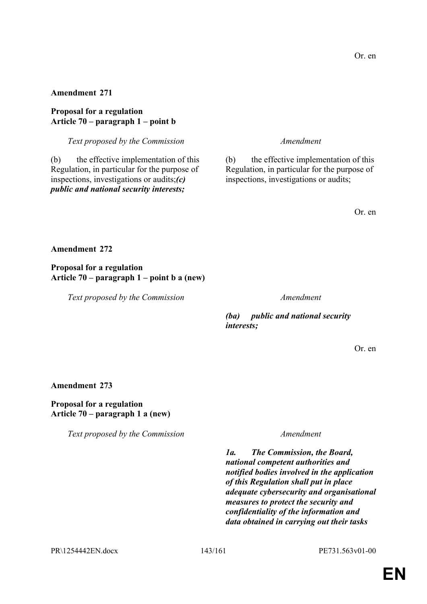**Proposal for a regulation Article 70 – paragraph 1 – point b**

*Text proposed by the Commission Amendment*

(b) the effective implementation of this Regulation, in particular for the purpose of inspections, investigations or audits;*(c) public and national security interests;*

(b) the effective implementation of this Regulation, in particular for the purpose of inspections, investigations or audits;

Or. en

## **Amendment 272**

**Proposal for a regulation Article 70 – paragraph 1 – point b a (new)**

*Text proposed by the Commission Amendment*

*(ba) public and national security interests;*

Or. en

### **Amendment 273**

## **Proposal for a regulation Article 70 – paragraph 1 a (new)**

*Text proposed by the Commission Amendment*

*1a. The Commission, the Board, national competent authorities and notified bodies involved in the application of this Regulation shall put in place adequate cybersecurity and organisational measures to protect the security and confidentiality of the information and data obtained in carrying out their tasks* 

PR\1254442EN.docx 143/161 PE731.563v01-00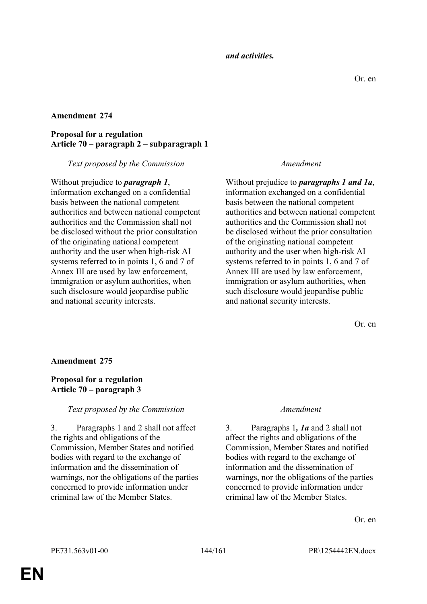*and activities.*

## **Amendment 274**

## **Proposal for a regulation Article 70 – paragraph 2 – subparagraph 1**

## *Text proposed by the Commission Amendment*

Without prejudice to *paragraph 1*, information exchanged on a confidential basis between the national competent authorities and between national competent authorities and the Commission shall not be disclosed without the prior consultation of the originating national competent authority and the user when high-risk AI systems referred to in points 1, 6 and 7 of Annex III are used by law enforcement, immigration or asylum authorities, when such disclosure would jeopardise public and national security interests.

Without prejudice to *paragraphs 1 and 1a*, information exchanged on a confidential basis between the national competent authorities and between national competent authorities and the Commission shall not be disclosed without the prior consultation of the originating national competent authority and the user when high-risk AI systems referred to in points 1, 6 and 7 of Annex III are used by law enforcement, immigration or asylum authorities, when such disclosure would jeopardise public and national security interests.

Or. en

## **Amendment 275**

## **Proposal for a regulation Article 70 – paragraph 3**

## *Text proposed by the Commission Amendment*

3. Paragraphs 1 and 2 shall not affect the rights and obligations of the Commission, Member States and notified bodies with regard to the exchange of information and the dissemination of warnings, nor the obligations of the parties concerned to provide information under criminal law of the Member States.

3. Paragraphs 1*, 1a* and 2 shall not affect the rights and obligations of the Commission, Member States and notified bodies with regard to the exchange of information and the dissemination of warnings, nor the obligations of the parties concerned to provide information under criminal law of the Member States.

Or. en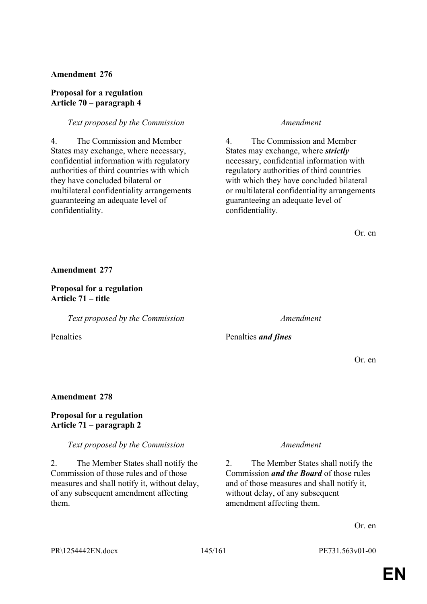#### **Proposal for a regulation Article 70 – paragraph 4**

#### *Text proposed by the Commission Amendment*

4. The Commission and Member States may exchange, where necessary, confidential information with regulatory authorities of third countries with which they have concluded bilateral or multilateral confidentiality arrangements guaranteeing an adequate level of confidentiality.

4. The Commission and Member States may exchange, where *strictly* necessary, confidential information with regulatory authorities of third countries with which they have concluded bilateral or multilateral confidentiality arrangements guaranteeing an adequate level of confidentiality.

Or. en

**Amendment 277**

### **Proposal for a regulation Article 71 – title**

*Text proposed by the Commission Amendment*

Penalties Penalties *and fines*

Or. en

### **Amendment 278**

# **Proposal for a regulation Article 71 – paragraph 2**

*Text proposed by the Commission Amendment*

2. The Member States shall notify the Commission of those rules and of those measures and shall notify it, without delay, of any subsequent amendment affecting them.

2. The Member States shall notify the Commission *and the Board* of those rules and of those measures and shall notify it, without delay, of any subsequent amendment affecting them.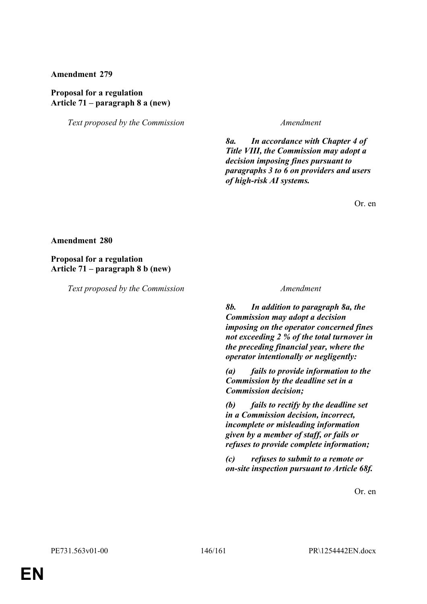### **Proposal for a regulation Article 71 – paragraph 8 a (new)**

*Text proposed by the Commission Amendment*

*8a. In accordance with Chapter 4 of Title VIII, the Commission may adopt a decision imposing fines pursuant to paragraphs 3 to 6 on providers and users of high-risk AI systems.*

Or. en

#### **Amendment 280**

**Proposal for a regulation Article 71 – paragraph 8 b (new)**

*Text proposed by the Commission Amendment*

*8b. In addition to paragraph 8a, the Commission may adopt a decision imposing on the operator concerned fines not exceeding 2 % of the total turnover in the preceding financial year, where the operator intentionally or negligently:*

*(a) fails to provide information to the Commission by the deadline set in a Commission decision;*

*(b) fails to rectify by the deadline set in a Commission decision, incorrect, incomplete or misleading information given by a member of staff, or fails or refuses to provide complete information;*

*(c) refuses to submit to a remote or on-site inspection pursuant to Article 68f.*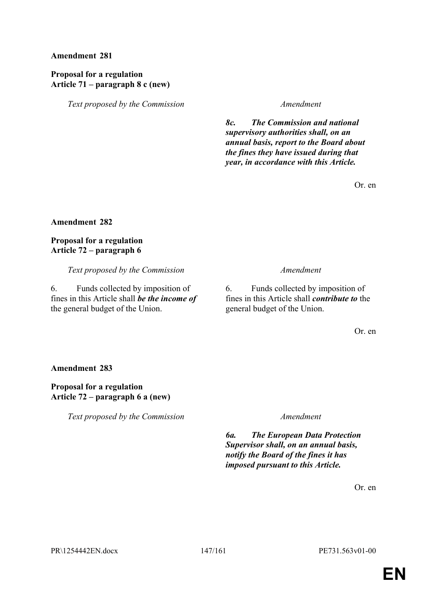# **Proposal for a regulation Article 71 – paragraph 8 c (new)**

*Text proposed by the Commission Amendment*

*8c. The Commission and national supervisory authorities shall, on an annual basis, report to the Board about the fines they have issued during that year, in accordance with this Article.*

Or. en

# **Amendment 282**

**Proposal for a regulation Article 72 – paragraph 6**

*Text proposed by the Commission Amendment*

6. Funds collected by imposition of fines in this Article shall *be the income of* the general budget of the Union.

6. Funds collected by imposition of fines in this Article shall *contribute to* the general budget of the Union.

Or. en

### **Amendment 283**

# **Proposal for a regulation Article 72 – paragraph 6 a (new)**

*Text proposed by the Commission Amendment*

*6a. The European Data Protection Supervisor shall, on an annual basis, notify the Board of the fines it has imposed pursuant to this Article.*

Or. en

PR\1254442EN.docx 147/161 PE731.563v01-00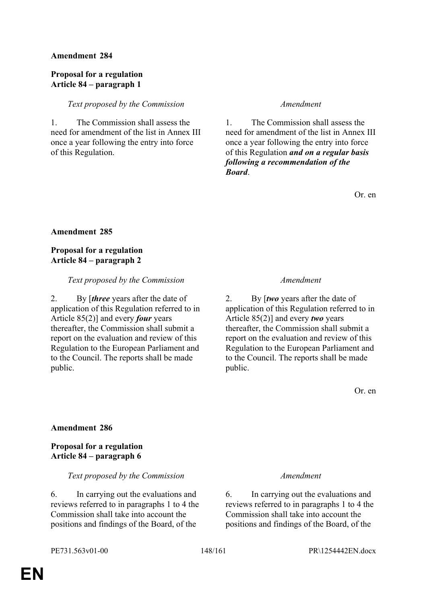### **Proposal for a regulation Article 84 – paragraph 1**

### *Text proposed by the Commission Amendment*

1. The Commission shall assess the need for amendment of the list in Annex III once a year following the entry into force of this Regulation.

1. The Commission shall assess the need for amendment of the list in Annex III once a year following the entry into force of this Regulation *and on a regular basis following a recommendation of the Board*.

Or. en

# **Amendment 285**

# **Proposal for a regulation Article 84 – paragraph 2**

### *Text proposed by the Commission Amendment*

2. By [*three* years after the date of application of this Regulation referred to in Article 85(2)] and every *four* years thereafter, the Commission shall submit a report on the evaluation and review of this Regulation to the European Parliament and to the Council. The reports shall be made public.

2. By [*two* years after the date of application of this Regulation referred to in Article 85(2)] and every *two* years thereafter, the Commission shall submit a report on the evaluation and review of this Regulation to the European Parliament and to the Council. The reports shall be made public.

Or. en

# **Amendment 286**

# **Proposal for a regulation Article 84 – paragraph 6**

### *Text proposed by the Commission Amendment*

6. In carrying out the evaluations and reviews referred to in paragraphs 1 to 4 the Commission shall take into account the positions and findings of the Board, of the

6. In carrying out the evaluations and reviews referred to in paragraphs 1 to 4 the Commission shall take into account the positions and findings of the Board, of the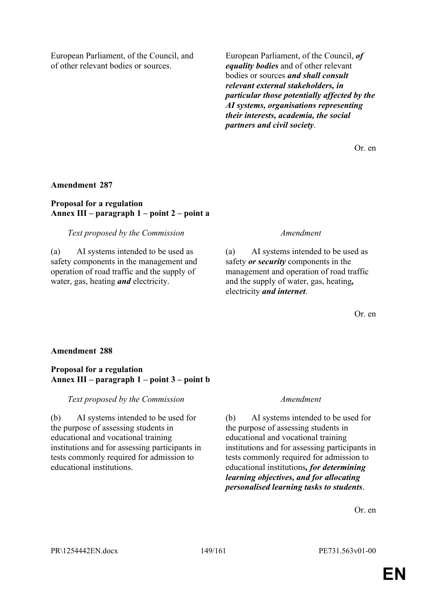European Parliament, of the Council, and of other relevant bodies or sources.

European Parliament, of the Council, *of equality bodies* and of other relevant bodies or sources *and shall consult relevant external stakeholders, in particular those potentially affected by the AI systems, organisations representing their interests, academia, the social partners and civil society*.

Or. en

#### **Amendment 287**

### **Proposal for a regulation Annex III – paragraph 1 – point 2 – point a**

#### *Text proposed by the Commission Amendment*

(a) AI systems intended to be used as safety components in the management and operation of road traffic and the supply of water, gas, heating *and* electricity.

(a) AI systems intended to be used as safety *or security* components in the management and operation of road traffic and the supply of water, gas, heating*,* electricity *and internet*.

Or. en

#### **Amendment 288**

### **Proposal for a regulation Annex III – paragraph 1 – point 3 – point b**

*Text proposed by the Commission Amendment*

(b) AI systems intended to be used for the purpose of assessing students in educational and vocational training institutions and for assessing participants in tests commonly required for admission to educational institutions.

(b) AI systems intended to be used for the purpose of assessing students in educational and vocational training institutions and for assessing participants in tests commonly required for admission to educational institutions*, for determining learning objectives, and for allocating personalised learning tasks to students*.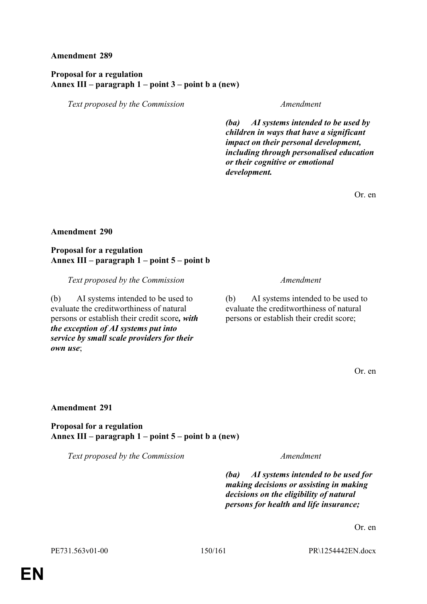# **Proposal for a regulation Annex III – paragraph 1 – point 3 – point b a (new)**

*Text proposed by the Commission Amendment*

*(ba) AI systems intended to be used by children in ways that have a significant impact on their personal development, including through personalised education or their cognitive or emotional development.*

Or. en

### **Amendment 290**

#### **Proposal for a regulation Annex III – paragraph 1 – point 5 – point b**

*Text proposed by the Commission Amendment*

(b) AI systems intended to be used to evaluate the creditworthiness of natural persons or establish their credit score*, with the exception of AI systems put into service by small scale providers for their own use*;

(b) AI systems intended to be used to evaluate the creditworthiness of natural persons or establish their credit score;

Or. en

### **Amendment 291**

**Proposal for a regulation Annex III – paragraph 1 – point 5 – point b a (new)**

*Text proposed by the Commission Amendment*

*(ba) AI systems intended to be used for making decisions or assisting in making decisions on the eligibility of natural persons for health and life insurance;*

Or. en

PE731.563v01-00 150/161 PR\1254442EN.docx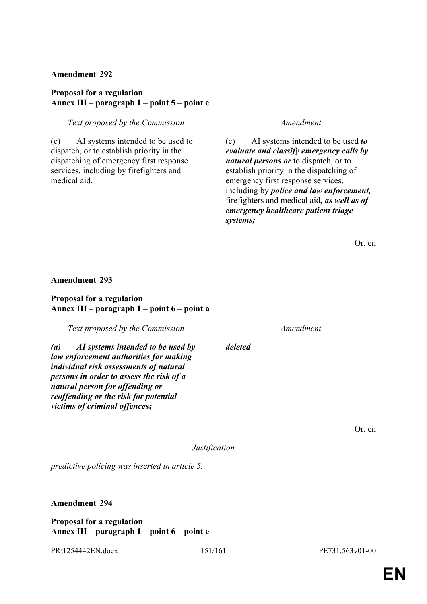# **Proposal for a regulation Annex III – paragraph 1 – point 5 – point c**

### *Text proposed by the Commission Amendment*

(c) AI systems intended to be used to dispatch, or to establish priority in the dispatching of emergency first response services, including by firefighters and medical aid*.*

(c) AI systems intended to be used *to evaluate and classify emergency calls by natural persons or* to dispatch, or to establish priority in the dispatching of emergency first response services, including by *police and law enforcement,* firefighters and medical aid*, as well as of emergency healthcare patient triage systems;*

Or. en

#### **Amendment 293**

# **Proposal for a regulation Annex III – paragraph 1 – point 6 – point a**

*Text proposed by the Commission Amendment*

*(a) AI systems intended to be used by law enforcement authorities for making individual risk assessments of natural persons in order to assess the risk of a natural person for offending or reoffending or the risk for potential victims of criminal offences;*

*deleted*

Or. en

*Justification*

*predictive policing was inserted in article 5.*

**Amendment 294**

**Proposal for a regulation Annex III – paragraph 1 – point 6 – point e**

PR\1254442EN.docx 151/161 PE731.563v01-00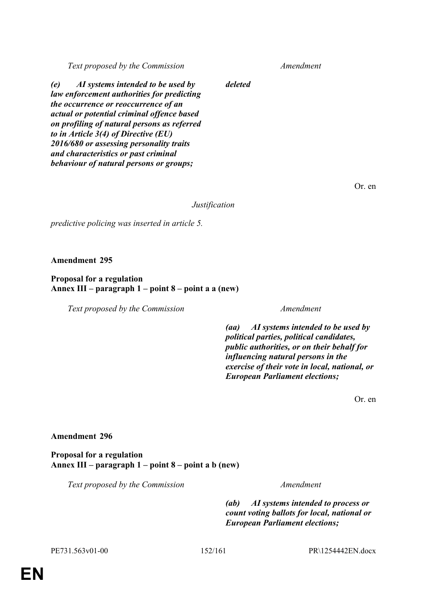*Text proposed by the Commission Amendment*

*(e) AI systems intended to be used by law enforcement authorities for predicting the occurrence or reoccurrence of an actual or potential criminal offence based on profiling of natural persons as referred to in Article 3(4) of Directive (EU) 2016/680 or assessing personality traits and characteristics or past criminal behaviour of natural persons or groups;*

Or. en

*Justification*

*deleted*

*predictive policing was inserted in article 5.*

**Amendment 295**

# **Proposal for a regulation Annex III – paragraph 1 – point 8 – point a a (new)**

*Text proposed by the Commission Amendment*

*(aa) AI systems intended to be used by political parties, political candidates, public authorities, or on their behalf for influencing natural persons in the exercise of their vote in local, national, or European Parliament elections;*

Or. en

# **Amendment 296**

**Proposal for a regulation Annex III – paragraph 1 – point 8 – point a b (new)**

*Text proposed by the Commission Amendment*

*(ab) AI systems intended to process or count voting ballots for local, national or European Parliament elections;*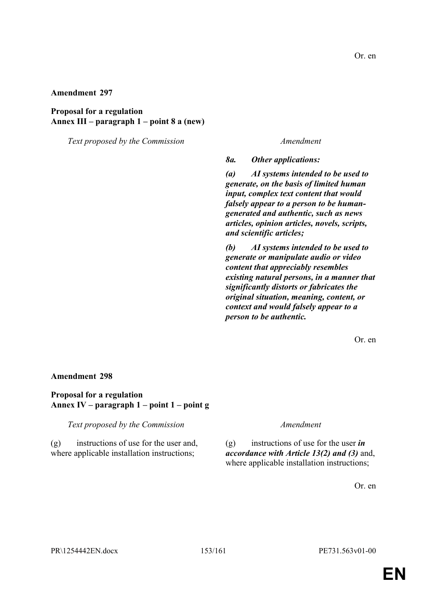# **Proposal for a regulation Annex III – paragraph 1 – point 8 a (new)**

*Text proposed by the Commission Amendment*

*8a. Other applications:*

*(a) AI systems intended to be used to generate, on the basis of limited human input, complex text content that would falsely appear to a person to be humangenerated and authentic, such as news articles, opinion articles, novels, scripts, and scientific articles;*

*(b) AI systems intended to be used to generate or manipulate audio or video content that appreciably resembles existing natural persons, in a manner that significantly distorts or fabricates the original situation, meaning, content, or context and would falsely appear to a person to be authentic.*

Or. en

#### **Amendment 298**

#### **Proposal for a regulation Annex IV – paragraph 1 – point 1 – point g**

*Text proposed by the Commission Amendment*

(g) instructions of use for the user and, where applicable installation instructions;

(g) instructions of use for the user *in accordance with Article 13(2) and (3)* and, where applicable installation instructions;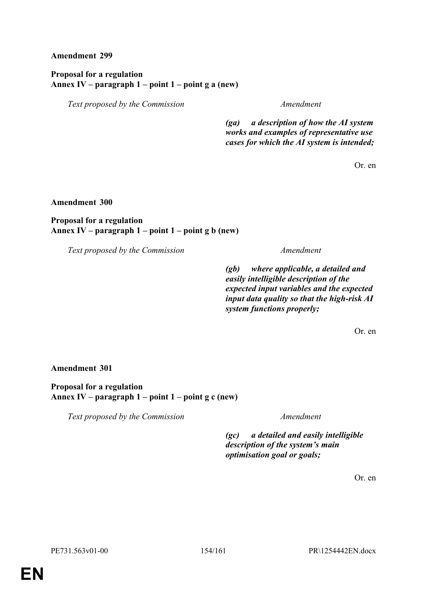**Proposal for a regulation Annex IV – paragraph 1 – point 1 – point g a (new)**

*Text proposed by the Commission Amendment*

*(ga) a description of how the AI system works and examples of representative use cases for which the AI system is intended;*

Or. en

**Amendment 300**

**Proposal for a regulation Annex IV – paragraph 1 – point 1 – point g b (new)**

*Text proposed by the Commission Amendment*

*(gb) where applicable, a detailed and easily intelligible description of the expected input variables and the expected input data quality so that the high-risk AI system functions properly;*

Or. en

**Amendment 301**

**Proposal for a regulation Annex IV – paragraph 1 – point 1 – point g c (new)**

*Text proposed by the Commission Amendment*

*(gc) a detailed and easily intelligible description of the system's main optimisation goal or goals;*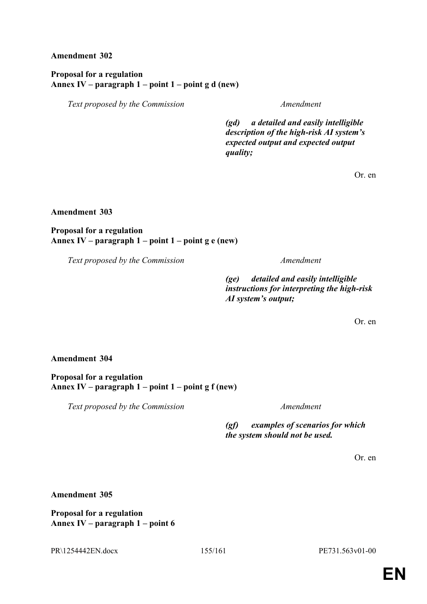**Proposal for a regulation Annex IV – paragraph 1 – point 1 – point g d (new)**

*Text proposed by the Commission Amendment*

*(gd) a detailed and easily intelligible description of the high-risk AI system's expected output and expected output quality;*

Or. en

**Amendment 303**

**Proposal for a regulation Annex IV – paragraph 1 – point 1 – point g e (new)**

*Text proposed by the Commission Amendment*

*(ge) detailed and easily intelligible instructions for interpreting the high-risk AI system's output;*

Or. en

**Amendment 304**

**Proposal for a regulation Annex IV – paragraph 1 – point 1 – point g f (new)**

*Text proposed by the Commission Amendment*

*(gf) examples of scenarios for which the system should not be used.*

Or. en

**Amendment 305**

**Proposal for a regulation Annex IV – paragraph 1 – point 6**

PR\1254442EN.docx 155/161 PE731.563v01-00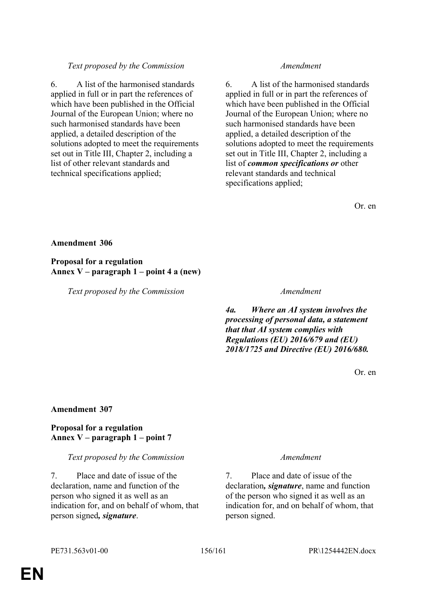# *Text proposed by the Commission Amendment*

6. A list of the harmonised standards applied in full or in part the references of which have been published in the Official Journal of the European Union; where no such harmonised standards have been applied, a detailed description of the solutions adopted to meet the requirements set out in Title III, Chapter 2, including a list of other relevant standards and technical specifications applied;

6. A list of the harmonised standards applied in full or in part the references of which have been published in the Official Journal of the European Union; where no such harmonised standards have been applied, a detailed description of the solutions adopted to meet the requirements set out in Title III, Chapter 2, including a list of *common specifications or* other relevant standards and technical specifications applied;

Or. en

### **Amendment 306**

**Proposal for a regulation Annex V – paragraph 1 – point 4 a (new)**

*Text proposed by the Commission Amendment*

*4a. Where an AI system involves the processing of personal data, a statement that that AI system complies with Regulations (EU) 2016/679 and (EU) 2018/1725 and Directive (EU) 2016/680.*

Or. en

### **Amendment 307**

# **Proposal for a regulation Annex V – paragraph 1 – point 7**

### *Text proposed by the Commission Amendment*

7. Place and date of issue of the declaration, name and function of the person who signed it as well as an indication for, and on behalf of whom, that person signed*, signature*.

7. Place and date of issue of the declaration*, signature*, name and function of the person who signed it as well as an indication for, and on behalf of whom, that person signed.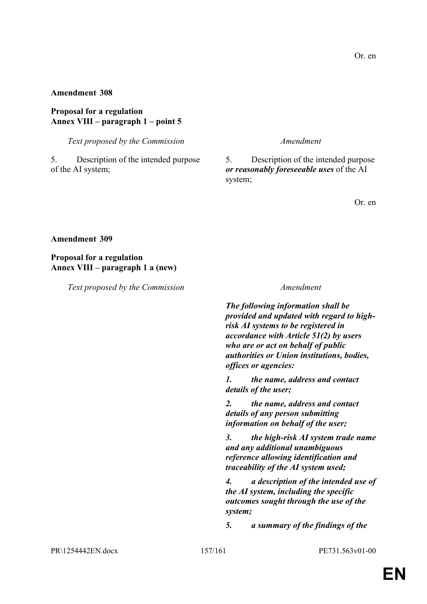#### **Proposal for a regulation Annex VIII – paragraph 1 – point 5**

*Text proposed by the Commission Amendment*

5. Description of the intended purpose of the AI system;

5. Description of the intended purpose *or reasonably foreseeable uses* of the AI system;

Or. en

**Amendment 309**

**Proposal for a regulation Annex VIII – paragraph 1 a (new)**

*Text proposed by the Commission Amendment*

*The following information shall be provided and updated with regard to highrisk AI systems to be registered in accordance with Article 51(2) by users who are or act on behalf of public authorities or Union institutions, bodies, offices or agencies:*

*1. the name, address and contact details of the user;*

*2. the name, address and contact details of any person submitting information on behalf of the user;*

*3. the high-risk AI system trade name and any additional unambiguous reference allowing identification and traceability of the AI system used;*

*4. a description of the intended use of the AI system, including the specific outcomes sought through the use of the system;*

*5. a summary of the findings of the* 

PR\1254442EN.docx 157/161 PE731.563v01-00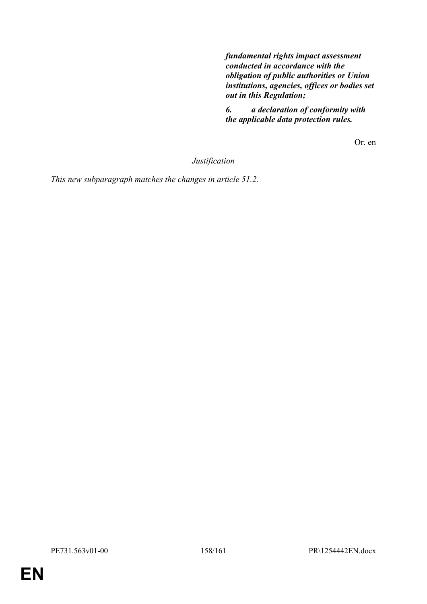*fundamental rights impact assessment conducted in accordance with the obligation of public authorities or Union institutions, agencies, offices or bodies set out in this Regulation;*

*6. a declaration of conformity with the applicable data protection rules.*

Or. en

*Justification*

*This new subparagraph matches the changes in article 51.2.*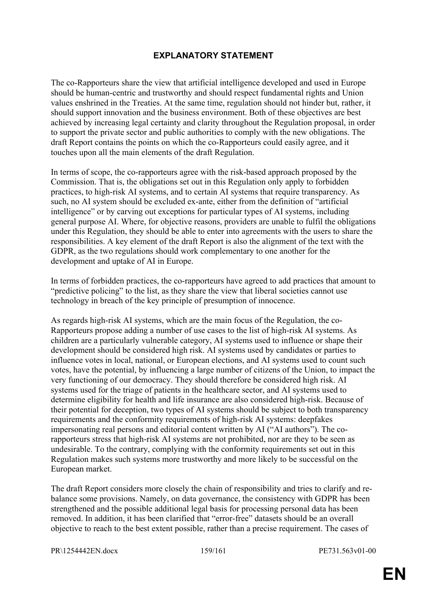# **EXPLANATORY STATEMENT**

The co-Rapporteurs share the view that artificial intelligence developed and used in Europe should be human-centric and trustworthy and should respect fundamental rights and Union values enshrined in the Treaties. At the same time, regulation should not hinder but, rather, it should support innovation and the business environment. Both of these objectives are best achieved by increasing legal certainty and clarity throughout the Regulation proposal, in order to support the private sector and public authorities to comply with the new obligations. The draft Report contains the points on which the co-Rapporteurs could easily agree, and it touches upon all the main elements of the draft Regulation.

In terms of scope, the co-rapporteurs agree with the risk-based approach proposed by the Commission. That is, the obligations set out in this Regulation only apply to forbidden practices, to high-risk AI systems, and to certain AI systems that require transparency. As such, no AI system should be excluded ex-ante, either from the definition of "artificial intelligence" or by carving out exceptions for particular types of AI systems, including general purpose AI. Where, for objective reasons, providers are unable to fulfil the obligations under this Regulation, they should be able to enter into agreements with the users to share the responsibilities. A key element of the draft Report is also the alignment of the text with the GDPR, as the two regulations should work complementary to one another for the development and uptake of AI in Europe.

In terms of forbidden practices, the co-rapporteurs have agreed to add practices that amount to "predictive policing" to the list, as they share the view that liberal societies cannot use technology in breach of the key principle of presumption of innocence.

As regards high-risk AI systems, which are the main focus of the Regulation, the co-Rapporteurs propose adding a number of use cases to the list of high-risk AI systems. As children are a particularly vulnerable category, AI systems used to influence or shape their development should be considered high risk. AI systems used by candidates or parties to influence votes in local, national, or European elections, and AI systems used to count such votes, have the potential, by influencing a large number of citizens of the Union, to impact the very functioning of our democracy. They should therefore be considered high risk. AI systems used for the triage of patients in the healthcare sector, and AI systems used to determine eligibility for health and life insurance are also considered high-risk. Because of their potential for deception, two types of AI systems should be subject to both transparency requirements and the conformity requirements of high-risk AI systems: deepfakes impersonating real persons and editorial content written by AI ("AI authors"). The corapporteurs stress that high-risk AI systems are not prohibited, nor are they to be seen as undesirable. To the contrary, complying with the conformity requirements set out in this Regulation makes such systems more trustworthy and more likely to be successful on the European market.

The draft Report considers more closely the chain of responsibility and tries to clarify and rebalance some provisions. Namely, on data governance, the consistency with GDPR has been strengthened and the possible additional legal basis for processing personal data has been removed. In addition, it has been clarified that "error-free" datasets should be an overall objective to reach to the best extent possible, rather than a precise requirement. The cases of

PR\1254442EN.docx 159/161 PE731.563v01-00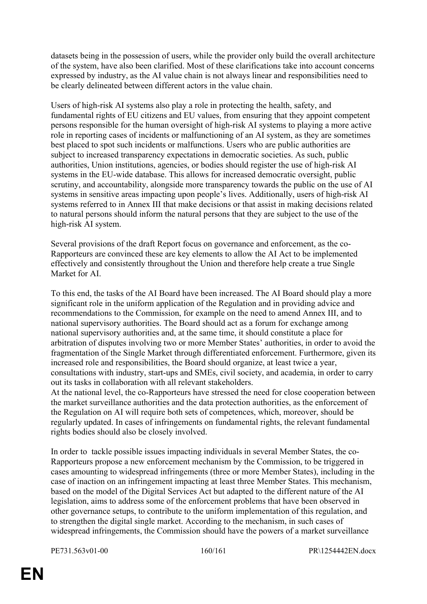datasets being in the possession of users, while the provider only build the overall architecture of the system, have also been clarified. Most of these clarifications take into account concerns expressed by industry, as the AI value chain is not always linear and responsibilities need to be clearly delineated between different actors in the value chain.

Users of high-risk AI systems also play a role in protecting the health, safety, and fundamental rights of EU citizens and EU values, from ensuring that they appoint competent persons responsible for the human oversight of high-risk AI systems to playing a more active role in reporting cases of incidents or malfunctioning of an AI system, as they are sometimes best placed to spot such incidents or malfunctions. Users who are public authorities are subject to increased transparency expectations in democratic societies. As such, public authorities, Union institutions, agencies, or bodies should register the use of high-risk AI systems in the EU-wide database. This allows for increased democratic oversight, public scrutiny, and accountability, alongside more transparency towards the public on the use of AI systems in sensitive areas impacting upon people's lives. Additionally, users of high-risk AI systems referred to in Annex III that make decisions or that assist in making decisions related to natural persons should inform the natural persons that they are subject to the use of the high-risk AI system.

Several provisions of the draft Report focus on governance and enforcement, as the co-Rapporteurs are convinced these are key elements to allow the AI Act to be implemented effectively and consistently throughout the Union and therefore help create a true Single Market for AI.

To this end, the tasks of the AI Board have been increased. The AI Board should play a more significant role in the uniform application of the Regulation and in providing advice and recommendations to the Commission, for example on the need to amend Annex III, and to national supervisory authorities. The Board should act as a forum for exchange among national supervisory authorities and, at the same time, it should constitute a place for arbitration of disputes involving two or more Member States' authorities, in order to avoid the fragmentation of the Single Market through differentiated enforcement. Furthermore, given its increased role and responsibilities, the Board should organize, at least twice a year, consultations with industry, start-ups and SMEs, civil society, and academia, in order to carry out its tasks in collaboration with all relevant stakeholders.

At the national level, the co-Rapporteurs have stressed the need for close cooperation between the market surveillance authorities and the data protection authorities, as the enforcement of the Regulation on AI will require both sets of competences, which, moreover, should be regularly updated. In cases of infringements on fundamental rights, the relevant fundamental rights bodies should also be closely involved.

In order to tackle possible issues impacting individuals in several Member States, the co-Rapporteurs propose a new enforcement mechanism by the Commission, to be triggered in cases amounting to widespread infringements (three or more Member States), including in the case of inaction on an infringement impacting at least three Member States. This mechanism, based on the model of the Digital Services Act but adapted to the different nature of the AI legislation, aims to address some of the enforcement problems that have been observed in other governance setups, to contribute to the uniform implementation of this regulation, and to strengthen the digital single market. According to the mechanism, in such cases of widespread infringements, the Commission should have the powers of a market surveillance